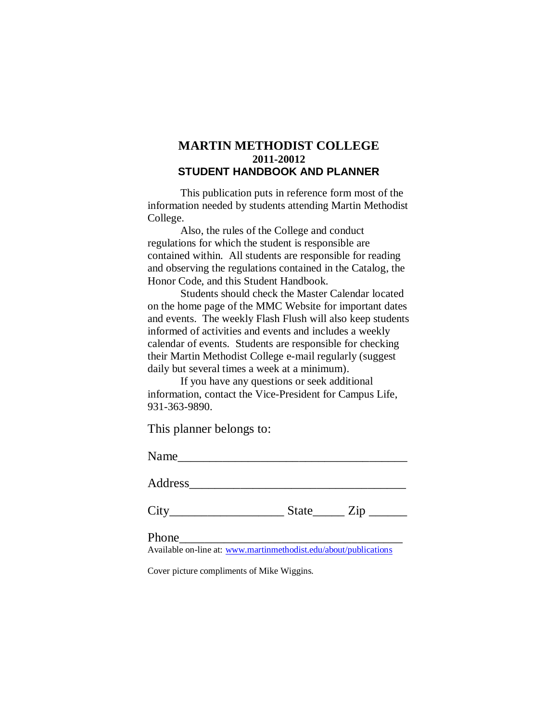# **MARTIN METHODIST COLLEGE 2011-20012 STUDENT HANDBOOK AND PLANNER**

This publication puts in reference form most of the information needed by students attending Martin Methodist College.

Also, the rules of the College and conduct regulations for which the student is responsible are contained within. All students are responsible for reading and observing the regulations contained in the Catalog, the Honor Code, and this Student Handbook.

Students should check the Master Calendar located on the home page of the MMC Website for important dates and events. The weekly Flash Flush will also keep students informed of activities and events and includes a weekly calendar of events. Students are responsible for checking their Martin Methodist College e-mail regularly (suggest daily but several times a week at a minimum).

If you have any questions or seek additional information, contact the Vice-President for Campus Life, 931-363-9890.

This planner belongs to:

Name\_\_\_\_\_\_\_\_\_\_\_\_\_\_\_\_\_\_\_\_\_\_\_\_\_\_\_\_\_\_\_\_\_\_\_\_

Address\_\_\_\_\_\_\_\_\_\_\_\_\_\_\_\_\_\_\_\_\_\_\_\_\_\_\_\_\_\_\_\_\_\_

 $City$   $City$   $State$   $Zip$   $\_$ 

Phone\_\_\_\_\_\_\_\_\_\_\_\_\_\_\_\_\_\_\_\_\_\_\_\_\_\_\_\_\_\_\_\_\_\_\_

Available on-line at: [www.martinmethodist.edu/about/publications](http://www.martinmethodist.edu/about/publications)

Cover picture compliments of Mike Wiggins.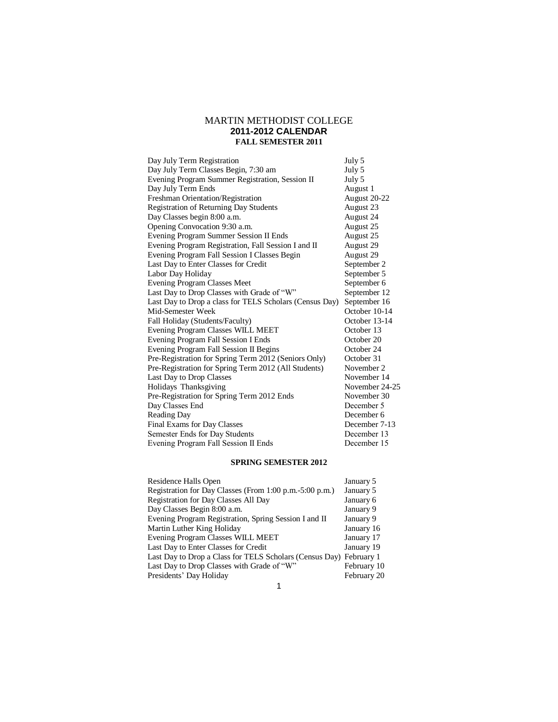## MARTIN METHODIST COLLEGE **2011-2012 CALENDAR FALL SEMESTER 2011**

| Day July Term Registration                              | July 5         |
|---------------------------------------------------------|----------------|
| Day July Term Classes Begin, 7:30 am                    | July 5         |
| Evening Program Summer Registration, Session II         | July 5         |
| Day July Term Ends                                      | August 1       |
| Freshman Orientation/Registration                       | August 20-22   |
| <b>Registration of Returning Day Students</b>           | August 23      |
| Day Classes begin 8:00 a.m.                             | August 24      |
| Opening Convocation 9:30 a.m.                           | August 25      |
| <b>Evening Program Summer Session II Ends</b>           | August 25      |
| Evening Program Registration, Fall Session I and II     | August 29      |
| Evening Program Fall Session I Classes Begin            | August 29      |
| Last Day to Enter Classes for Credit                    | September 2    |
| Labor Day Holiday                                       | September 5    |
| <b>Evening Program Classes Meet</b>                     | September 6    |
| Last Day to Drop Classes with Grade of "W"              | September 12   |
| Last Day to Drop a class for TELS Scholars (Census Day) | September 16   |
| Mid-Semester Week                                       | October 10-14  |
| Fall Holiday (Students/Faculty)                         | October 13-14  |
| <b>Evening Program Classes WILL MEET</b>                | October 13     |
| Evening Program Fall Session I Ends                     | October 20     |
| Evening Program Fall Session II Begins                  | October 24     |
| Pre-Registration for Spring Term 2012 (Seniors Only)    | October 31     |
| Pre-Registration for Spring Term 2012 (All Students)    | November 2     |
| Last Day to Drop Classes                                | November 14    |
| Holidays Thanksgiving                                   | November 24-25 |
| Pre-Registration for Spring Term 2012 Ends              | November 30    |
| Day Classes End                                         | December 5     |
| Reading Day                                             | December 6     |
| <b>Final Exams for Day Classes</b>                      | December 7-13  |
| Semester Ends for Day Students                          | December 13    |
| Evening Program Fall Session II Ends                    | December 15    |

### **SPRING SEMESTER 2012**

| Residence Halls Open                                               | January 5   |
|--------------------------------------------------------------------|-------------|
| Registration for Day Classes (From 1:00 p.m. -5:00 p.m.)           | January 5   |
| Registration for Day Classes All Day                               | January 6   |
| Day Classes Begin 8:00 a.m.                                        | January 9   |
| Evening Program Registration, Spring Session I and II              | January 9   |
| Martin Luther King Holiday                                         | January 16  |
| Evening Program Classes WILL MEET                                  | January 17  |
| Last Day to Enter Classes for Credit                               | January 19  |
| Last Day to Drop a Class for TELS Scholars (Census Day) February 1 |             |
| Last Day to Drop Classes with Grade of "W"                         | February 10 |
| Presidents' Day Holiday                                            | February 20 |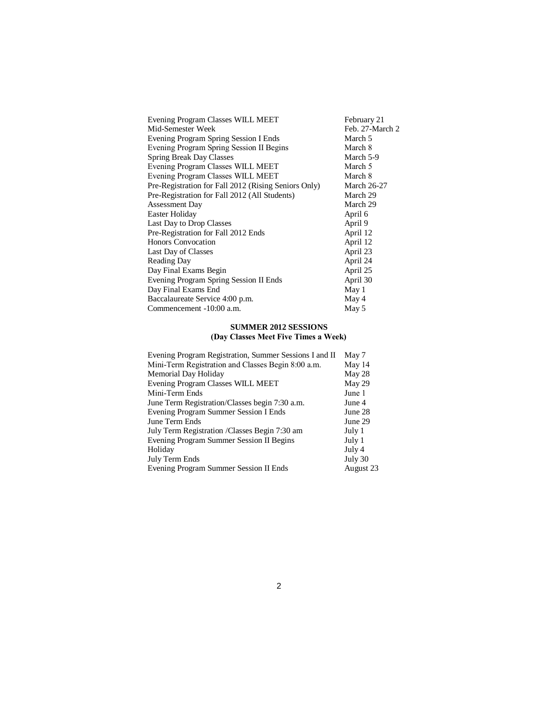| Evening Program Classes WILL MEET                    | February 21        |
|------------------------------------------------------|--------------------|
| Mid-Semester Week                                    | Feb. 27-March 2    |
| Evening Program Spring Session I Ends                | March 5            |
| Evening Program Spring Session II Begins             | March 8            |
| <b>Spring Break Day Classes</b>                      | March 5-9          |
| Evening Program Classes WILL MEET                    | March 5            |
| Evening Program Classes WILL MEET                    | March 8            |
| Pre-Registration for Fall 2012 (Rising Seniors Only) | <b>March 26-27</b> |
| Pre-Registration for Fall 2012 (All Students)        | March 29           |
| <b>Assessment Day</b>                                | March 29           |
| Easter Holiday                                       | April 6            |
| Last Day to Drop Classes                             | April 9            |
| Pre-Registration for Fall 2012 Ends                  | April 12           |
| <b>Honors Convocation</b>                            | April 12           |
| Last Day of Classes                                  | April 23           |
| <b>Reading Day</b>                                   | April 24           |
| Day Final Exams Begin                                | April 25           |
| Evening Program Spring Session II Ends               | April 30           |
| Day Final Exams End                                  | May 1              |
| Baccalaureate Service 4:00 p.m.                      | May 4              |
| Commencement -10:00 a.m.                             | May 5              |

#### **SUMMER 2012 SESSIONS (Day Classes Meet Five Times a Week)**

| Evening Program Registration, Summer Sessions I and II | May 7     |
|--------------------------------------------------------|-----------|
| Mini-Term Registration and Classes Begin 8:00 a.m.     | May 14    |
| Memorial Day Holiday                                   | May 28    |
| <b>Evening Program Classes WILL MEET</b>               | May 29    |
| Mini-Term Ends                                         | June 1    |
| June Term Registration/Classes begin 7:30 a.m.         | June 4    |
| Evening Program Summer Session I Ends                  | June 28   |
| June Term Ends                                         | June 29   |
| July Term Registration / Classes Begin 7:30 am         | July 1    |
| Evening Program Summer Session II Begins               | July 1    |
| Holiday                                                | July 4    |
| July Term Ends                                         | July 30   |
| Evening Program Summer Session II Ends                 | August 23 |
|                                                        |           |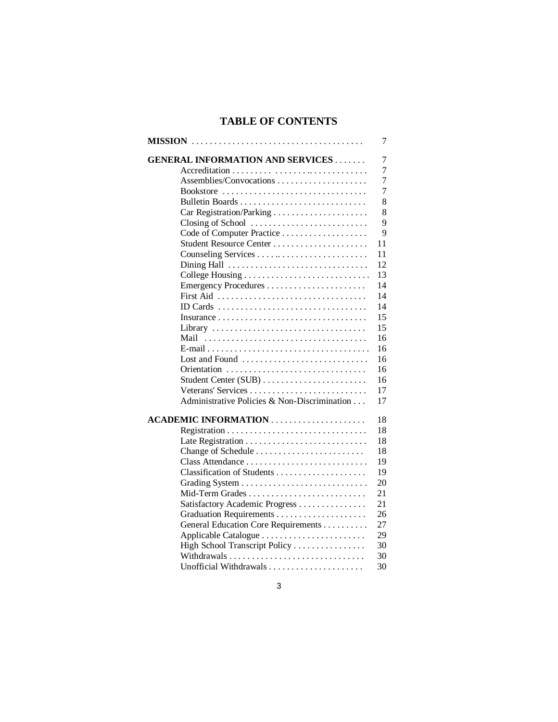# **TABLE OF CONTENTS**

|                                              | 7              |
|----------------------------------------------|----------------|
| <b>GENERAL INFORMATION AND SERVICES</b>      | 7              |
|                                              | 7              |
| Assemblies/Convocations                      | $\overline{7}$ |
| Bookstore                                    | $\tau$         |
|                                              | 8              |
|                                              | 8              |
| Closing of School                            | 9              |
|                                              | 9              |
|                                              | 11             |
|                                              | 11             |
| Dining Hall                                  | 12             |
|                                              | 13             |
|                                              | 14             |
| First Aid                                    | 14             |
| ID Cards                                     | 14             |
|                                              | 15             |
|                                              | 15             |
| Mail                                         | 16             |
|                                              | 16             |
| Lost and Found                               | 16             |
| Orientation                                  | 16             |
|                                              | 16             |
| Veterans' Services                           | 17             |
| Administrative Policies & Non-Discrimination | 17             |
|                                              | 18             |
|                                              | 18             |
|                                              | 18             |
| Change of Schedule                           | 18             |
|                                              | 19             |
|                                              | 19             |
|                                              | 20             |
| Mid-Term Grades                              | 21             |
| Satisfactory Academic Progress               | 21             |
|                                              | 26             |
| General Education Core Requirements          | 27             |
| Applicable Catalogue                         | 29             |
| High School Transcript Policy                | 30             |
|                                              | 30             |
|                                              | 30             |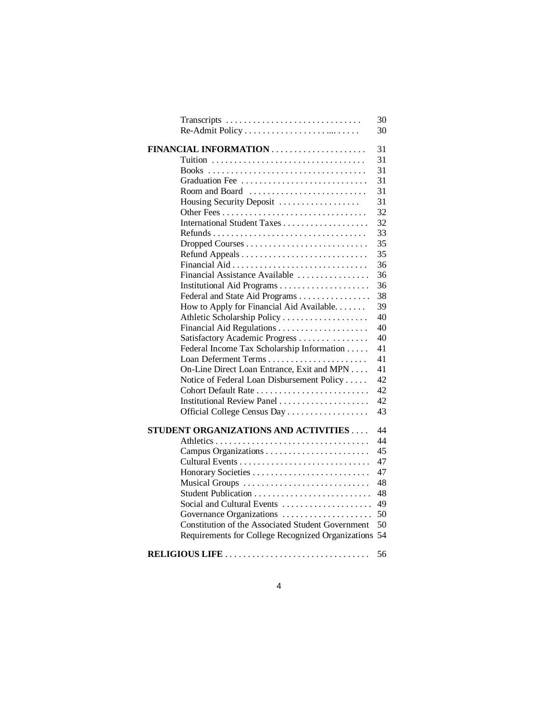| Transcripts                                                     | 30 |
|-----------------------------------------------------------------|----|
|                                                                 | 30 |
|                                                                 | 31 |
|                                                                 | 31 |
|                                                                 | 31 |
| Graduation Fee                                                  | 31 |
| Room and Board $\ldots, \ldots, \ldots, \ldots, \ldots, \ldots$ | 31 |
| Housing Security Deposit                                        | 31 |
|                                                                 | 32 |
|                                                                 | 32 |
|                                                                 | 33 |
|                                                                 | 35 |
|                                                                 | 35 |
|                                                                 | 36 |
| Financial Assistance Available                                  | 36 |
|                                                                 | 36 |
| Federal and State Aid Programs                                  | 38 |
| How to Apply for Financial Aid Available.                       | 39 |
|                                                                 | 40 |
|                                                                 | 40 |
| Satisfactory Academic Progress                                  | 40 |
| Federal Income Tax Scholarship Information                      | 41 |
|                                                                 | 41 |
| On-Line Direct Loan Entrance, Exit and MPN                      | 41 |
| Notice of Federal Loan Disbursement Policy                      | 42 |
| Cohort Default Rate                                             | 42 |
| Institutional Review Panel                                      | 42 |
| Official College Census Day                                     | 43 |
|                                                                 |    |
| STUDENT ORGANIZATIONS AND ACTIVITIES                            | 44 |
|                                                                 | 44 |
|                                                                 | 45 |
|                                                                 | 47 |
|                                                                 | 47 |
| Musical Groups                                                  | 48 |
|                                                                 | 48 |
| Social and Cultural Events                                      | 49 |
| Governance Organizations                                        | 50 |
| Constitution of the Associated Student Government               | 50 |
| Requirements for College Recognized Organizations 54            |    |
| RELIGIOUS LIFE                                                  | 56 |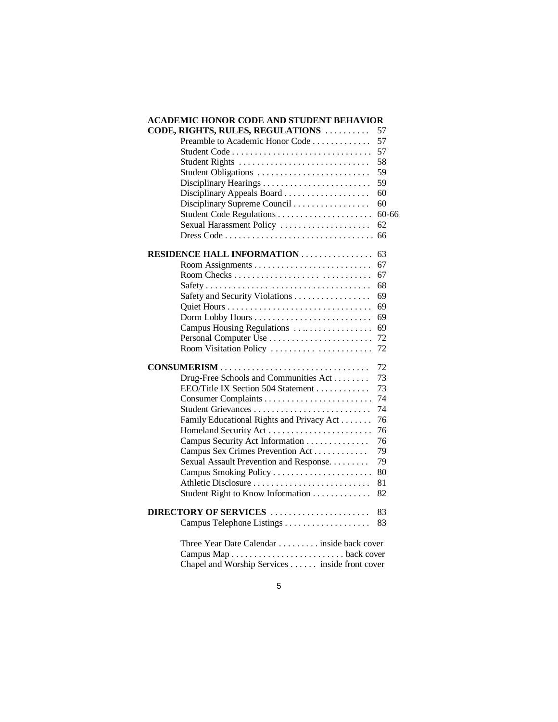| <b>ACADEMIC HONOR CODE AND STUDENT BEHAVIOR</b> |           |
|-------------------------------------------------|-----------|
| CODE, RIGHTS, RULES, REGULATIONS                | 57        |
| Preamble to Academic Honor Code                 | 57        |
|                                                 | 57        |
| Student Rights                                  | 58        |
| Student Obligations                             | 59        |
|                                                 | 59        |
| Disciplinary Appeals Board                      | 60        |
| Disciplinary Supreme Council                    | 60        |
| Student Code Regulations                        | $60 - 66$ |
| Sexual Harassment Policy                        | 62        |
|                                                 | 66        |
| <b>RESIDENCE HALL INFORMATION</b>               | 63        |
|                                                 | 67        |
|                                                 | 67        |
|                                                 | 68        |
| Safety and Security Violations                  | 69        |
|                                                 | 69        |
|                                                 | 69        |
| Campus Housing Regulations                      | 69        |
|                                                 | 72        |
| Room Visitation Policy                          | 72        |
| CONSUMERISM                                     | 72        |
| Drug-Free Schools and Communities Act           | 73        |
| EEO/Title IX Section 504 Statement              | 73        |
|                                                 | 74        |
|                                                 | 74        |
| Family Educational Rights and Privacy Act       | 76        |
|                                                 | 76        |
| Campus Security Act Information                 | 76        |
| Campus Sex Crimes Prevention Act                | 79        |
| Sexual Assault Prevention and Response.         | 79        |
|                                                 | 80        |
| Athletic Disclosure                             | 81        |
| Student Right to Know Information               | 82        |
| DIRECTORY OF SERVICES                           | 83        |
|                                                 | 83        |
| Three Year Date Calendar inside back cover      |           |
|                                                 |           |

Chapel and Worship Services . . . . . . inside front cover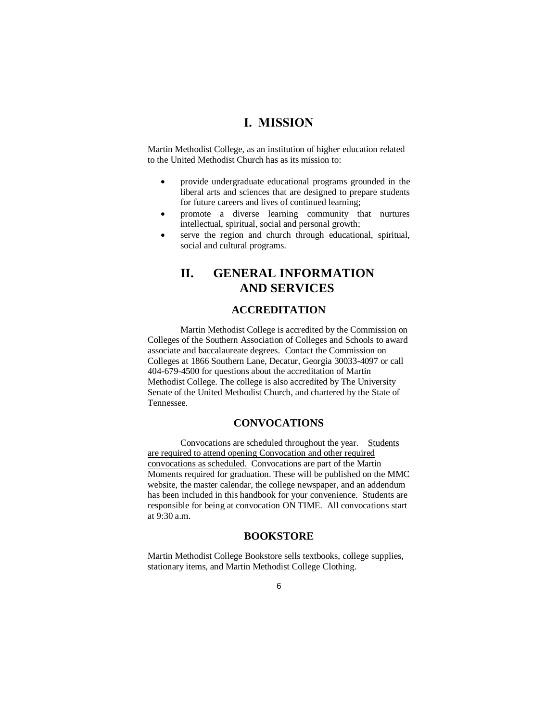# **I. MISSION**

Martin Methodist College, as an institution of higher education related to the United Methodist Church has as its mission to:

- provide undergraduate educational programs grounded in the liberal arts and sciences that are designed to prepare students for future careers and lives of continued learning;
- promote a diverse learning community that nurtures intellectual, spiritual, social and personal growth;
- serve the region and church through educational, spiritual, social and cultural programs.

# **II. GENERAL INFORMATION AND SERVICES**

## **ACCREDITATION**

Martin Methodist College is accredited by the Commission on Colleges of the Southern Association of Colleges and Schools to award associate and baccalaureate degrees. Contact the Commission on Colleges at 1866 Southern Lane, Decatur, Georgia 30033-4097 or call 404-679-4500 for questions about the accreditation of Martin Methodist College. The college is also accredited by The University Senate of the United Methodist Church, and chartered by the State of Tennessee.

## **CONVOCATIONS**

Convocations are scheduled throughout the year. Students are required to attend opening Convocation and other required convocations as scheduled. Convocations are part of the Martin Moments required for graduation. These will be published on the MMC website, the master calendar, the college newspaper, and an addendum has been included in this handbook for your convenience. Students are responsible for being at convocation ON TIME. All convocations start at 9:30 a.m.

## **BOOKSTORE**

Martin Methodist College Bookstore sells textbooks, college supplies, stationary items, and Martin Methodist College Clothing.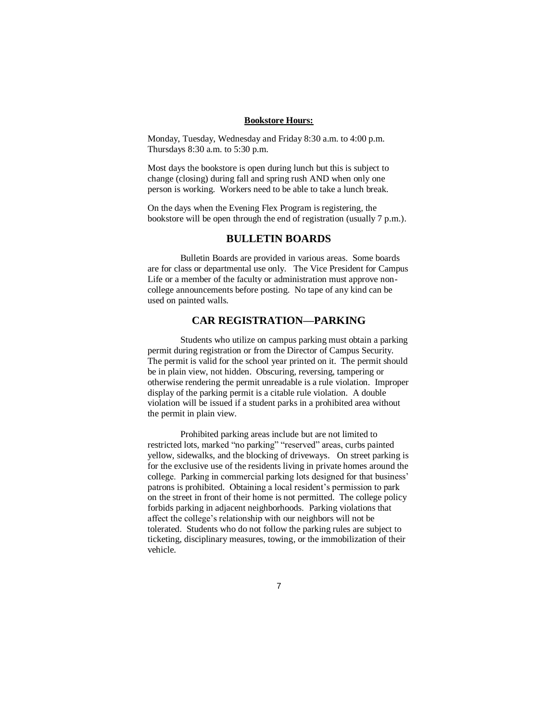#### **Bookstore Hours:**

Monday, Tuesday, Wednesday and Friday 8:30 a.m. to 4:00 p.m. Thursdays 8:30 a.m. to 5:30 p.m.

Most days the bookstore is open during lunch but this is subject to change (closing) during fall and spring rush AND when only one person is working. Workers need to be able to take a lunch break.

On the days when the Evening Flex Program is registering, the bookstore will be open through the end of registration (usually 7 p.m.).

## **BULLETIN BOARDS**

Bulletin Boards are provided in various areas. Some boards are for class or departmental use only. The Vice President for Campus Life or a member of the faculty or administration must approve noncollege announcements before posting. No tape of any kind can be used on painted walls.

## **CAR REGISTRATION—PARKING**

Students who utilize on campus parking must obtain a parking permit during registration or from the Director of Campus Security. The permit is valid for the school year printed on it. The permit should be in plain view, not hidden. Obscuring, reversing, tampering or otherwise rendering the permit unreadable is a rule violation. Improper display of the parking permit is a citable rule violation. A double violation will be issued if a student parks in a prohibited area without the permit in plain view.

Prohibited parking areas include but are not limited to restricted lots, marked "no parking" "reserved" areas, curbs painted yellow, sidewalks, and the blocking of driveways. On street parking is for the exclusive use of the residents living in private homes around the college. Parking in commercial parking lots designed for that business' patrons is prohibited. Obtaining a local resident's permission to park on the street in front of their home is not permitted. The college policy forbids parking in adjacent neighborhoods. Parking violations that affect the college's relationship with our neighbors will not be tolerated. Students who do not follow the parking rules are subject to ticketing, disciplinary measures, towing, or the immobilization of their vehicle.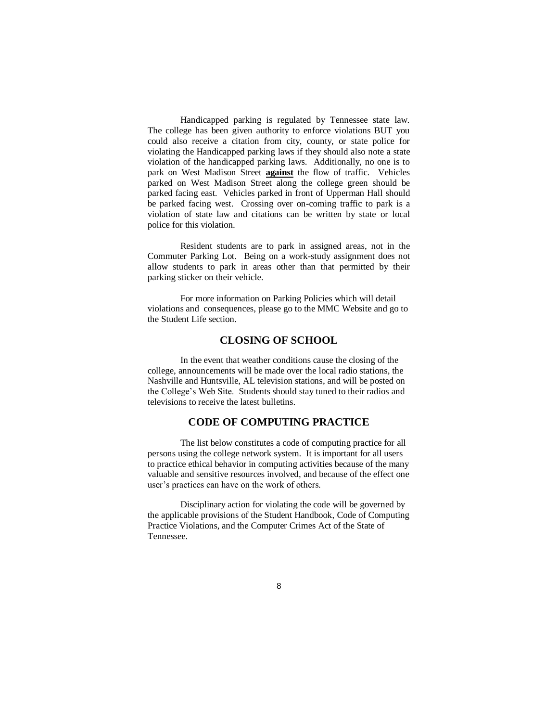Handicapped parking is regulated by Tennessee state law. The college has been given authority to enforce violations BUT you could also receive a citation from city, county, or state police for violating the Handicapped parking laws if they should also note a state violation of the handicapped parking laws. Additionally, no one is to park on West Madison Street **against** the flow of traffic. Vehicles parked on West Madison Street along the college green should be parked facing east. Vehicles parked in front of Upperman Hall should be parked facing west. Crossing over on-coming traffic to park is a violation of state law and citations can be written by state or local police for this violation.

Resident students are to park in assigned areas, not in the Commuter Parking Lot. Being on a work-study assignment does not allow students to park in areas other than that permitted by their parking sticker on their vehicle.

For more information on Parking Policies which will detail violations and consequences, please go to the MMC Website and go to the Student Life section.

## **CLOSING OF SCHOOL**

In the event that weather conditions cause the closing of the college, announcements will be made over the local radio stations, the Nashville and Huntsville, AL television stations, and will be posted on the College's Web Site. Students should stay tuned to their radios and televisions to receive the latest bulletins.

## **CODE OF COMPUTING PRACTICE**

The list below constitutes a code of computing practice for all persons using the college network system. It is important for all users to practice ethical behavior in computing activities because of the many valuable and sensitive resources involved, and because of the effect one user's practices can have on the work of others.

Disciplinary action for violating the code will be governed by the applicable provisions of the Student Handbook, Code of Computing Practice Violations, and the Computer Crimes Act of the State of Tennessee.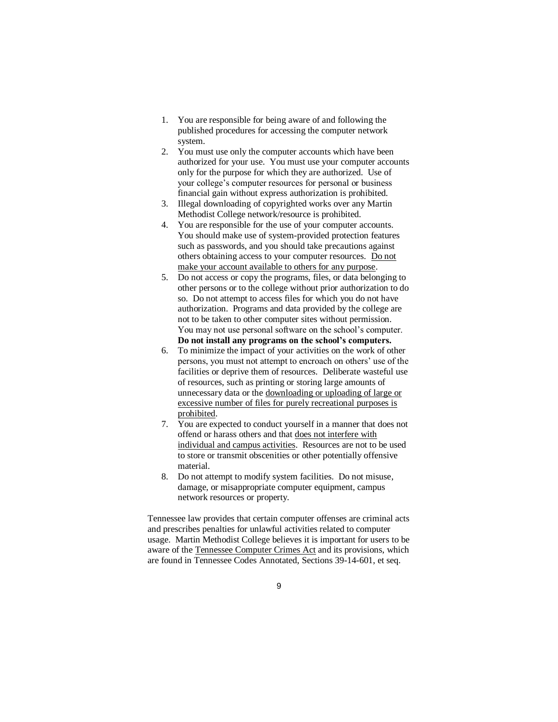- 1. You are responsible for being aware of and following the published procedures for accessing the computer network system.
- 2. You must use only the computer accounts which have been authorized for your use. You must use your computer accounts only for the purpose for which they are authorized. Use of your college's computer resources for personal or business financial gain without express authorization is prohibited.
- 3. Illegal downloading of copyrighted works over any Martin Methodist College network/resource is prohibited.
- 4. You are responsible for the use of your computer accounts. You should make use of system-provided protection features such as passwords, and you should take precautions against others obtaining access to your computer resources. Do not make your account available to others for any purpose.
- 5. Do not access or copy the programs, files, or data belonging to other persons or to the college without prior authorization to do so. Do not attempt to access files for which you do not have authorization. Programs and data provided by the college are not to be taken to other computer sites without permission. You may not use personal software on the school's computer. **Do not install any programs on the school's computers.**
- 6. To minimize the impact of your activities on the work of other persons, you must not attempt to encroach on others' use of the facilities or deprive them of resources. Deliberate wasteful use of resources, such as printing or storing large amounts of unnecessary data or the downloading or uploading of large or excessive number of files for purely recreational purposes is prohibited.
- 7. You are expected to conduct yourself in a manner that does not offend or harass others and that does not interfere with individual and campus activities. Resources are not to be used to store or transmit obscenities or other potentially offensive material.
- 8. Do not attempt to modify system facilities. Do not misuse, damage, or misappropriate computer equipment, campus network resources or property.

Tennessee law provides that certain computer offenses are criminal acts and prescribes penalties for unlawful activities related to computer usage. Martin Methodist College believes it is important for users to be aware of the Tennessee Computer Crimes Act and its provisions, which are found in Tennessee Codes Annotated, Sections 39-14-601, et seq.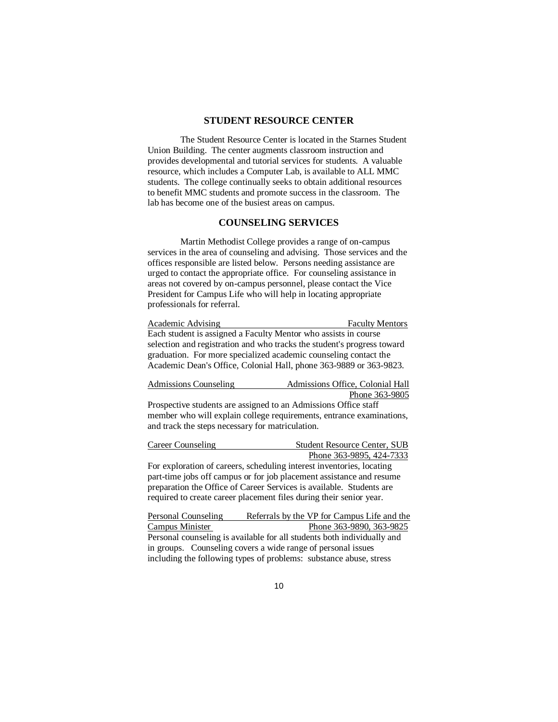### **STUDENT RESOURCE CENTER**

The Student Resource Center is located in the Starnes Student Union Building. The center augments classroom instruction and provides developmental and tutorial services for students. A valuable resource, which includes a Computer Lab, is available to ALL MMC students. The college continually seeks to obtain additional resources to benefit MMC students and promote success in the classroom. The lab has become one of the busiest areas on campus.

#### **COUNSELING SERVICES**

Martin Methodist College provides a range of on-campus services in the area of counseling and advising. Those services and the offices responsible are listed below. Persons needing assistance are urged to contact the appropriate office. For counseling assistance in areas not covered by on-campus personnel, please contact the Vice President for Campus Life who will help in locating appropriate professionals for referral.

Academic Advising Faculty Mentors Each student is assigned a Faculty Mentor who assists in course selection and registration and who tracks the student's progress toward graduation. For more specialized academic counseling contact the Academic Dean's Office, Colonial Hall, phone 363-9889 or 363-9823.

|  | Admissions Counseling |  |  |  |  | Admissions Office, Colonial Hall |  |
|--|-----------------------|--|--|--|--|----------------------------------|--|
|  |                       |  |  |  |  | Phone 363-9805                   |  |
|  |                       |  |  |  |  |                                  |  |

Prospective students are assigned to an Admissions Office staff member who will explain college requirements, entrance examinations, and track the steps necessary for matriculation.

| Career Counseling | <b>Student Resource Center, SUB</b>                                                |
|-------------------|------------------------------------------------------------------------------------|
|                   | Phone 363-9895, 424-7333                                                           |
|                   | $\mathbf{r}$ , the contribution of $\mathbf{r}$ , the contribution of $\mathbf{r}$ |

For exploration of careers, scheduling interest inventories, locating part-time jobs off campus or for job placement assistance and resume preparation the Office of Career Services is available. Students are required to create career placement files during their senior year.

Personal Counseling Referrals by the VP for Campus Life and the Campus Minister Phone 363-9890, 363-9825 Personal counseling is available for all students both individually and in groups. Counseling covers a wide range of personal issues including the following types of problems: substance abuse, stress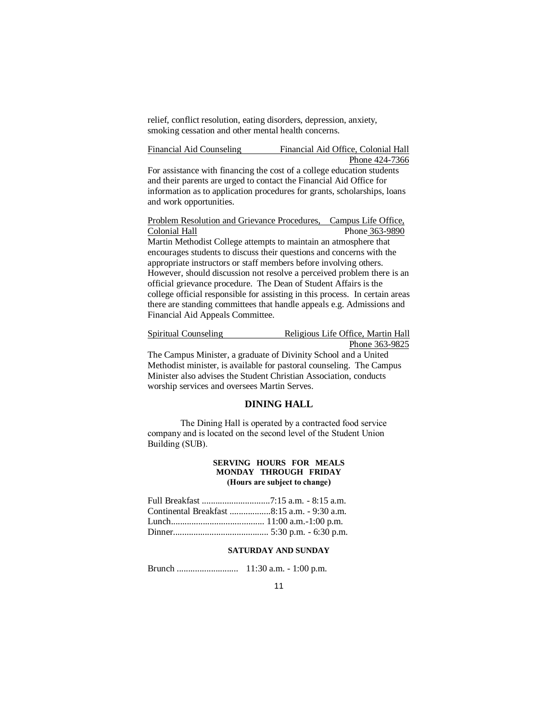relief, conflict resolution, eating disorders, depression, anxiety, smoking cessation and other mental health concerns.

Financial Aid Counseling Financial Aid Office, Colonial Hall Phone 424-7366

For assistance with financing the cost of a college education students and their parents are urged to contact the Financial Aid Office for information as to application procedures for grants, scholarships, loans and work opportunities.

Problem Resolution and Grievance Procedures, Campus Life Office, Colonial Hall Phone 363-9890 Martin Methodist College attempts to maintain an atmosphere that encourages students to discuss their questions and concerns with the appropriate instructors or staff members before involving others. However, should discussion not resolve a perceived problem there is an official grievance procedure. The Dean of Student Affairs is the college official responsible for assisting in this process. In certain areas there are standing committees that handle appeals e.g. Admissions and Financial Aid Appeals Committee.

Spiritual Counseling Religious Life Office, Martin Hall Phone 363-9825

The Campus Minister, a graduate of Divinity School and a United Methodist minister, is available for pastoral counseling. The Campus Minister also advises the Student Christian Association, conducts worship services and oversees Martin Serves.

#### **DINING HALL**

The Dining Hall is operated by a contracted food service company and is located on the second level of the Student Union Building (SUB).

#### **SERVING HOURS FOR MEALS MONDAY THROUGH FRIDAY (Hours are subject to change)**

| Continental Breakfast 8:15 a.m. - 9:30 a.m. |
|---------------------------------------------|
|                                             |
|                                             |
|                                             |

#### **SATURDAY AND SUNDAY**

Brunch ........................... 11:30 a.m. - 1:00 p.m.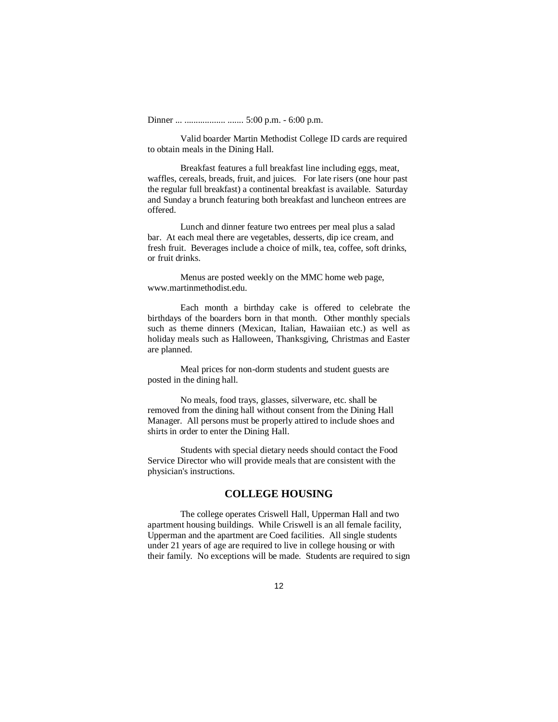Dinner ... .................. ....... 5:00 p.m. - 6:00 p.m.

Valid boarder Martin Methodist College ID cards are required to obtain meals in the Dining Hall.

Breakfast features a full breakfast line including eggs, meat, waffles, cereals, breads, fruit, and juices. For late risers (one hour past the regular full breakfast) a continental breakfast is available. Saturday and Sunday a brunch featuring both breakfast and luncheon entrees are offered.

Lunch and dinner feature two entrees per meal plus a salad bar. At each meal there are vegetables, desserts, dip ice cream, and fresh fruit. Beverages include a choice of milk, tea, coffee, soft drinks, or fruit drinks.

Menus are posted weekly on the MMC home web page, www.martinmethodist.edu.

Each month a birthday cake is offered to celebrate the birthdays of the boarders born in that month. Other monthly specials such as theme dinners (Mexican, Italian, Hawaiian etc.) as well as holiday meals such as Halloween, Thanksgiving, Christmas and Easter are planned.

Meal prices for non-dorm students and student guests are posted in the dining hall.

No meals, food trays, glasses, silverware, etc. shall be removed from the dining hall without consent from the Dining Hall Manager. All persons must be properly attired to include shoes and shirts in order to enter the Dining Hall.

Students with special dietary needs should contact the Food Service Director who will provide meals that are consistent with the physician's instructions.

### **COLLEGE HOUSING**

The college operates Criswell Hall, Upperman Hall and two apartment housing buildings. While Criswell is an all female facility, Upperman and the apartment are Coed facilities. All single students under 21 years of age are required to live in college housing or with their family. No exceptions will be made. Students are required to sign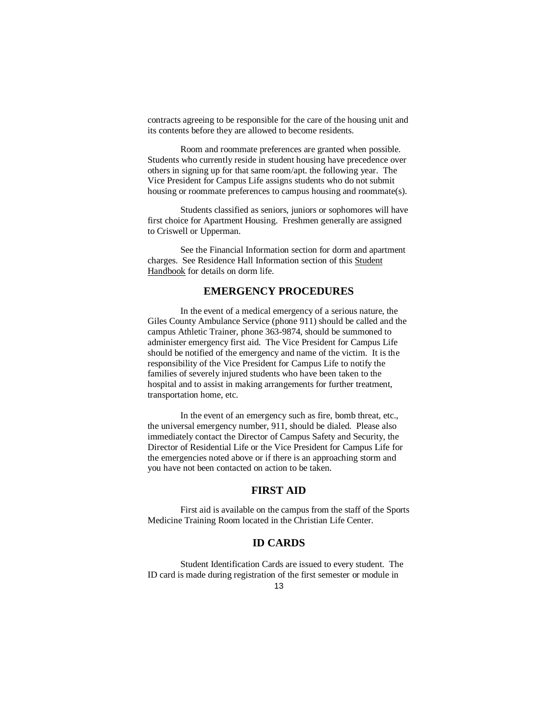contracts agreeing to be responsible for the care of the housing unit and its contents before they are allowed to become residents.

Room and roommate preferences are granted when possible. Students who currently reside in student housing have precedence over others in signing up for that same room/apt. the following year. The Vice President for Campus Life assigns students who do not submit housing or roommate preferences to campus housing and roommate(s).

Students classified as seniors, juniors or sophomores will have first choice for Apartment Housing. Freshmen generally are assigned to Criswell or Upperman.

See the Financial Information section for dorm and apartment charges. See Residence Hall Information section of this Student Handbook for details on dorm life.

## **EMERGENCY PROCEDURES**

In the event of a medical emergency of a serious nature, the Giles County Ambulance Service (phone 911) should be called and the campus Athletic Trainer, phone 363-9874, should be summoned to administer emergency first aid. The Vice President for Campus Life should be notified of the emergency and name of the victim. It is the responsibility of the Vice President for Campus Life to notify the families of severely injured students who have been taken to the hospital and to assist in making arrangements for further treatment, transportation home, etc.

In the event of an emergency such as fire, bomb threat, etc., the universal emergency number, 911, should be dialed. Please also immediately contact the Director of Campus Safety and Security, the Director of Residential Life or the Vice President for Campus Life for the emergencies noted above or if there is an approaching storm and you have not been contacted on action to be taken.

## **FIRST AID**

First aid is available on the campus from the staff of the Sports Medicine Training Room located in the Christian Life Center.

## **ID CARDS**

Student Identification Cards are issued to every student. The ID card is made during registration of the first semester or module in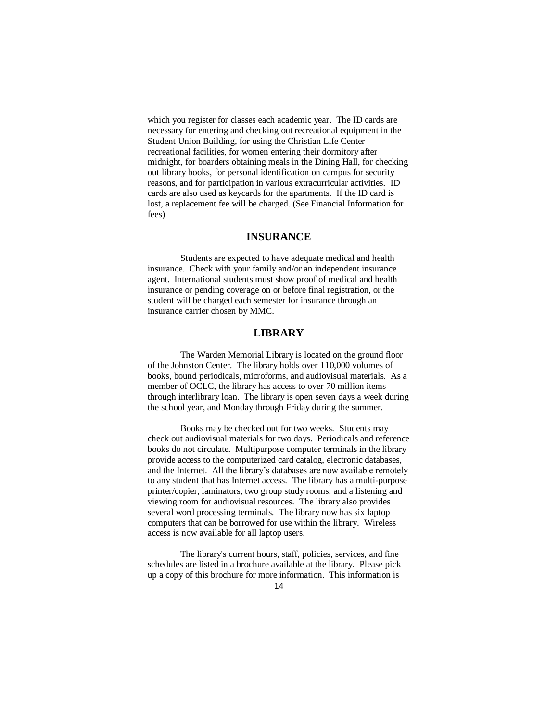which you register for classes each academic year. The ID cards are necessary for entering and checking out recreational equipment in the Student Union Building, for using the Christian Life Center recreational facilities, for women entering their dormitory after midnight, for boarders obtaining meals in the Dining Hall, for checking out library books, for personal identification on campus for security reasons, and for participation in various extracurricular activities. ID cards are also used as keycards for the apartments. If the ID card is lost, a replacement fee will be charged. (See Financial Information for fees)

### **INSURANCE**

Students are expected to have adequate medical and health insurance. Check with your family and/or an independent insurance agent. International students must show proof of medical and health insurance or pending coverage on or before final registration, or the student will be charged each semester for insurance through an insurance carrier chosen by MMC.

## **LIBRARY**

The Warden Memorial Library is located on the ground floor of the Johnston Center. The library holds over 110,000 volumes of books, bound periodicals, microforms, and audiovisual materials. As a member of OCLC, the library has access to over 70 million items through interlibrary loan. The library is open seven days a week during the school year, and Monday through Friday during the summer.

Books may be checked out for two weeks. Students may check out audiovisual materials for two days. Periodicals and reference books do not circulate. Multipurpose computer terminals in the library provide access to the computerized card catalog, electronic databases, and the Internet. All the library's databases are now available remotely to any student that has Internet access.The library has a multi-purpose printer/copier, laminators, two group study rooms, and a listening and viewing room for audiovisual resources. The library also provides several word processing terminals. The library now has six laptop computers that can be borrowed for use within the library. Wireless access is now available for all laptop users.

The library's current hours, staff, policies, services, and fine schedules are listed in a brochure available at the library. Please pick up a copy of this brochure for more information. This information is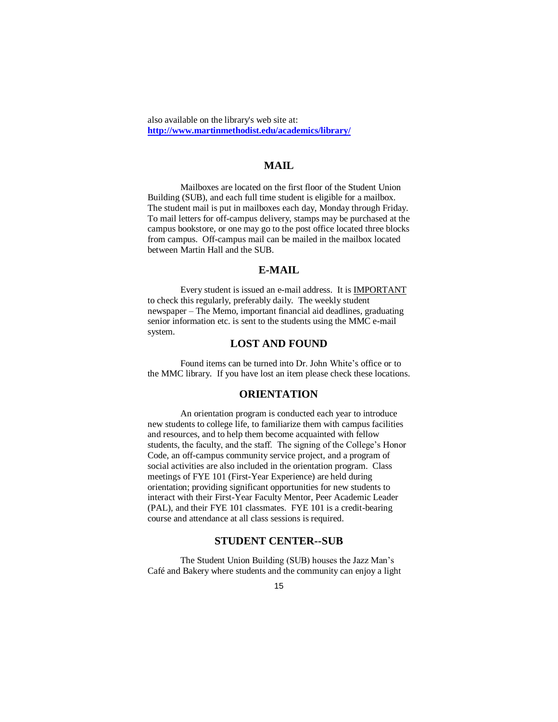also available on the library's web site at: **http://www.martinmethodist.edu/academics/library/**

## **MAIL**

Mailboxes are located on the first floor of the Student Union Building (SUB), and each full time student is eligible for a mailbox. The student mail is put in mailboxes each day, Monday through Friday. To mail letters for off-campus delivery, stamps may be purchased at the campus bookstore, or one may go to the post office located three blocks from campus. Off-campus mail can be mailed in the mailbox located between Martin Hall and the SUB.

## **E-MAIL**

Every student is issued an e-mail address. It is IMPORTANT to check this regularly, preferably daily. The weekly student newspaper – The Memo, important financial aid deadlines, graduating senior information etc. is sent to the students using the MMC e-mail system.

### **LOST AND FOUND**

Found items can be turned into Dr. John White's office or to the MMC library. If you have lost an item please check these locations.

### **ORIENTATION**

An orientation program is conducted each year to introduce new students to college life, to familiarize them with campus facilities and resources, and to help them become acquainted with fellow students, the faculty, and the staff. The signing of the College's Honor Code, an off-campus community service project, and a program of social activities are also included in the orientation program. Class meetings of FYE 101 (First-Year Experience) are held during orientation; providing significant opportunities for new students to interact with their First-Year Faculty Mentor, Peer Academic Leader (PAL), and their FYE 101 classmates. FYE 101 is a credit-bearing course and attendance at all class sessions is required.

## **STUDENT CENTER--SUB**

The Student Union Building (SUB) houses the Jazz Man's Café and Bakery where students and the community can enjoy a light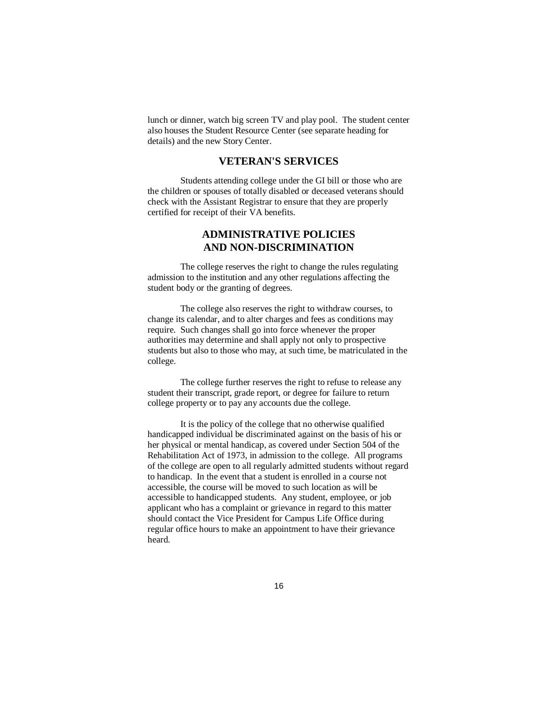lunch or dinner, watch big screen TV and play pool. The student center also houses the Student Resource Center (see separate heading for details) and the new Story Center.

## **VETERAN'S SERVICES**

Students attending college under the GI bill or those who are the children or spouses of totally disabled or deceased veterans should check with the Assistant Registrar to ensure that they are properly certified for receipt of their VA benefits.

## **ADMINISTRATIVE POLICIES AND NON-DISCRIMINATION**

The college reserves the right to change the rules regulating admission to the institution and any other regulations affecting the student body or the granting of degrees.

The college also reserves the right to withdraw courses, to change its calendar, and to alter charges and fees as conditions may require. Such changes shall go into force whenever the proper authorities may determine and shall apply not only to prospective students but also to those who may, at such time, be matriculated in the college.

The college further reserves the right to refuse to release any student their transcript, grade report, or degree for failure to return college property or to pay any accounts due the college.

It is the policy of the college that no otherwise qualified handicapped individual be discriminated against on the basis of his or her physical or mental handicap, as covered under Section 504 of the Rehabilitation Act of 1973, in admission to the college. All programs of the college are open to all regularly admitted students without regard to handicap. In the event that a student is enrolled in a course not accessible, the course will be moved to such location as will be accessible to handicapped students. Any student, employee, or job applicant who has a complaint or grievance in regard to this matter should contact the Vice President for Campus Life Office during regular office hours to make an appointment to have their grievance heard.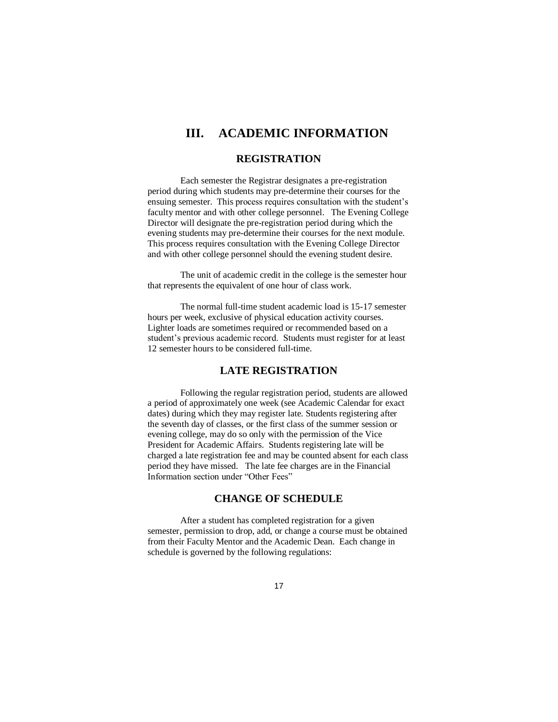# **III. ACADEMIC INFORMATION**

### **REGISTRATION**

Each semester the Registrar designates a pre-registration period during which students may pre-determine their courses for the ensuing semester. This process requires consultation with the student's faculty mentor and with other college personnel. The Evening College Director will designate the pre-registration period during which the evening students may pre-determine their courses for the next module. This process requires consultation with the Evening College Director and with other college personnel should the evening student desire.

The unit of academic credit in the college is the semester hour that represents the equivalent of one hour of class work.

The normal full-time student academic load is 15-17 semester hours per week, exclusive of physical education activity courses. Lighter loads are sometimes required or recommended based on a student's previous academic record. Students must register for at least 12 semester hours to be considered full-time.

## **LATE REGISTRATION**

Following the regular registration period, students are allowed a period of approximately one week (see Academic Calendar for exact dates) during which they may register late. Students registering after the seventh day of classes, or the first class of the summer session or evening college, may do so only with the permission of the Vice President for Academic Affairs. Students registering late will be charged a late registration fee and may be counted absent for each class period they have missed. The late fee charges are in the Financial Information section under "Other Fees"

## **CHANGE OF SCHEDULE**

After a student has completed registration for a given semester, permission to drop, add, or change a course must be obtained from their Faculty Mentor and the Academic Dean. Each change in schedule is governed by the following regulations: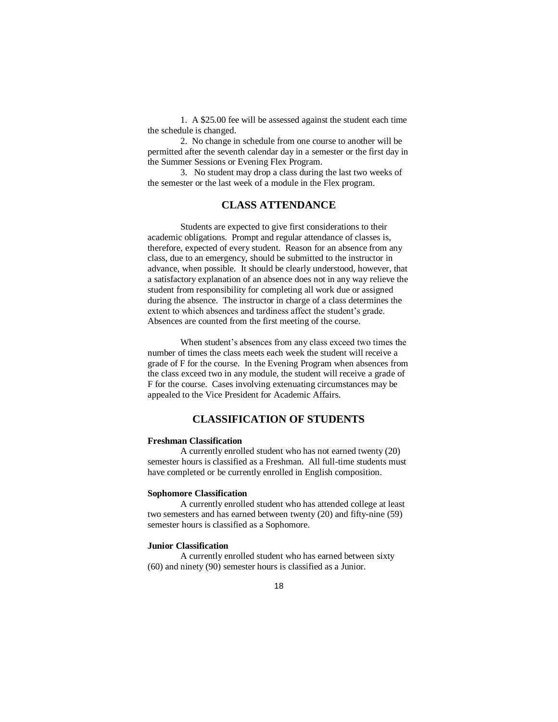1. A \$25.00 fee will be assessed against the student each time the schedule is changed.

2. No change in schedule from one course to another will be permitted after the seventh calendar day in a semester or the first day in the Summer Sessions or Evening Flex Program.

3. No student may drop a class during the last two weeks of the semester or the last week of a module in the Flex program.

## **CLASS ATTENDANCE**

Students are expected to give first considerations to their academic obligations. Prompt and regular attendance of classes is, therefore, expected of every student. Reason for an absence from any class, due to an emergency, should be submitted to the instructor in advance, when possible. It should be clearly understood, however, that a satisfactory explanation of an absence does not in any way relieve the student from responsibility for completing all work due or assigned during the absence. The instructor in charge of a class determines the extent to which absences and tardiness affect the student's grade. Absences are counted from the first meeting of the course.

When student's absences from any class exceed two times the number of times the class meets each week the student will receive a grade of F for the course. In the Evening Program when absences from the class exceed two in any module, the student will receive a grade of F for the course. Cases involving extenuating circumstances may be appealed to the Vice President for Academic Affairs.

## **CLASSIFICATION OF STUDENTS**

### **Freshman Classification**

A currently enrolled student who has not earned twenty (20) semester hours is classified as a Freshman. All full-time students must have completed or be currently enrolled in English composition.

#### **Sophomore Classification**

A currently enrolled student who has attended college at least two semesters and has earned between twenty (20) and fifty-nine (59) semester hours is classified as a Sophomore.

#### **Junior Classification**

A currently enrolled student who has earned between sixty (60) and ninety (90) semester hours is classified as a Junior.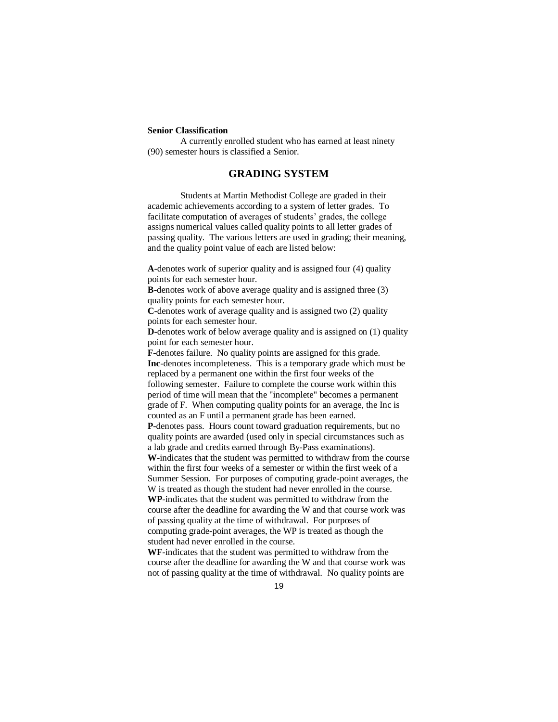#### **Senior Classification**

A currently enrolled student who has earned at least ninety (90) semester hours is classified a Senior.

## **GRADING SYSTEM**

Students at Martin Methodist College are graded in their academic achievements according to a system of letter grades. To facilitate computation of averages of students' grades, the college assigns numerical values called quality points to all letter grades of passing quality. The various letters are used in grading; their meaning, and the quality point value of each are listed below:

**A**-denotes work of superior quality and is assigned four (4) quality points for each semester hour.

**B**-denotes work of above average quality and is assigned three (3) quality points for each semester hour.

**C**-denotes work of average quality and is assigned two (2) quality points for each semester hour.

**D**-denotes work of below average quality and is assigned on (1) quality point for each semester hour.

**F**-denotes failure. No quality points are assigned for this grade. **Inc**-denotes incompleteness. This is a temporary grade which must be replaced by a permanent one within the first four weeks of the following semester. Failure to complete the course work within this period of time will mean that the "incomplete" becomes a permanent grade of F. When computing quality points for an average, the Inc is counted as an F until a permanent grade has been earned.

**P**-denotes pass. Hours count toward graduation requirements, but no quality points are awarded (used only in special circumstances such as a lab grade and credits earned through By-Pass examinations).

**W**-indicates that the student was permitted to withdraw from the course within the first four weeks of a semester or within the first week of a Summer Session. For purposes of computing grade-point averages, the W is treated as though the student had never enrolled in the course. **WP**-indicates that the student was permitted to withdraw from the course after the deadline for awarding the W and that course work was of passing quality at the time of withdrawal. For purposes of computing grade-point averages, the WP is treated as though the

student had never enrolled in the course.

**WF**-indicates that the student was permitted to withdraw from the course after the deadline for awarding the W and that course work was not of passing quality at the time of withdrawal. No quality points are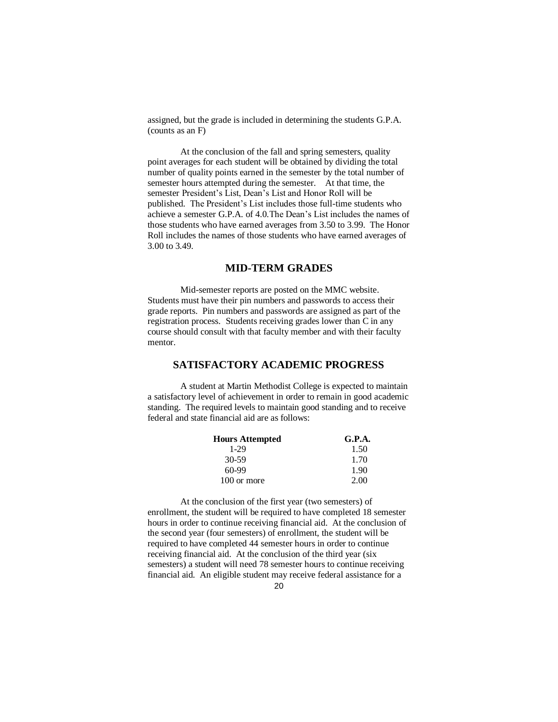assigned, but the grade is included in determining the students G.P.A. (counts as an F)

At the conclusion of the fall and spring semesters, quality point averages for each student will be obtained by dividing the total number of quality points earned in the semester by the total number of semester hours attempted during the semester. At that time, the semester President's List, Dean's List and Honor Roll will be published. The President's List includes those full-time students who achieve a semester G.P.A. of 4.0.The Dean's List includes the names of those students who have earned averages from 3.50 to 3.99. The Honor Roll includes the names of those students who have earned averages of 3.00 to 3.49.

## **MID-TERM GRADES**

Mid-semester reports are posted on the MMC website. Students must have their pin numbers and passwords to access their grade reports. Pin numbers and passwords are assigned as part of the registration process. Students receiving grades lower than C in any course should consult with that faculty member and with their faculty mentor.

## **SATISFACTORY ACADEMIC PROGRESS**

A student at Martin Methodist College is expected to maintain a satisfactory level of achievement in order to remain in good academic standing. The required levels to maintain good standing and to receive federal and state financial aid are as follows:

| <b>Hours Attempted</b> | G.P.A. |
|------------------------|--------|
| 1-29                   | 1.50   |
| 30-59                  | 1.70   |
| $60-99$                | 1.90   |
| 100 or more            | 2.00   |

At the conclusion of the first year (two semesters) of enrollment, the student will be required to have completed 18 semester hours in order to continue receiving financial aid. At the conclusion of the second year (four semesters) of enrollment, the student will be required to have completed 44 semester hours in order to continue receiving financial aid. At the conclusion of the third year (six semesters) a student will need 78 semester hours to continue receiving financial aid. An eligible student may receive federal assistance for a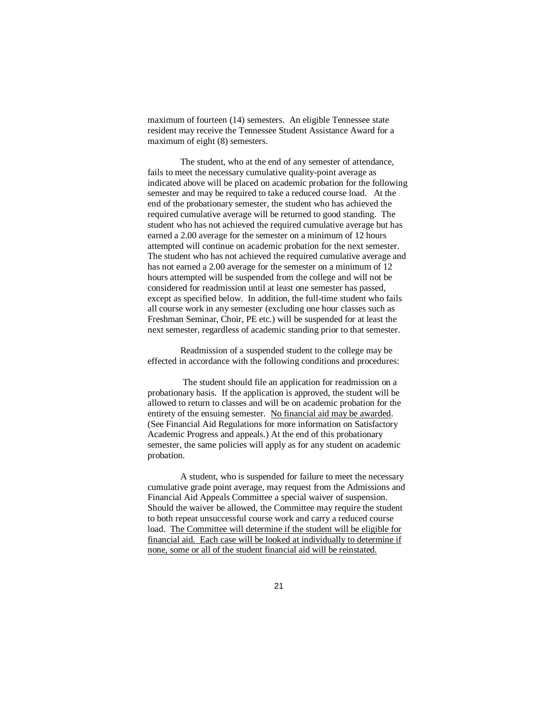maximum of fourteen (14) semesters. An eligible Tennessee state resident may receive the Tennessee Student Assistance Award for a maximum of eight (8) semesters.

The student, who at the end of any semester of attendance, fails to meet the necessary cumulative quality-point average as indicated above will be placed on academic probation for the following semester and may be required to take a reduced course load. At the end of the probationary semester, the student who has achieved the required cumulative average will be returned to good standing. The student who has not achieved the required cumulative average but has earned a 2.00 average for the semester on a minimum of 12 hours attempted will continue on academic probation for the next semester. The student who has not achieved the required cumulative average and has not earned a 2.00 average for the semester on a minimum of 12 hours attempted will be suspended from the college and will not be considered for readmission until at least one semester has passed, except as specified below. In addition, the full-time student who fails all course work in any semester (excluding one hour classes such as Freshman Seminar, Choir, PE etc.) will be suspended for at least the next semester, regardless of academic standing prior to that semester.

Readmission of a suspended student to the college may be effected in accordance with the following conditions and procedures:

 The student should file an application for readmission on a probationary basis. If the application is approved, the student will be allowed to return to classes and will be on academic probation for the entirety of the ensuing semester. No financial aid may be awarded. (See Financial Aid Regulations for more information on Satisfactory Academic Progress and appeals.) At the end of this probationary semester, the same policies will apply as for any student on academic probation.

A student, who is suspended for failure to meet the necessary cumulative grade point average, may request from the Admissions and Financial Aid Appeals Committee a special waiver of suspension. Should the waiver be allowed, the Committee may require the student to both repeat unsuccessful course work and carry a reduced course load. The Committee will determine if the student will be eligible for financial aid. Each case will be looked at individually to determine if none, some or all of the student financial aid will be reinstated.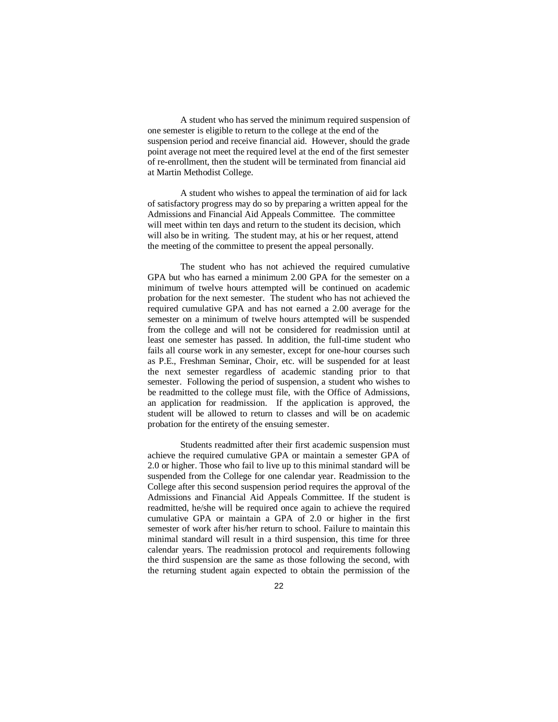A student who has served the minimum required suspension of one semester is eligible to return to the college at the end of the suspension period and receive financial aid. However, should the grade point average not meet the required level at the end of the first semester of re-enrollment, then the student will be terminated from financial aid at Martin Methodist College.

A student who wishes to appeal the termination of aid for lack of satisfactory progress may do so by preparing a written appeal for the Admissions and Financial Aid Appeals Committee. The committee will meet within ten days and return to the student its decision, which will also be in writing. The student may, at his or her request, attend the meeting of the committee to present the appeal personally.

The student who has not achieved the required cumulative GPA but who has earned a minimum 2.00 GPA for the semester on a minimum of twelve hours attempted will be continued on academic probation for the next semester. The student who has not achieved the required cumulative GPA and has not earned a 2.00 average for the semester on a minimum of twelve hours attempted will be suspended from the college and will not be considered for readmission until at least one semester has passed. In addition, the full-time student who fails all course work in any semester, except for one-hour courses such as P.E., Freshman Seminar, Choir, etc. will be suspended for at least the next semester regardless of academic standing prior to that semester. Following the period of suspension, a student who wishes to be readmitted to the college must file, with the Office of Admissions, an application for readmission. If the application is approved, the student will be allowed to return to classes and will be on academic probation for the entirety of the ensuing semester.

Students readmitted after their first academic suspension must achieve the required cumulative GPA or maintain a semester GPA of 2.0 or higher. Those who fail to live up to this minimal standard will be suspended from the College for one calendar year. Readmission to the College after this second suspension period requires the approval of the Admissions and Financial Aid Appeals Committee. If the student is readmitted, he/she will be required once again to achieve the required cumulative GPA or maintain a GPA of 2.0 or higher in the first semester of work after his/her return to school. Failure to maintain this minimal standard will result in a third suspension, this time for three calendar years. The readmission protocol and requirements following the third suspension are the same as those following the second, with the returning student again expected to obtain the permission of the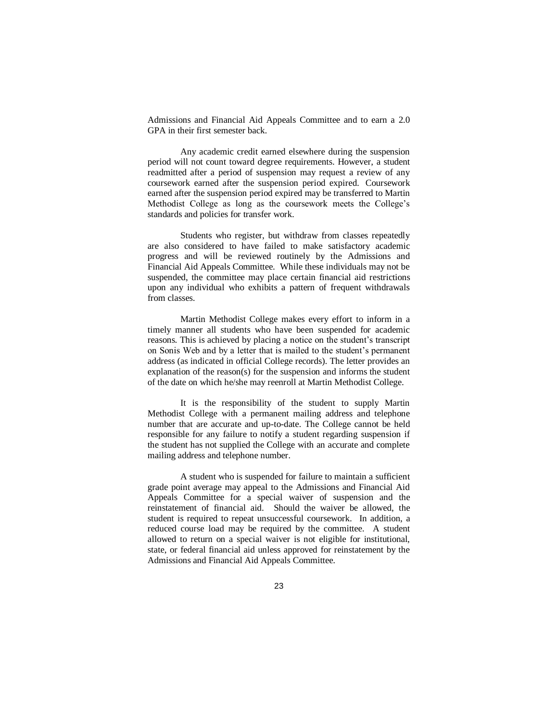Admissions and Financial Aid Appeals Committee and to earn a 2.0 GPA in their first semester back.

Any academic credit earned elsewhere during the suspension period will not count toward degree requirements. However, a student readmitted after a period of suspension may request a review of any coursework earned after the suspension period expired. Coursework earned after the suspension period expired may be transferred to Martin Methodist College as long as the coursework meets the College's standards and policies for transfer work.

Students who register, but withdraw from classes repeatedly are also considered to have failed to make satisfactory academic progress and will be reviewed routinely by the Admissions and Financial Aid Appeals Committee. While these individuals may not be suspended, the committee may place certain financial aid restrictions upon any individual who exhibits a pattern of frequent withdrawals from classes.

Martin Methodist College makes every effort to inform in a timely manner all students who have been suspended for academic reasons. This is achieved by placing a notice on the student's transcript on Sonis Web and by a letter that is mailed to the student's permanent address (as indicated in official College records). The letter provides an explanation of the reason(s) for the suspension and informs the student of the date on which he/she may reenroll at Martin Methodist College.

It is the responsibility of the student to supply Martin Methodist College with a permanent mailing address and telephone number that are accurate and up-to-date. The College cannot be held responsible for any failure to notify a student regarding suspension if the student has not supplied the College with an accurate and complete mailing address and telephone number.

 A student who is suspended for failure to maintain a sufficient grade point average may appeal to the Admissions and Financial Aid Appeals Committee for a special waiver of suspension and the reinstatement of financial aid. Should the waiver be allowed, the student is required to repeat unsuccessful coursework. In addition, a reduced course load may be required by the committee. A student allowed to return on a special waiver is not eligible for institutional, state, or federal financial aid unless approved for reinstatement by the Admissions and Financial Aid Appeals Committee.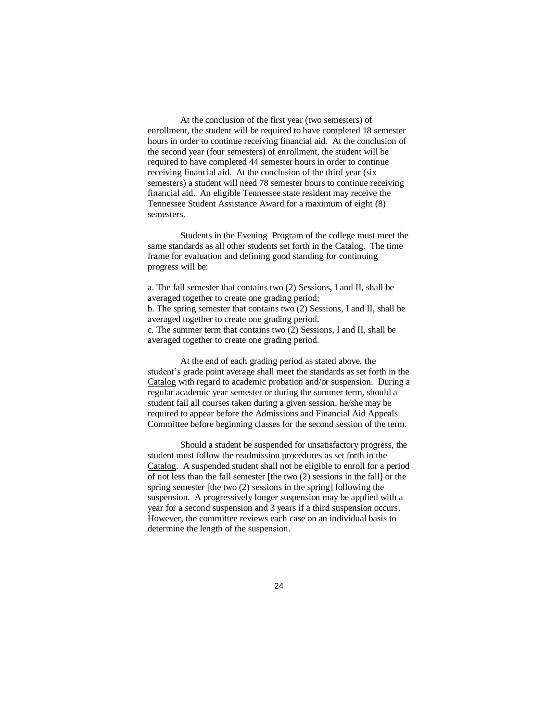At the conclusion of the first year (two semesters) of enrollment, the student will be required to have completed 18 semester hours in order to continue receiving financial aid. At the conclusion of the second year (four semesters) of enrollment, the student will be required to have completed 44 semester hours in order to continue receiving financial aid. At the conclusion of the third year (six semesters) a student will need 78 semester hours to continue receiving financial aid. An eligible Tennessee state resident may receive the Tennessee Student Assistance Award for a maximum of eight (8) semesters.

Students in the Evening Program of the college must meet the same standards as all other students set forth in the Catalog. The time frame for evaluation and defining good standing for continuing progress will be:

a. The fall semester that contains two (2) Sessions, I and II, shall be averaged together to create one grading period; b. The spring semester that contains two (2) Sessions, I and II, shall be averaged together to create one grading period. c. The summer term that contains two (2) Sessions, I and II, shall be averaged together to create one grading period.

At the end of each grading period as stated above, the student's grade point average shall meet the standards as set forth in the Catalog with regard to academic probation and/or suspension. During a regular academic year semester or during the summer term, should a student fail all courses taken during a given session, he/she may be required to appear before the Admissions and Financial Aid Appeals Committee before beginning classes for the second session of the term.

Should a student be suspended for unsatisfactory progress, the student must follow the readmission procedures as set forth in the Catalog. A suspended student shall not be eligible to enroll for a period of not less than the fall semester [the two (2) sessions in the fall] or the spring semester [the two (2) sessions in the spring] following the suspension. A progressively longer suspension may be applied with a year for a second suspension and 3 years if a third suspension occurs. However, the committee reviews each case on an individual basis to determine the length of the suspension.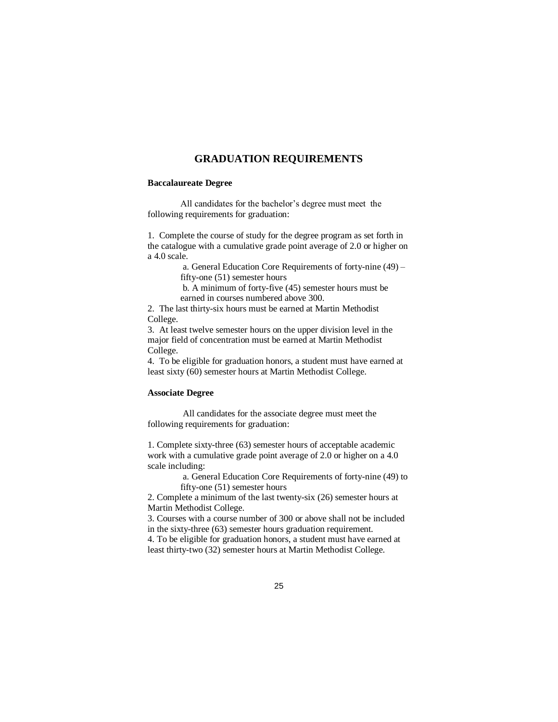### **GRADUATION REQUIREMENTS**

#### **Baccalaureate Degree**

All candidates for the bachelor's degree must meet the following requirements for graduation:

1. Complete the course of study for the degree program as set forth in the catalogue with a cumulative grade point average of 2.0 or higher on a 4.0 scale.

> a. General Education Core Requirements of forty-nine (49) – fifty-one (51) semester hours

b. A minimum of forty-five (45) semester hours must be earned in courses numbered above 300.

2. The last thirty-six hours must be earned at Martin Methodist College.

3. At least twelve semester hours on the upper division level in the major field of concentration must be earned at Martin Methodist College.

4. To be eligible for graduation honors, a student must have earned at least sixty (60) semester hours at Martin Methodist College.

### **Associate Degree**

All candidates for the associate degree must meet the following requirements for graduation:

1. Complete sixty-three (63) semester hours of acceptable academic work with a cumulative grade point average of 2.0 or higher on a 4.0 scale including:

> a. General Education Core Requirements of forty-nine (49) to fifty-one (51) semester hours

2. Complete a minimum of the last twenty-six (26) semester hours at Martin Methodist College.

3. Courses with a course number of 300 or above shall not be included in the sixty-three (63) semester hours graduation requirement. 4. To be eligible for graduation honors, a student must have earned at

least thirty-two (32) semester hours at Martin Methodist College.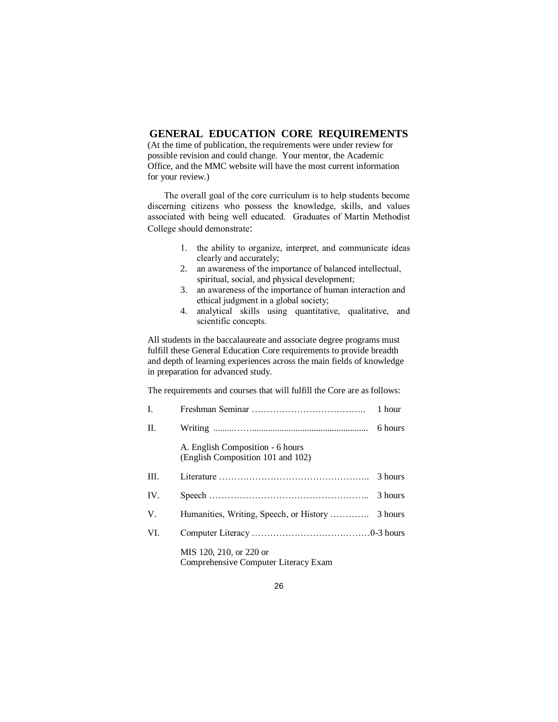## **GENERAL EDUCATION CORE REQUIREMENTS**

(At the time of publication, the requirements were under review for possible revision and could change. Your mentor, the Academic Office, and the MMC website will have the most current information for your review.)

The overall goal of the core curriculum is to help students become discerning citizens who possess the knowledge, skills, and values associated with being well educated. Graduates of Martin Methodist College should demonstrate:

- 1. the ability to organize, interpret, and communicate ideas clearly and accurately;
- 2. an awareness of the importance of balanced intellectual, spiritual, social, and physical development;
- 3. an awareness of the importance of human interaction and ethical judgment in a global society;
- 4. analytical skills using quantitative, qualitative, and scientific concepts.

All students in the baccalaureate and associate degree programs must fulfill these General Education Core requirements to provide breadth and depth of learning experiences across the main fields of knowledge in preparation for advanced study.

The requirements and courses that will fulfill the Core are as follows:

| $\mathbf{I}$ . |                                                                       | 1 hour  |
|----------------|-----------------------------------------------------------------------|---------|
| H.             |                                                                       | 6 hours |
|                | A. English Composition - 6 hours<br>(English Composition 101 and 102) |         |
| III.           |                                                                       | 3 hours |
| IV.            |                                                                       | 3 hours |
| V.             |                                                                       |         |
| VI.            |                                                                       |         |
|                | MIS 120, 210, or 220 or<br>Comprehensive Computer Literacy Exam       |         |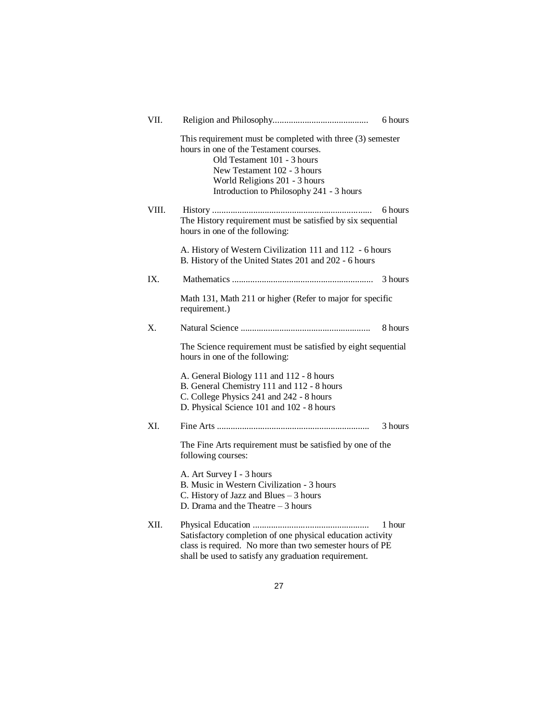| VII.  |                                                                                                                                                                                                                                                 | 6 hours |  |
|-------|-------------------------------------------------------------------------------------------------------------------------------------------------------------------------------------------------------------------------------------------------|---------|--|
|       | This requirement must be completed with three (3) semester<br>hours in one of the Testament courses.<br>Old Testament 101 - 3 hours<br>New Testament 102 - 3 hours<br>World Religions 201 - 3 hours<br>Introduction to Philosophy 241 - 3 hours |         |  |
| VIII. | The History requirement must be satisfied by six sequential<br>hours in one of the following:                                                                                                                                                   | 6 hours |  |
|       | A. History of Western Civilization 111 and 112 - 6 hours<br>B. History of the United States 201 and 202 - 6 hours                                                                                                                               |         |  |
| IX.   |                                                                                                                                                                                                                                                 | 3 hours |  |
|       | Math 131, Math 211 or higher (Refer to major for specific<br>requirement.)                                                                                                                                                                      |         |  |
| Х.    |                                                                                                                                                                                                                                                 | 8 hours |  |
|       | The Science requirement must be satisfied by eight sequential<br>hours in one of the following:                                                                                                                                                 |         |  |
|       | A. General Biology 111 and 112 - 8 hours<br>B. General Chemistry 111 and 112 - 8 hours<br>C. College Physics 241 and 242 - 8 hours<br>D. Physical Science 101 and 102 - 8 hours                                                                 |         |  |
| XI.   |                                                                                                                                                                                                                                                 | 3 hours |  |
|       | The Fine Arts requirement must be satisfied by one of the<br>following courses:                                                                                                                                                                 |         |  |
|       | A. Art Survey I - 3 hours<br>B. Music in Western Civilization - 3 hours<br>C. History of Jazz and Blues - 3 hours<br>D. Drama and the Theatre $-3$ hours                                                                                        |         |  |
| XII.  | Satisfactory completion of one physical education activity<br>class is required. No more than two semester hours of PE<br>shall be used to satisfy any graduation requirement.                                                                  | 1 hour  |  |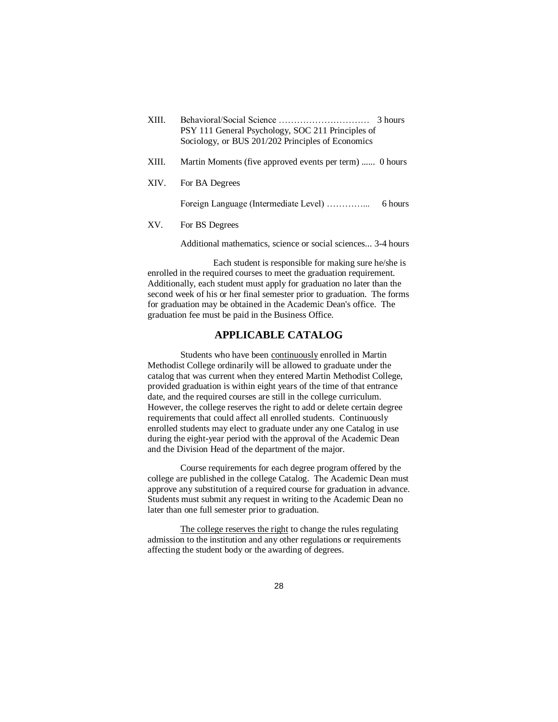| XIII. | 3 hours<br>PSY 111 General Psychology, SOC 211 Principles of<br>Sociology, or BUS 201/202 Principles of Economics |
|-------|-------------------------------------------------------------------------------------------------------------------|
| XIII. | Martin Moments (five approved events per term)  0 hours                                                           |
| XIV.  | For BA Degrees                                                                                                    |
|       | Foreign Language (Intermediate Level)<br>6 hours                                                                  |
| XV.   | For BS Degrees                                                                                                    |
|       |                                                                                                                   |

Additional mathematics, science or social sciences... 3-4 hours

Each student is responsible for making sure he/she is enrolled in the required courses to meet the graduation requirement. Additionally, each student must apply for graduation no later than the second week of his or her final semester prior to graduation. The forms for graduation may be obtained in the Academic Dean's office. The graduation fee must be paid in the Business Office.

## **APPLICABLE CATALOG**

Students who have been continuously enrolled in Martin Methodist College ordinarily will be allowed to graduate under the catalog that was current when they entered Martin Methodist College, provided graduation is within eight years of the time of that entrance date, and the required courses are still in the college curriculum. However, the college reserves the right to add or delete certain degree requirements that could affect all enrolled students. Continuously enrolled students may elect to graduate under any one Catalog in use during the eight-year period with the approval of the Academic Dean and the Division Head of the department of the major.

Course requirements for each degree program offered by the college are published in the college Catalog. The Academic Dean must approve any substitution of a required course for graduation in advance. Students must submit any request in writing to the Academic Dean no later than one full semester prior to graduation.

The college reserves the right to change the rules regulating admission to the institution and any other regulations or requirements affecting the student body or the awarding of degrees.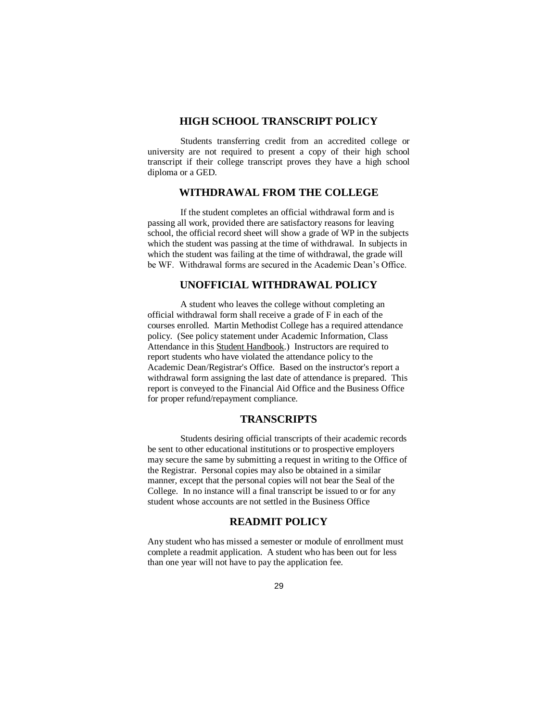## **HIGH SCHOOL TRANSCRIPT POLICY**

Students transferring credit from an accredited college or university are not required to present a copy of their high school transcript if their college transcript proves they have a high school diploma or a GED.

## **WITHDRAWAL FROM THE COLLEGE**

If the student completes an official withdrawal form and is passing all work, provided there are satisfactory reasons for leaving school, the official record sheet will show a grade of WP in the subjects which the student was passing at the time of withdrawal. In subjects in which the student was failing at the time of withdrawal, the grade will be WF. Withdrawal forms are secured in the Academic Dean's Office.

## **UNOFFICIAL WITHDRAWAL POLICY**

A student who leaves the college without completing an official withdrawal form shall receive a grade of F in each of the courses enrolled. Martin Methodist College has a required attendance policy. (See policy statement under Academic Information, Class Attendance in this Student Handbook.) Instructors are required to report students who have violated the attendance policy to the Academic Dean/Registrar's Office. Based on the instructor's report a withdrawal form assigning the last date of attendance is prepared. This report is conveyed to the Financial Aid Office and the Business Office for proper refund/repayment compliance.

### **TRANSCRIPTS**

Students desiring official transcripts of their academic records be sent to other educational institutions or to prospective employers may secure the same by submitting a request in writing to the Office of the Registrar. Personal copies may also be obtained in a similar manner, except that the personal copies will not bear the Seal of the College. In no instance will a final transcript be issued to or for any student whose accounts are not settled in the Business Office

## **READMIT POLICY**

Any student who has missed a semester or module of enrollment must complete a readmit application. A student who has been out for less than one year will not have to pay the application fee.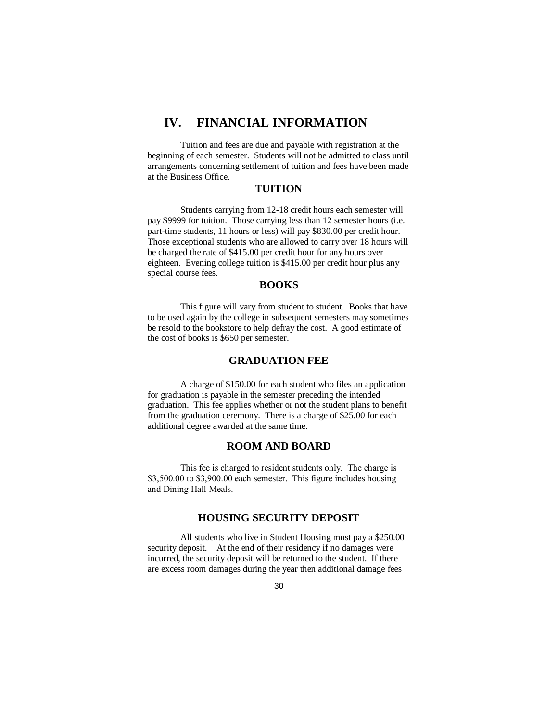# **IV. FINANCIAL INFORMATION**

Tuition and fees are due and payable with registration at the beginning of each semester. Students will not be admitted to class until arrangements concerning settlement of tuition and fees have been made at the Business Office.

## **TUITION**

Students carrying from 12-18 credit hours each semester will pay \$9999 for tuition. Those carrying less than 12 semester hours (i.e. part-time students, 11 hours or less) will pay \$830.00 per credit hour. Those exceptional students who are allowed to carry over 18 hours will be charged the rate of \$415.00 per credit hour for any hours over eighteen. Evening college tuition is \$415.00 per credit hour plus any special course fees.

## **BOOKS**

This figure will vary from student to student. Books that have to be used again by the college in subsequent semesters may sometimes be resold to the bookstore to help defray the cost. A good estimate of the cost of books is \$650 per semester.

### **GRADUATION FEE**

A charge of \$150.00 for each student who files an application for graduation is payable in the semester preceding the intended graduation. This fee applies whether or not the student plans to benefit from the graduation ceremony. There is a charge of \$25.00 for each additional degree awarded at the same time.

## **ROOM AND BOARD**

This fee is charged to resident students only. The charge is \$3,500.00 to \$3,900.00 each semester. This figure includes housing and Dining Hall Meals.

### **HOUSING SECURITY DEPOSIT**

All students who live in Student Housing must pay a \$250.00 security deposit. At the end of their residency if no damages were incurred, the security deposit will be returned to the student. If there are excess room damages during the year then additional damage fees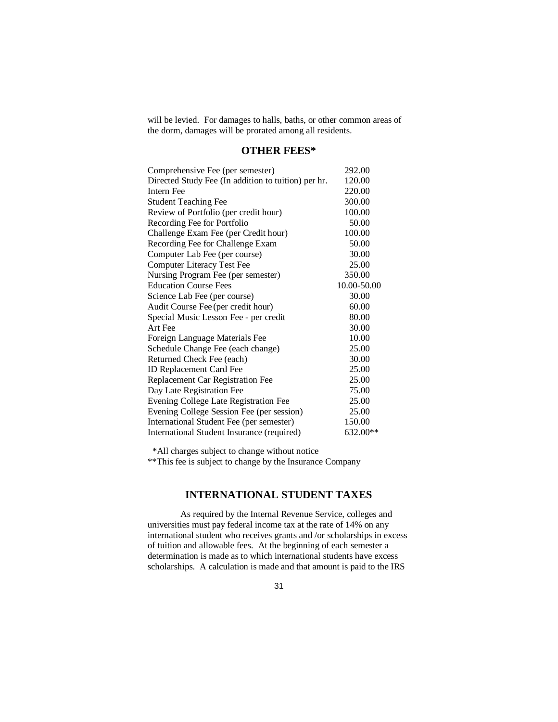will be levied. For damages to halls, baths, or other common areas of the dorm, damages will be prorated among all residents.

## **OTHER FEES\***

| Comprehensive Fee (per semester)                    | 292.00      |
|-----------------------------------------------------|-------------|
| Directed Study Fee (In addition to tuition) per hr. | 120.00      |
| <b>Intern Fee</b>                                   | 220.00      |
| <b>Student Teaching Fee</b>                         | 300.00      |
| Review of Portfolio (per credit hour)               | 100.00      |
| Recording Fee for Portfolio                         | 50.00       |
| Challenge Exam Fee (per Credit hour)                | 100.00      |
| Recording Fee for Challenge Exam                    | 50.00       |
| Computer Lab Fee (per course)                       | 30.00       |
| <b>Computer Literacy Test Fee</b>                   | 25.00       |
| Nursing Program Fee (per semester)                  | 350.00      |
| <b>Education Course Fees</b>                        | 10.00-50.00 |
| Science Lab Fee (per course)                        | 30.00       |
| Audit Course Fee (per credit hour)                  | 60.00       |
| Special Music Lesson Fee - per credit               | 80.00       |
| Art Fee                                             | 30.00       |
| Foreign Language Materials Fee                      | 10.00       |
| Schedule Change Fee (each change)                   | 25.00       |
| Returned Check Fee (each)                           | 30.00       |
| ID Replacement Card Fee                             | 25.00       |
| Replacement Car Registration Fee                    | 25.00       |
| Day Late Registration Fee                           | 75.00       |
| Evening College Late Registration Fee               | 25.00       |
| Evening College Session Fee (per session)           | 25.00       |
| International Student Fee (per semester)            | 150.00      |
| International Student Insurance (required)          | 632.00**    |

\*All charges subject to change without notice

\*\*This fee is subject to change by the Insurance Company

## **INTERNATIONAL STUDENT TAXES**

As required by the Internal Revenue Service, colleges and universities must pay federal income tax at the rate of 14% on any international student who receives grants and /or scholarships in excess of tuition and allowable fees. At the beginning of each semester a determination is made as to which international students have excess scholarships. A calculation is made and that amount is paid to the IRS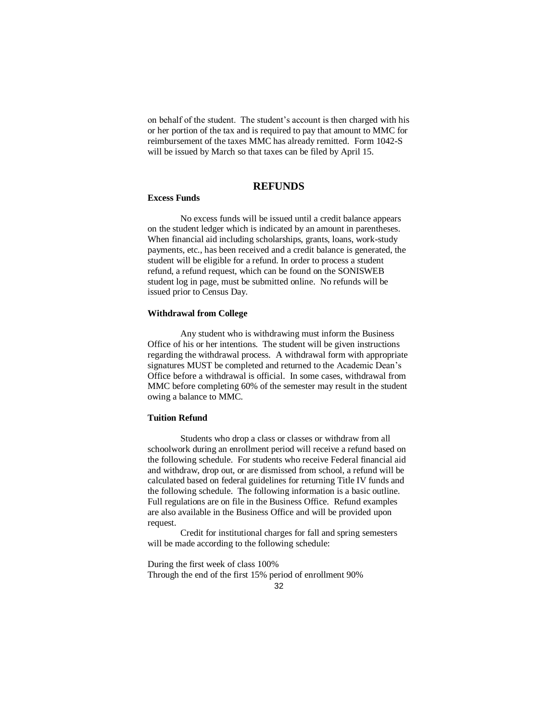on behalf of the student. The student's account is then charged with his or her portion of the tax and is required to pay that amount to MMC for reimbursement of the taxes MMC has already remitted. Form 1042-S will be issued by March so that taxes can be filed by April 15.

## **REFUNDS**

### **Excess Funds**

No excess funds will be issued until a credit balance appears on the student ledger which is indicated by an amount in parentheses. When financial aid including scholarships, grants, loans, work-study payments, etc., has been received and a credit balance is generated, the student will be eligible for a refund. In order to process a student refund, a refund request, which can be found on the SONISWEB student log in page, must be submitted online. No refunds will be issued prior to Census Day.

#### **Withdrawal from College**

Any student who is withdrawing must inform the Business Office of his or her intentions. The student will be given instructions regarding the withdrawal process. A withdrawal form with appropriate signatures MUST be completed and returned to the Academic Dean's Office before a withdrawal is official. In some cases, withdrawal from MMC before completing 60% of the semester may result in the student owing a balance to MMC.

#### **Tuition Refund**

Students who drop a class or classes or withdraw from all schoolwork during an enrollment period will receive a refund based on the following schedule. For students who receive Federal financial aid and withdraw, drop out, or are dismissed from school, a refund will be calculated based on federal guidelines for returning Title IV funds and the following schedule. The following information is a basic outline. Full regulations are on file in the Business Office. Refund examples are also available in the Business Office and will be provided upon request.

Credit for institutional charges for fall and spring semesters will be made according to the following schedule:

During the first week of class 100% Through the end of the first 15% period of enrollment 90%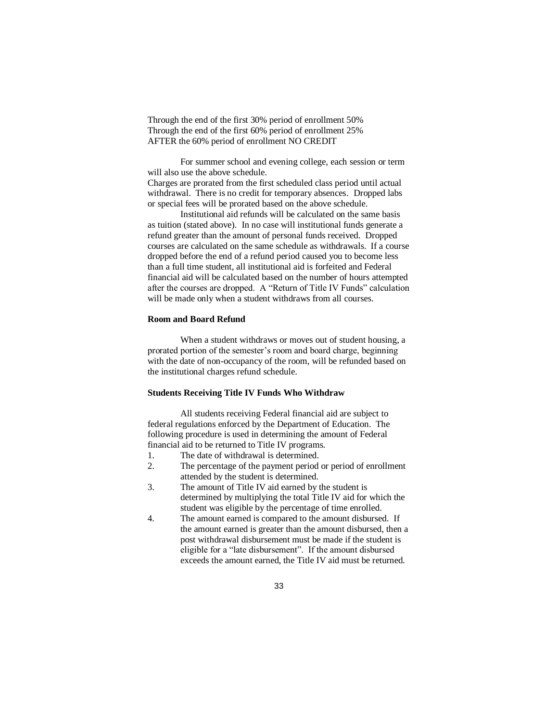Through the end of the first 30% period of enrollment 50% Through the end of the first 60% period of enrollment 25% AFTER the 60% period of enrollment NO CREDIT

For summer school and evening college, each session or term will also use the above schedule.

Charges are prorated from the first scheduled class period until actual withdrawal. There is no credit for temporary absences. Dropped labs or special fees will be prorated based on the above schedule.

Institutional aid refunds will be calculated on the same basis as tuition (stated above). In no case will institutional funds generate a refund greater than the amount of personal funds received. Dropped courses are calculated on the same schedule as withdrawals. If a course dropped before the end of a refund period caused you to become less than a full time student, all institutional aid is forfeited and Federal financial aid will be calculated based on the number of hours attempted after the courses are dropped. A "Return of Title IV Funds" calculation will be made only when a student withdraws from all courses.

#### **Room and Board Refund**

When a student withdraws or moves out of student housing, a prorated portion of the semester's room and board charge, beginning with the date of non-occupancy of the room, will be refunded based on the institutional charges refund schedule.

### **Students Receiving Title IV Funds Who Withdraw**

All students receiving Federal financial aid are subject to federal regulations enforced by the Department of Education. The following procedure is used in determining the amount of Federal financial aid to be returned to Title IV programs.

- 1. The date of withdrawal is determined.
- 2. The percentage of the payment period or period of enrollment attended by the student is determined.
- 3. The amount of Title IV aid earned by the student is determined by multiplying the total Title IV aid for which the student was eligible by the percentage of time enrolled.
- 4. The amount earned is compared to the amount disbursed. If the amount earned is greater than the amount disbursed, then a post withdrawal disbursement must be made if the student is eligible for a "late disbursement". If the amount disbursed exceeds the amount earned, the Title IV aid must be returned.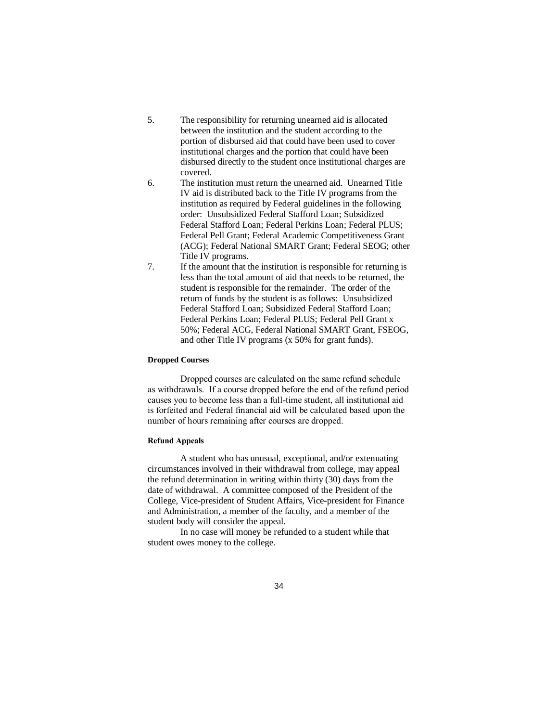- 5. The responsibility for returning unearned aid is allocated between the institution and the student according to the portion of disbursed aid that could have been used to cover institutional charges and the portion that could have been disbursed directly to the student once institutional charges are covered.
- 6. The institution must return the unearned aid. Unearned Title IV aid is distributed back to the Title IV programs from the institution as required by Federal guidelines in the following order: Unsubsidized Federal Stafford Loan; Subsidized Federal Stafford Loan; Federal Perkins Loan; Federal PLUS; Federal Pell Grant; Federal Academic Competitiveness Grant (ACG); Federal National SMART Grant; Federal SEOG; other Title IV programs.
- 7. If the amount that the institution is responsible for returning is less than the total amount of aid that needs to be returned, the student is responsible for the remainder. The order of the return of funds by the student is as follows: Unsubsidized Federal Stafford Loan; Subsidized Federal Stafford Loan; Federal Perkins Loan; Federal PLUS; Federal Pell Grant x 50%; Federal ACG, Federal National SMART Grant, FSEOG, and other Title IV programs (x 50% for grant funds).

#### **Dropped Courses**

Dropped courses are calculated on the same refund schedule as withdrawals. If a course dropped before the end of the refund period causes you to become less than a full-time student, all institutional aid is forfeited and Federal financial aid will be calculated based upon the number of hours remaining after courses are dropped.

#### **Refund Appeals**

A student who has unusual, exceptional, and/or extenuating circumstances involved in their withdrawal from college, may appeal the refund determination in writing within thirty (30) days from the date of withdrawal. A committee composed of the President of the College, Vice-president of Student Affairs, Vice-president for Finance and Administration, a member of the faculty, and a member of the student body will consider the appeal.

In no case will money be refunded to a student while that student owes money to the college.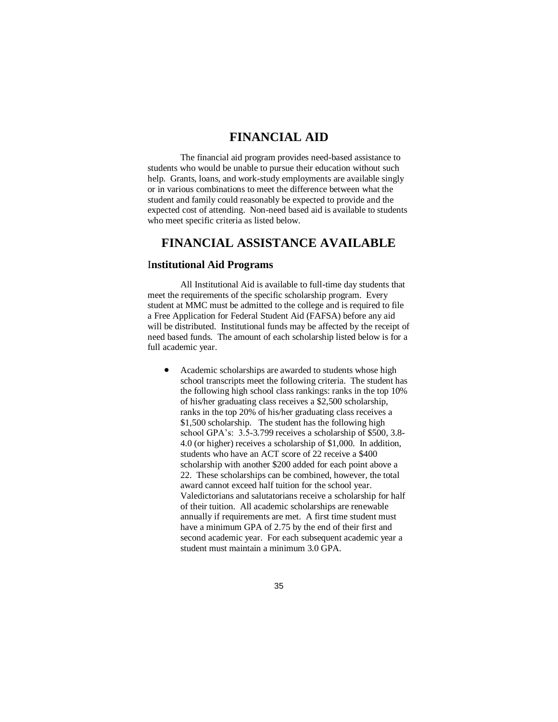# **FINANCIAL AID**

The financial aid program provides need-based assistance to students who would be unable to pursue their education without such help. Grants, loans, and work-study employments are available singly or in various combinations to meet the difference between what the student and family could reasonably be expected to provide and the expected cost of attending. Non-need based aid is available to students who meet specific criteria as listed below.

# **FINANCIAL ASSISTANCE AVAILABLE**

#### I**nstitutional Aid Programs**

All Institutional Aid is available to full-time day students that meet the requirements of the specific scholarship program. Every student at MMC must be admitted to the college and is required to file a Free Application for Federal Student Aid (FAFSA) before any aid will be distributed. Institutional funds may be affected by the receipt of need based funds. The amount of each scholarship listed below is for a full academic year.

 Academic scholarships are awarded to students whose high school transcripts meet the following criteria. The student has the following high school class rankings: ranks in the top 10% of his/her graduating class receives a \$2,500 scholarship, ranks in the top 20% of his/her graduating class receives a \$1,500 scholarship. The student has the following high school GPA's: 3.5-3.799 receives a scholarship of \$500, 3.8- 4.0 (or higher) receives a scholarship of \$1,000. In addition, students who have an ACT score of 22 receive a \$400 scholarship with another \$200 added for each point above a 22. These scholarships can be combined, however, the total award cannot exceed half tuition for the school year. Valedictorians and salutatorians receive a scholarship for half of their tuition. All academic scholarships are renewable annually if requirements are met. A first time student must have a minimum GPA of 2.75 by the end of their first and second academic year. For each subsequent academic year a student must maintain a minimum 3.0 GPA.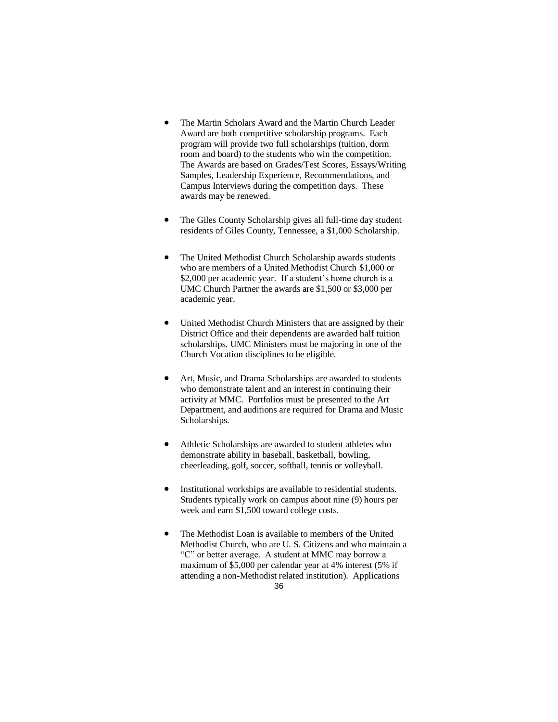- The Martin Scholars Award and the Martin Church Leader Award are both competitive scholarship programs. Each program will provide two full scholarships (tuition, dorm room and board) to the students who win the competition. The Awards are based on Grades/Test Scores, Essays/Writing Samples, Leadership Experience, Recommendations, and Campus Interviews during the competition days. These awards may be renewed.
- The Giles County Scholarship gives all full-time day student residents of Giles County, Tennessee, a \$1,000 Scholarship.
- The United Methodist Church Scholarship awards students who are members of a United Methodist Church \$1,000 or \$2,000 per academic year. If a student's home church is a UMC Church Partner the awards are \$1,500 or \$3,000 per academic year.
- United Methodist Church Ministers that are assigned by their District Office and their dependents are awarded half tuition scholarships. UMC Ministers must be majoring in one of the Church Vocation disciplines to be eligible.
- Art, Music, and Drama Scholarships are awarded to students who demonstrate talent and an interest in continuing their activity at MMC. Portfolios must be presented to the Art Department, and auditions are required for Drama and Music Scholarships.
- Athletic Scholarships are awarded to student athletes who demonstrate ability in baseball, basketball, bowling, cheerleading, golf, soccer, softball, tennis or volleyball.
- Institutional workships are available to residential students. Students typically work on campus about nine (9) hours per week and earn \$1,500 toward college costs.
- The Methodist Loan is available to members of the United Methodist Church, who are U. S. Citizens and who maintain a "C" or better average. A student at MMC may borrow a maximum of \$5,000 per calendar year at 4% interest (5% if attending a non-Methodist related institution). Applications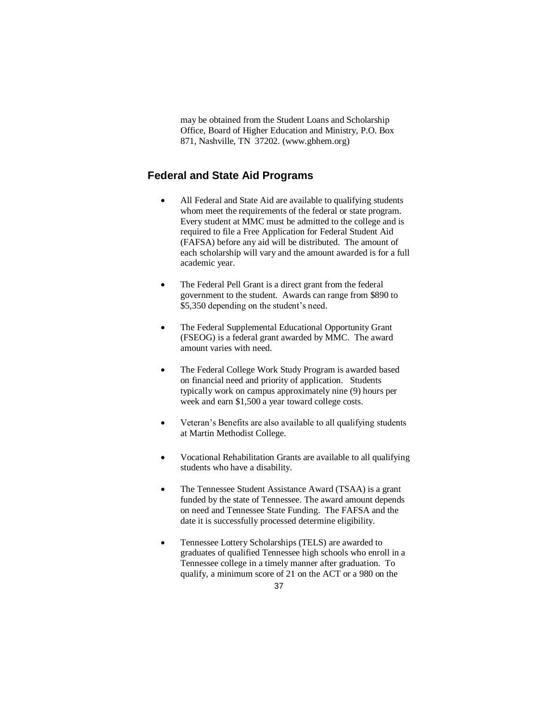may be obtained from the Student Loans and Scholarship Office, Board of Higher Education and Ministry, P.O. Box 871, Nashville, TN 37202. (www.gbhem.org)

# **Federal and State Aid Programs**

- All Federal and State Aid are available to qualifying students whom meet the requirements of the federal or state program. Every student at MMC must be admitted to the college and is required to file a Free Application for Federal Student Aid (FAFSA) before any aid will be distributed. The amount of each scholarship will vary and the amount awarded is for a full academic year.
- The Federal Pell Grant is a direct grant from the federal government to the student. Awards can range from \$890 to \$5,350 depending on the student's need.
- The Federal Supplemental Educational Opportunity Grant (FSEOG) is a federal grant awarded by MMC. The award amount varies with need.
- The Federal College Work Study Program is awarded based on financial need and priority of application. Students typically work on campus approximately nine (9) hours per week and earn \$1,500 a year toward college costs.
- Veteran's Benefits are also available to all qualifying students at Martin Methodist College.
- Vocational Rehabilitation Grants are available to all qualifying students who have a disability.
- The Tennessee Student Assistance Award (TSAA) is a grant funded by the state of Tennessee. The award amount depends on need and Tennessee State Funding. The FAFSA and the date it is successfully processed determine eligibility.
- Tennessee Lottery Scholarships (TELS) are awarded to graduates of qualified Tennessee high schools who enroll in a Tennessee college in a timely manner after graduation. To qualify, a minimum score of 21 on the ACT or a 980 on the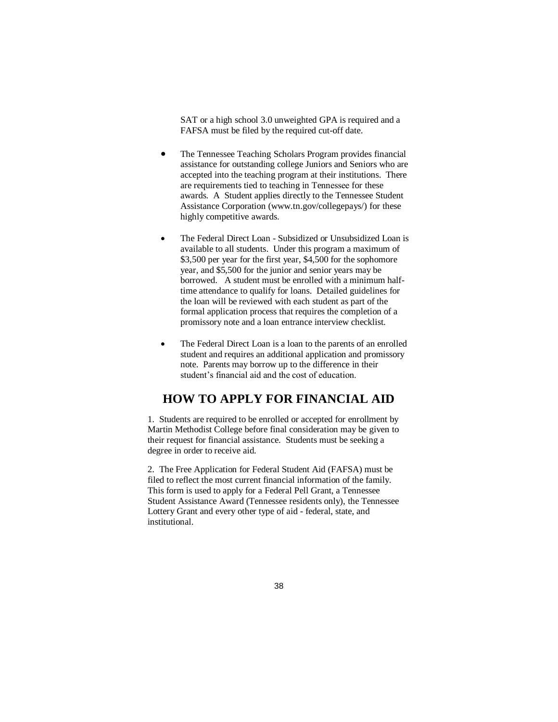SAT or a high school 3.0 unweighted GPA is required and a FAFSA must be filed by the required cut-off date.

- The Tennessee Teaching Scholars Program provides financial assistance for outstanding college Juniors and Seniors who are accepted into the teaching program at their institutions. There are requirements tied to teaching in Tennessee for these awards. A Student applies directly to the Tennessee Student Assistance Corporation (www.tn.gov/collegepays/) for these highly competitive awards.
- The Federal Direct Loan Subsidized or Unsubsidized Loan is available to all students. Under this program a maximum of \$3,500 per year for the first year, \$4,500 for the sophomore year, and \$5,500 for the junior and senior years may be borrowed. A student must be enrolled with a minimum halftime attendance to qualify for loans. Detailed guidelines for the loan will be reviewed with each student as part of the formal application process that requires the completion of a promissory note and a loan entrance interview checklist.
- The Federal Direct Loan is a loan to the parents of an enrolled student and requires an additional application and promissory note. Parents may borrow up to the difference in their student's financial aid and the cost of education.

# **HOW TO APPLY FOR FINANCIAL AID**

1. Students are required to be enrolled or accepted for enrollment by Martin Methodist College before final consideration may be given to their request for financial assistance. Students must be seeking a degree in order to receive aid.

2. The Free Application for Federal Student Aid (FAFSA) must be filed to reflect the most current financial information of the family. This form is used to apply for a Federal Pell Grant, a Tennessee Student Assistance Award (Tennessee residents only), the Tennessee Lottery Grant and every other type of aid - federal, state, and institutional.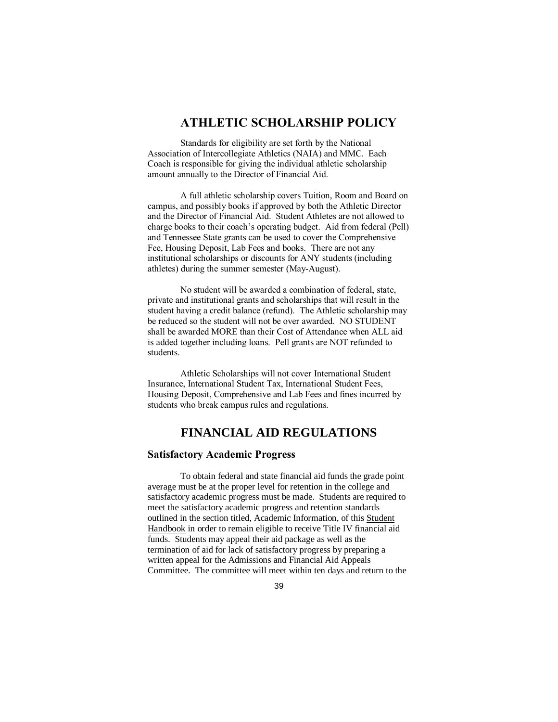# **ATHLETIC SCHOLARSHIP POLICY**

Standards for eligibility are set forth by the National Association of Intercollegiate Athletics (NAIA) and MMC. Each Coach is responsible for giving the individual athletic scholarship amount annually to the Director of Financial Aid.

A full athletic scholarship covers Tuition, Room and Board on campus, and possibly books if approved by both the Athletic Director and the Director of Financial Aid. Student Athletes are not allowed to charge books to their coach's operating budget. Aid from federal (Pell) and Tennessee State grants can be used to cover the Comprehensive Fee, Housing Deposit, Lab Fees and books. There are not any institutional scholarships or discounts for ANY students (including athletes) during the summer semester (May-August).

No student will be awarded a combination of federal, state, private and institutional grants and scholarships that will result in the student having a credit balance (refund). The Athletic scholarship may be reduced so the student will not be over awarded. NO STUDENT shall be awarded MORE than their Cost of Attendance when ALL aid is added together including loans. Pell grants are NOT refunded to students.

Athletic Scholarships will not cover International Student Insurance, International Student Tax, International Student Fees, Housing Deposit, Comprehensive and Lab Fees and fines incurred by students who break campus rules and regulations.

# **FINANCIAL AID REGULATIONS**

#### **Satisfactory Academic Progress**

To obtain federal and state financial aid funds the grade point average must be at the proper level for retention in the college and satisfactory academic progress must be made. Students are required to meet the satisfactory academic progress and retention standards outlined in the section titled, Academic Information, of this Student Handbook in order to remain eligible to receive Title IV financial aid funds. Students may appeal their aid package as well as the termination of aid for lack of satisfactory progress by preparing a written appeal for the Admissions and Financial Aid Appeals Committee. The committee will meet within ten days and return to the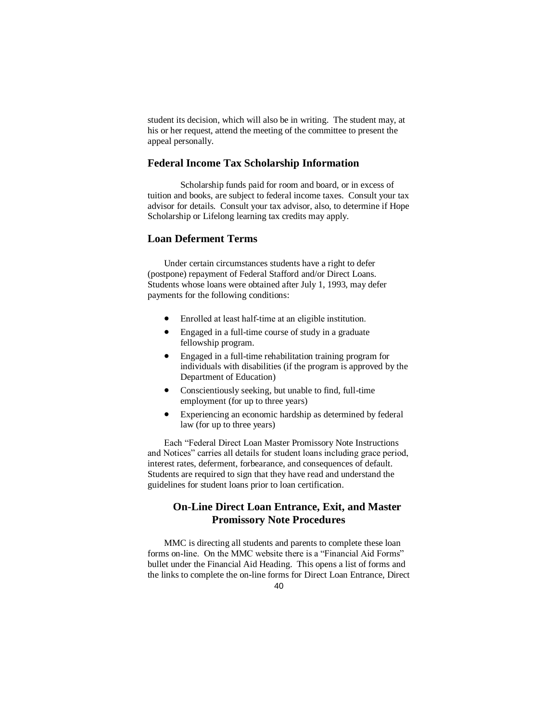student its decision, which will also be in writing. The student may, at his or her request, attend the meeting of the committee to present the appeal personally.

#### **Federal Income Tax Scholarship Information**

Scholarship funds paid for room and board, or in excess of tuition and books, are subject to federal income taxes. Consult your tax advisor for details. Consult your tax advisor, also, to determine if Hope Scholarship or Lifelong learning tax credits may apply.

### **Loan Deferment Terms**

Under certain circumstances students have a right to defer (postpone) repayment of Federal Stafford and/or Direct Loans. Students whose loans were obtained after July 1, 1993, may defer payments for the following conditions:

- Enrolled at least half-time at an eligible institution.
- Engaged in a full-time course of study in a graduate fellowship program.
- Engaged in a full-time rehabilitation training program for individuals with disabilities (if the program is approved by the Department of Education)
- Conscientiously seeking, but unable to find, full-time employment (for up to three years)
- Experiencing an economic hardship as determined by federal law (for up to three years)

Each "Federal Direct Loan Master Promissory Note Instructions and Notices" carries all details for student loans including grace period, interest rates, deferment, forbearance, and consequences of default. Students are required to sign that they have read and understand the guidelines for student loans prior to loan certification.

## **On-Line Direct Loan Entrance, Exit, and Master Promissory Note Procedures**

MMC is directing all students and parents to complete these loan forms on-line. On the MMC website there is a "Financial Aid Forms" bullet under the Financial Aid Heading. This opens a list of forms and the links to complete the on-line forms for Direct Loan Entrance, Direct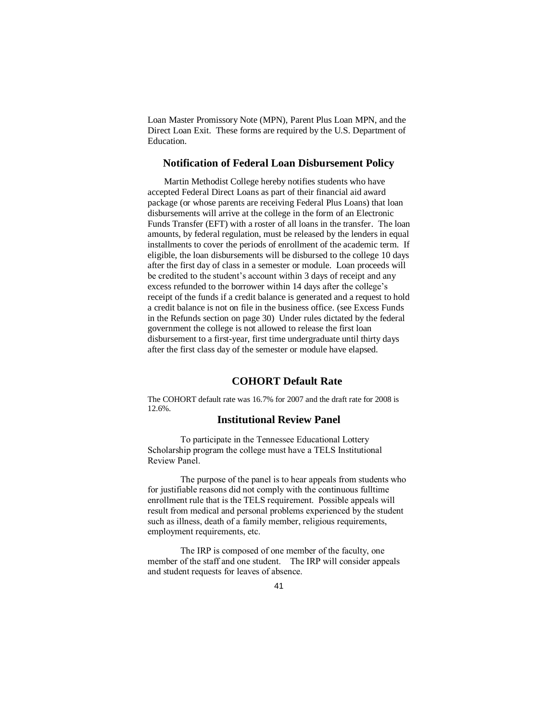Loan Master Promissory Note (MPN), Parent Plus Loan MPN, and the Direct Loan Exit. These forms are required by the U.S. Department of Education.

#### **Notification of Federal Loan Disbursement Policy**

Martin Methodist College hereby notifies students who have accepted Federal Direct Loans as part of their financial aid award package (or whose parents are receiving Federal Plus Loans) that loan disbursements will arrive at the college in the form of an Electronic Funds Transfer (EFT) with a roster of all loans in the transfer. The loan amounts, by federal regulation, must be released by the lenders in equal installments to cover the periods of enrollment of the academic term. If eligible, the loan disbursements will be disbursed to the college 10 days after the first day of class in a semester or module. Loan proceeds will be credited to the student's account within 3 days of receipt and any excess refunded to the borrower within 14 days after the college's receipt of the funds if a credit balance is generated and a request to hold a credit balance is not on file in the business office. (see Excess Funds in the Refunds section on page 30) Under rules dictated by the federal government the college is not allowed to release the first loan disbursement to a first-year, first time undergraduate until thirty days after the first class day of the semester or module have elapsed.

## **COHORT Default Rate**

The COHORT default rate was 16.7% for 2007 and the draft rate for 2008 is 12.6%.

#### **Institutional Review Panel**

To participate in the Tennessee Educational Lottery Scholarship program the college must have a TELS Institutional Review Panel.

The purpose of the panel is to hear appeals from students who for justifiable reasons did not comply with the continuous fulltime enrollment rule that is the TELS requirement. Possible appeals will result from medical and personal problems experienced by the student such as illness, death of a family member, religious requirements, employment requirements, etc.

The IRP is composed of one member of the faculty, one member of the staff and one student. The IRP will consider appeals and student requests for leaves of absence.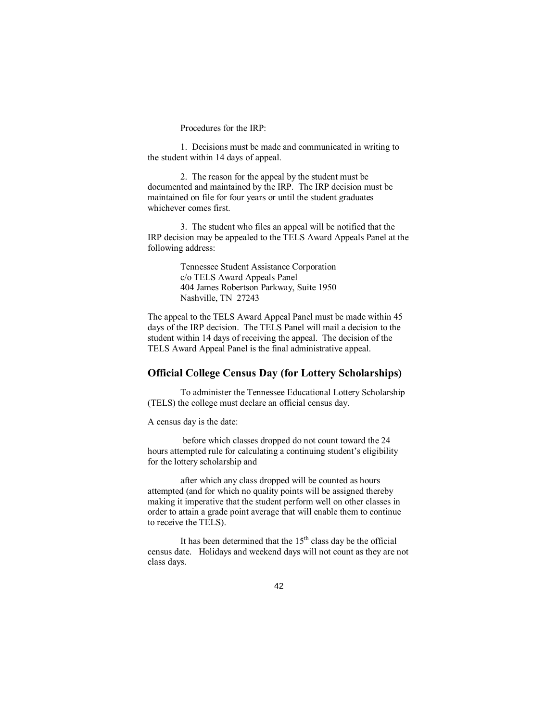Procedures for the IRP:

1. Decisions must be made and communicated in writing to the student within 14 days of appeal.

2. The reason for the appeal by the student must be documented and maintained by the IRP. The IRP decision must be maintained on file for four years or until the student graduates whichever comes first.

3. The student who files an appeal will be notified that the IRP decision may be appealed to the TELS Award Appeals Panel at the following address:

> Tennessee Student Assistance Corporation c/o TELS Award Appeals Panel 404 James Robertson Parkway, Suite 1950 Nashville, TN 27243

The appeal to the TELS Award Appeal Panel must be made within 45 days of the IRP decision. The TELS Panel will mail a decision to the student within 14 days of receiving the appeal. The decision of the TELS Award Appeal Panel is the final administrative appeal.

### **Official College Census Day (for Lottery Scholarships)**

To administer the Tennessee Educational Lottery Scholarship (TELS) the college must declare an official census day.

A census day is the date:

before which classes dropped do not count toward the 24 hours attempted rule for calculating a continuing student's eligibility for the lottery scholarship and

after which any class dropped will be counted as hours attempted (and for which no quality points will be assigned thereby making it imperative that the student perform well on other classes in order to attain a grade point average that will enable them to continue to receive the TELS).

It has been determined that the  $15<sup>th</sup>$  class day be the official census date. Holidays and weekend days will not count as they are not class days.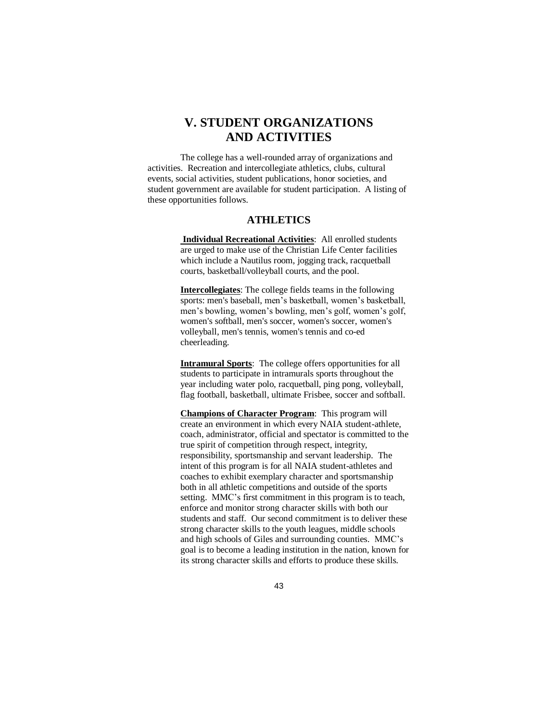# **V. STUDENT ORGANIZATIONS AND ACTIVITIES**

The college has a well-rounded array of organizations and activities. Recreation and intercollegiate athletics, clubs, cultural events, social activities, student publications, honor societies, and student government are available for student participation. A listing of these opportunities follows.

### **ATHLETICS**

**Individual Recreational Activities**: All enrolled students are urged to make use of the Christian Life Center facilities which include a Nautilus room, jogging track, racquetball courts, basketball/volleyball courts, and the pool.

**Intercollegiates**: The college fields teams in the following sports: men's baseball, men's basketball, women's basketball, men's bowling, women's bowling, men's golf, women's golf, women's softball, men's soccer, women's soccer, women's volleyball, men's tennis, women's tennis and co-ed cheerleading.

**Intramural Sports**: The college offers opportunities for all students to participate in intramurals sports throughout the year including water polo, racquetball, ping pong, volleyball, flag football, basketball, ultimate Frisbee, soccer and softball.

**Champions of Character Program**: This program will create an environment in which every NAIA student-athlete, coach, administrator, official and spectator is committed to the true spirit of competition through respect, integrity, responsibility, sportsmanship and servant leadership. The intent of this program is for all NAIA student-athletes and coaches to exhibit exemplary character and sportsmanship both in all athletic competitions and outside of the sports setting. MMC's first commitment in this program is to teach, enforce and monitor strong character skills with both our students and staff. Our second commitment is to deliver these strong character skills to the youth leagues, middle schools and high schools of Giles and surrounding counties. MMC's goal is to become a leading institution in the nation, known for its strong character skills and efforts to produce these skills.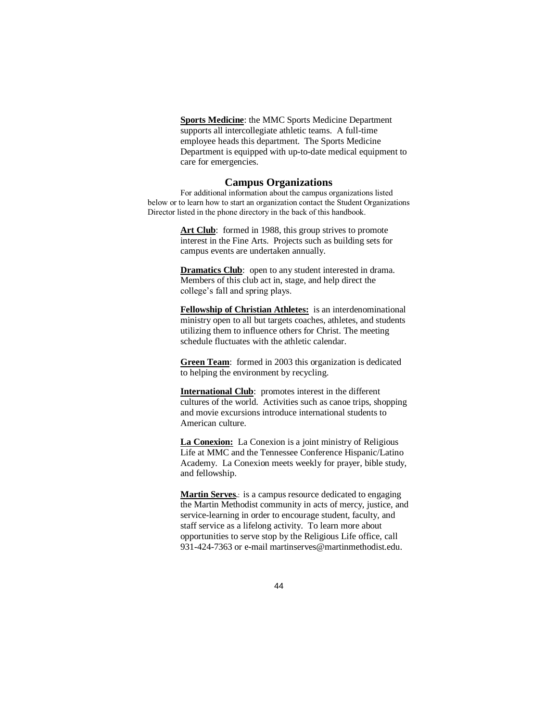**Sports Medicine**: the MMC Sports Medicine Department supports all intercollegiate athletic teams. A full-time employee heads this department. The Sports Medicine Department is equipped with up-to-date medical equipment to care for emergencies.

#### **Campus Organizations**

For additional information about the campus organizations listed below or to learn how to start an organization contact the Student Organizations Director listed in the phone directory in the back of this handbook.

> Art Club: formed in 1988, this group strives to promote interest in the Fine Arts. Projects such as building sets for campus events are undertaken annually.

> **Dramatics Club**: open to any student interested in drama. Members of this club act in, stage, and help direct the college's fall and spring plays.

**Fellowship of Christian Athletes:** is an interdenominational ministry open to all but targets coaches, athletes, and students utilizing them to influence others for Christ. The meeting schedule fluctuates with the athletic calendar.

**Green Team**: formed in 2003 this organization is dedicated to helping the environment by recycling.

**International Club**: promotes interest in the different cultures of the world. Activities such as canoe trips, shopping and movie excursions introduce international students to American culture.

**La Conexion:** La Conexion is a joint ministry of Religious Life at MMC and the Tennessee Conference Hispanic/Latino Academy. La Conexion meets weekly for prayer, bible study, and fellowship.

**Martin Serves.**: is a campus resource dedicated to engaging the Martin Methodist community in acts of mercy, justice, and service-learning in order to encourage student, faculty, and staff service as a lifelong activity. To learn more about opportunities to serve stop by the Religious Life office, call 931-424-7363 or e-mail martinserves@martinmethodist.edu.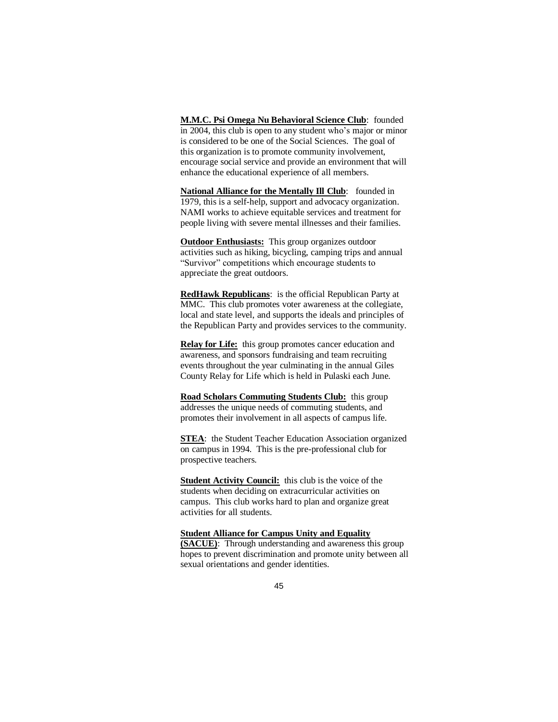**M.M.C. Psi Omega Nu Behavioral Science Club**: founded in 2004, this club is open to any student who's major or minor is considered to be one of the Social Sciences. The goal of this organization is to promote community involvement, encourage social service and provide an environment that will enhance the educational experience of all members.

**National Alliance for the Mentally Ill Club**: founded in 1979, this is a self-help, support and advocacy organization. NAMI works to achieve equitable services and treatment for people living with severe mental illnesses and their families.

**Outdoor Enthusiasts:** This group organizes outdoor activities such as hiking, bicycling, camping trips and annual "Survivor" competitions which encourage students to appreciate the great outdoors.

**RedHawk Republicans**: is the official Republican Party at MMC. This club promotes voter awareness at the collegiate, local and state level, and supports the ideals and principles of the Republican Party and provides services to the community.

**Relay for Life:** this group promotes cancer education and awareness, and sponsors fundraising and team recruiting events throughout the year culminating in the annual Giles County Relay for Life which is held in Pulaski each June.

**Road Scholars Commuting Students Club:** this group addresses the unique needs of commuting students, and promotes their involvement in all aspects of campus life.

**STEA**: the Student Teacher Education Association organized on campus in 1994. This is the pre-professional club for prospective teachers.

**Student Activity Council:** this club is the voice of the students when deciding on extracurricular activities on campus. This club works hard to plan and organize great activities for all students.

#### **Student Alliance for Campus Unity and Equality**

**(SACUE)**: Through understanding and awareness this group hopes to prevent discrimination and promote unity between all sexual orientations and gender identities.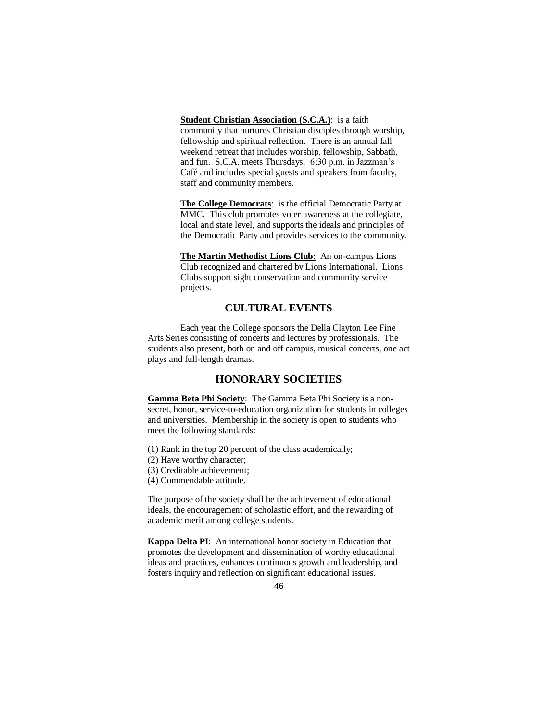**Student Christian Association (S.C.A.)**: is a faith community that nurtures Christian disciples through worship, fellowship and spiritual reflection. There is an annual fall weekend retreat that includes worship, fellowship, Sabbath, and fun. S.C.A. meets Thursdays, 6:30 p.m. in Jazzman's Café and includes special guests and speakers from faculty, staff and community members.

**The College Democrats**: is the official Democratic Party at MMC. This club promotes voter awareness at the collegiate, local and state level, and supports the ideals and principles of the Democratic Party and provides services to the community.

**The Martin Methodist Lions Club**: An on-campus Lions Club recognized and chartered by Lions International. Lions Clubs support sight conservation and community service projects.

## **CULTURAL EVENTS**

Each year the College sponsors the Della Clayton Lee Fine Arts Series consisting of concerts and lectures by professionals. The students also present, both on and off campus, musical concerts, one act plays and full-length dramas.

#### **HONORARY SOCIETIES**

**Gamma Beta Phi Society**: The Gamma Beta Phi Society is a nonsecret, honor, service-to-education organization for students in colleges and universities. Membership in the society is open to students who meet the following standards:

- (1) Rank in the top 20 percent of the class academically;
- (2) Have worthy character;
- (3) Creditable achievement;
- (4) Commendable attitude.

The purpose of the society shall be the achievement of educational ideals, the encouragement of scholastic effort, and the rewarding of academic merit among college students.

**Kappa Delta PI**: An international honor society in Education that promotes the development and dissemination of worthy educational ideas and practices, enhances continuous growth and leadership, and fosters inquiry and reflection on significant educational issues.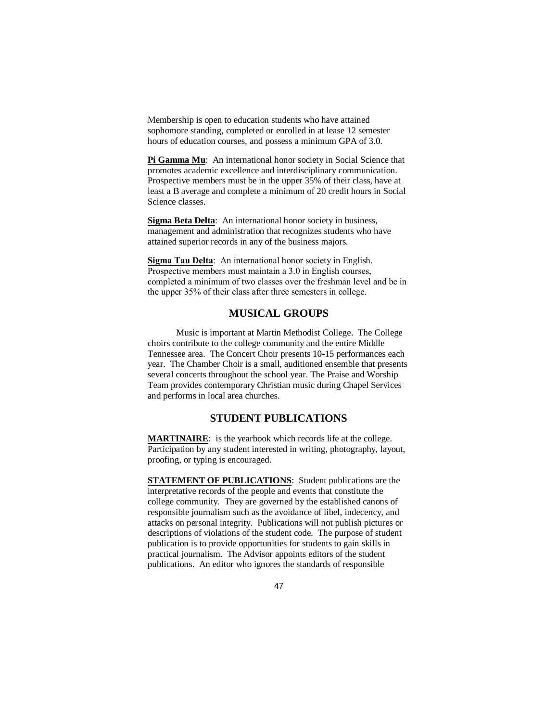Membership is open to education students who have attained sophomore standing, completed or enrolled in at lease 12 semester hours of education courses, and possess a minimum GPA of 3.0.

Pi Gamma Mu: An international honor society in Social Science that promotes academic excellence and interdisciplinary communication. Prospective members must be in the upper 35% of their class, have at least a B average and complete a minimum of 20 credit hours in Social Science classes.

**Sigma Beta Delta**: An international honor society in business, management and administration that recognizes students who have attained superior records in any of the business majors.

**Sigma Tau Delta**: An international honor society in English. Prospective members must maintain a 3.0 in English courses, completed a minimum of two classes over the freshman level and be in the upper 35% of their class after three semesters in college.

#### **MUSICAL GROUPS**

Music is important at Martin Methodist College. The College choirs contribute to the college community and the entire Middle Tennessee area. The Concert Choir presents 10-15 performances each year. The Chamber Choir is a small, auditioned ensemble that presents several concerts throughout the school year. The Praise and Worship Team provides contemporary Christian music during Chapel Services and performs in local area churches.

## **STUDENT PUBLICATIONS**

**MARTINAIRE**: is the yearbook which records life at the college. Participation by any student interested in writing, photography, layout, proofing, or typing is encouraged.

**STATEMENT OF PUBLICATIONS**: Student publications are the interpretative records of the people and events that constitute the college community. They are governed by the established canons of responsible journalism such as the avoidance of libel, indecency, and attacks on personal integrity. Publications will not publish pictures or descriptions of violations of the student code. The purpose of student publication is to provide opportunities for students to gain skills in practical journalism. The Advisor appoints editors of the student publications. An editor who ignores the standards of responsible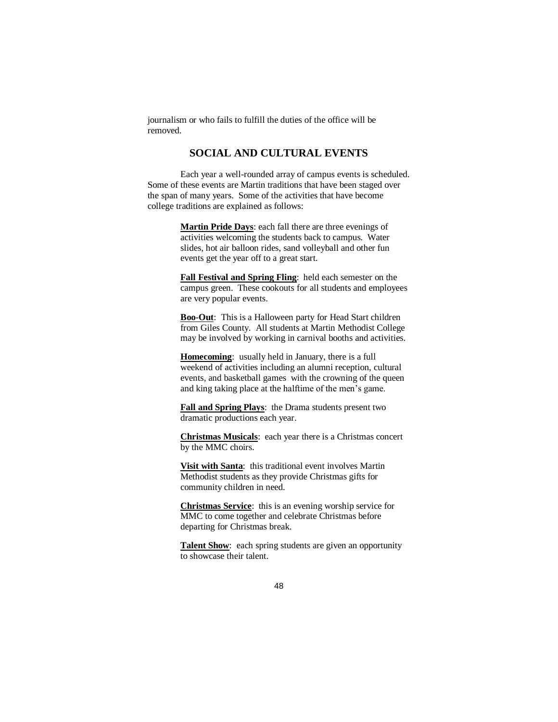journalism or who fails to fulfill the duties of the office will be removed.

## **SOCIAL AND CULTURAL EVENTS**

Each year a well-rounded array of campus events is scheduled. Some of these events are Martin traditions that have been staged over the span of many years. Some of the activities that have become college traditions are explained as follows:

> **Martin Pride Days**: each fall there are three evenings of activities welcoming the students back to campus. Water slides, hot air balloon rides, sand volleyball and other fun events get the year off to a great start.

**Fall Festival and Spring Fling**: held each semester on the campus green. These cookouts for all students and employees are very popular events.

**Boo-Out**: This is a Halloween party for Head Start children from Giles County. All students at Martin Methodist College may be involved by working in carnival booths and activities.

**Homecoming**: usually held in January, there is a full weekend of activities including an alumni reception, cultural events, and basketball games with the crowning of the queen and king taking place at the halftime of the men's game.

**Fall and Spring Plays**: the Drama students present two dramatic productions each year.

**Christmas Musicals**: each year there is a Christmas concert by the MMC choirs.

**Visit with Santa**: this traditional event involves Martin Methodist students as they provide Christmas gifts for community children in need.

**Christmas Service**: this is an evening worship service for MMC to come together and celebrate Christmas before departing for Christmas break.

**Talent Show**: each spring students are given an opportunity to showcase their talent.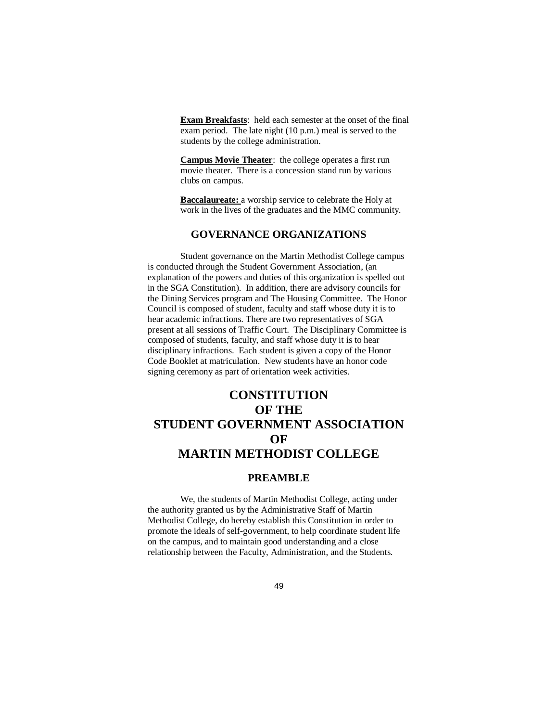**Exam Breakfasts**: held each semester at the onset of the final exam period. The late night (10 p.m.) meal is served to the students by the college administration.

**Campus Movie Theater**: the college operates a first run movie theater. There is a concession stand run by various clubs on campus.

**Baccalaureate:** a worship service to celebrate the Holy at work in the lives of the graduates and the MMC community.

### **GOVERNANCE ORGANIZATIONS**

Student governance on the Martin Methodist College campus is conducted through the Student Government Association, (an explanation of the powers and duties of this organization is spelled out in the SGA Constitution). In addition, there are advisory councils for the Dining Services program and The Housing Committee. The Honor Council is composed of student, faculty and staff whose duty it is to hear academic infractions. There are two representatives of SGA present at all sessions of Traffic Court. The Disciplinary Committee is composed of students, faculty, and staff whose duty it is to hear disciplinary infractions. Each student is given a copy of the Honor Code Booklet at matriculation. New students have an honor code signing ceremony as part of orientation week activities.

# **CONSTITUTION OF THE STUDENT GOVERNMENT ASSOCIATION OF MARTIN METHODIST COLLEGE**

### **PREAMBLE**

We, the students of Martin Methodist College, acting under the authority granted us by the Administrative Staff of Martin Methodist College, do hereby establish this Constitution in order to promote the ideals of self-government, to help coordinate student life on the campus, and to maintain good understanding and a close relationship between the Faculty, Administration, and the Students.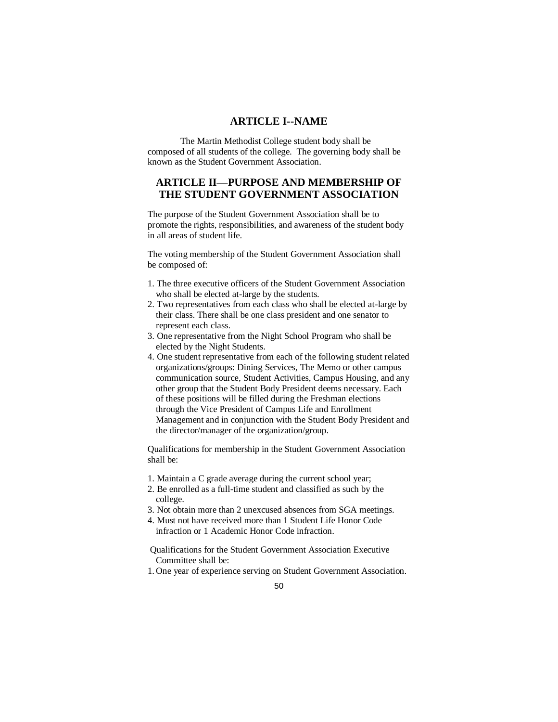#### **ARTICLE I--NAME**

The Martin Methodist College student body shall be composed of all students of the college. The governing body shall be known as the Student Government Association.

# **ARTICLE II—PURPOSE AND MEMBERSHIP OF THE STUDENT GOVERNMENT ASSOCIATION**

The purpose of the Student Government Association shall be to promote the rights, responsibilities, and awareness of the student body in all areas of student life.

The voting membership of the Student Government Association shall be composed of:

- 1. The three executive officers of the Student Government Association who shall be elected at-large by the students.
- 2. Two representatives from each class who shall be elected at-large by their class. There shall be one class president and one senator to represent each class.
- 3. One representative from the Night School Program who shall be elected by the Night Students.
- 4. One student representative from each of the following student related organizations/groups: Dining Services, The Memo or other campus communication source, Student Activities, Campus Housing, and any other group that the Student Body President deems necessary. Each of these positions will be filled during the Freshman elections through the Vice President of Campus Life and Enrollment Management and in conjunction with the Student Body President and the director/manager of the organization/group.

Qualifications for membership in the Student Government Association shall be:

- 1. Maintain a C grade average during the current school year;
- 2. Be enrolled as a full-time student and classified as such by the college.
- 3. Not obtain more than 2 unexcused absences from SGA meetings.
- 4. Must not have received more than 1 Student Life Honor Code infraction or 1 Academic Honor Code infraction.

Qualifications for the Student Government Association Executive Committee shall be:

1. One year of experience serving on Student Government Association.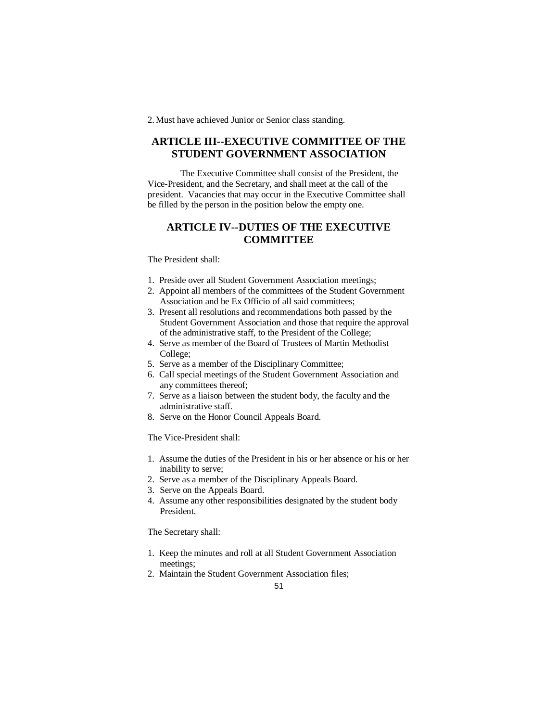2. Must have achieved Junior or Senior class standing.

# **ARTICLE III--EXECUTIVE COMMITTEE OF THE STUDENT GOVERNMENT ASSOCIATION**

The Executive Committee shall consist of the President, the Vice-President, and the Secretary, and shall meet at the call of the president. Vacancies that may occur in the Executive Committee shall be filled by the person in the position below the empty one.

# **ARTICLE IV--DUTIES OF THE EXECUTIVE COMMITTEE**

#### The President shall:

- 1. Preside over all Student Government Association meetings;
- 2. Appoint all members of the committees of the Student Government Association and be Ex Officio of all said committees;
- 3. Present all resolutions and recommendations both passed by the Student Government Association and those that require the approval of the administrative staff, to the President of the College;
- 4. Serve as member of the Board of Trustees of Martin Methodist College;
- 5. Serve as a member of the Disciplinary Committee;
- 6. Call special meetings of the Student Government Association and any committees thereof;
- 7. Serve as a liaison between the student body, the faculty and the administrative staff.
- 8. Serve on the Honor Council Appeals Board.

The Vice-President shall:

- 1. Assume the duties of the President in his or her absence or his or her inability to serve;
- 2. Serve as a member of the Disciplinary Appeals Board.
- 3. Serve on the Appeals Board.
- 4. Assume any other responsibilities designated by the student body President.

The Secretary shall:

- 1. Keep the minutes and roll at all Student Government Association meetings;
- 2. Maintain the Student Government Association files;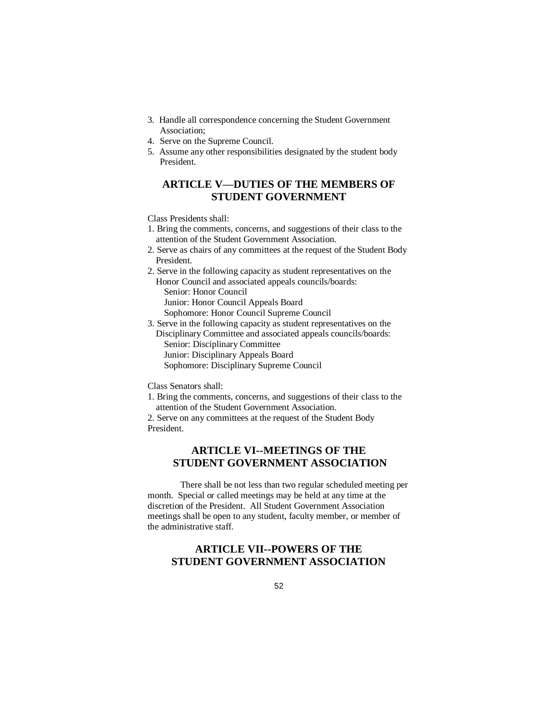- 3. Handle all correspondence concerning the Student Government Association;
- 4. Serve on the Supreme Council.
- 5. Assume any other responsibilities designated by the student body President.

# **ARTICLE V—DUTIES OF THE MEMBERS OF STUDENT GOVERNMENT**

Class Presidents shall:

- 1. Bring the comments, concerns, and suggestions of their class to the attention of the Student Government Association.
- 2. Serve as chairs of any committees at the request of the Student Body President.
- 2. Serve in the following capacity as student representatives on the Honor Council and associated appeals councils/boards: Senior: Honor Council Junior: Honor Council Appeals Board
- Sophomore: Honor Council Supreme Council
- 3. Serve in the following capacity as student representatives on the Disciplinary Committee and associated appeals councils/boards:

Senior: Disciplinary Committee

Junior: Disciplinary Appeals Board

Sophomore: Disciplinary Supreme Council

Class Senators shall:

1. Bring the comments, concerns, and suggestions of their class to the attention of the Student Government Association.

2. Serve on any committees at the request of the Student Body President.

# **ARTICLE VI--MEETINGS OF THE STUDENT GOVERNMENT ASSOCIATION**

There shall be not less than two regular scheduled meeting per month. Special or called meetings may be held at any time at the discretion of the President. All Student Government Association meetings shall be open to any student, faculty member, or member of the administrative staff.

# **ARTICLE VII--POWERS OF THE STUDENT GOVERNMENT ASSOCIATION**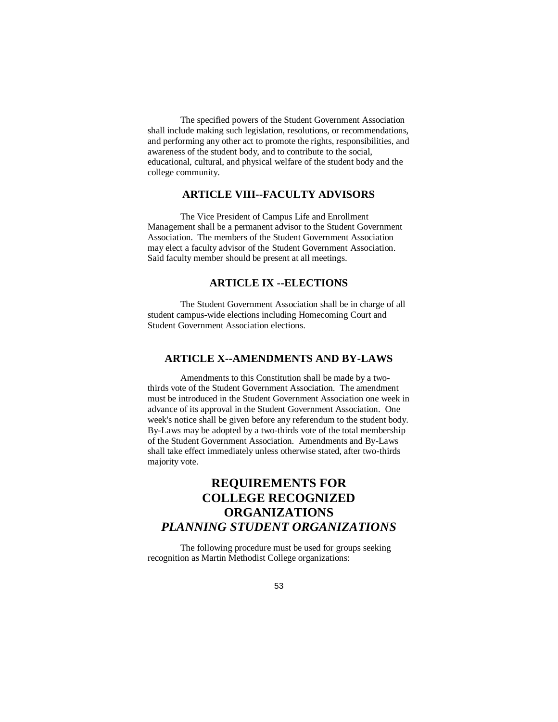The specified powers of the Student Government Association shall include making such legislation, resolutions, or recommendations, and performing any other act to promote the rights, responsibilities, and awareness of the student body, and to contribute to the social, educational, cultural, and physical welfare of the student body and the college community.

## **ARTICLE VIII--FACULTY ADVISORS**

The Vice President of Campus Life and Enrollment Management shall be a permanent advisor to the Student Government Association. The members of the Student Government Association may elect a faculty advisor of the Student Government Association. Said faculty member should be present at all meetings.

## **ARTICLE IX --ELECTIONS**

The Student Government Association shall be in charge of all student campus-wide elections including Homecoming Court and Student Government Association elections.

### **ARTICLE X--AMENDMENTS AND BY-LAWS**

Amendments to this Constitution shall be made by a twothirds vote of the Student Government Association. The amendment must be introduced in the Student Government Association one week in advance of its approval in the Student Government Association. One week's notice shall be given before any referendum to the student body. By-Laws may be adopted by a two-thirds vote of the total membership of the Student Government Association. Amendments and By-Laws shall take effect immediately unless otherwise stated, after two-thirds majority vote.

# **REQUIREMENTS FOR COLLEGE RECOGNIZED ORGANIZATIONS** *PLANNING STUDENT ORGANIZATIONS*

The following procedure must be used for groups seeking recognition as Martin Methodist College organizations: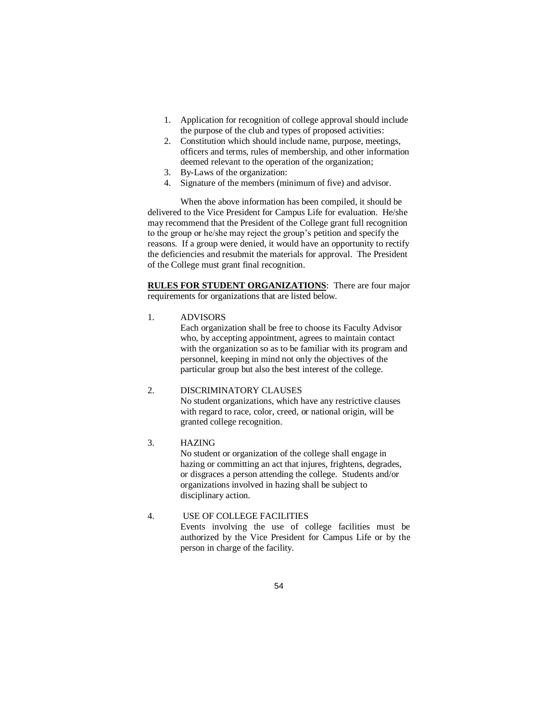- 1. Application for recognition of college approval should include the purpose of the club and types of proposed activities:
- 2. Constitution which should include name, purpose, meetings, officers and terms, rules of membership, and other information deemed relevant to the operation of the organization;
- 3. By-Laws of the organization:
- 4. Signature of the members (minimum of five) and advisor.

When the above information has been compiled, it should be delivered to the Vice President for Campus Life for evaluation. He/she may recommend that the President of the College grant full recognition to the group or he/she may reject the group's petition and specify the reasons. If a group were denied, it would have an opportunity to rectify the deficiencies and resubmit the materials for approval. The President of the College must grant final recognition.

**RULES FOR STUDENT ORGANIZATIONS**: There are four major requirements for organizations that are listed below.

1. ADVISORS

Each organization shall be free to choose its Faculty Advisor who, by accepting appointment, agrees to maintain contact with the organization so as to be familiar with its program and personnel, keeping in mind not only the objectives of the particular group but also the best interest of the college.

#### 2. DISCRIMINATORY CLAUSES

No student organizations, which have any restrictive clauses with regard to race, color, creed, or national origin, will be granted college recognition.

#### 3. HAZING

No student or organization of the college shall engage in hazing or committing an act that injures, frightens, degrades, or disgraces a person attending the college. Students and/or organizations involved in hazing shall be subject to disciplinary action.

# 4. USE OF COLLEGE FACILITIES

Events involving the use of college facilities must be authorized by the Vice President for Campus Life or by the person in charge of the facility.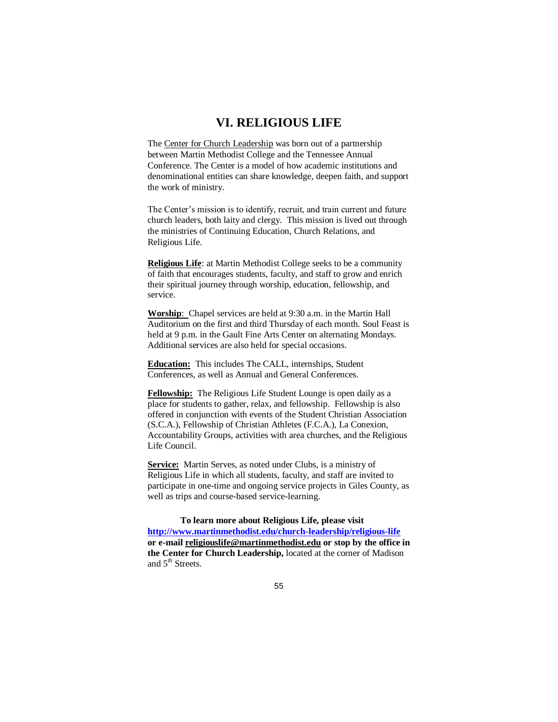# **VI. RELIGIOUS LIFE**

The Center for Church Leadership was born out of a partnership between Martin Methodist College and the Tennessee Annual Conference. The Center is a model of how academic institutions and denominational entities can share knowledge, deepen faith, and support the work of ministry.

The Center's mission is to identify, recruit, and train current and future church leaders, both laity and clergy. This mission is lived out through the ministries of Continuing Education, Church Relations, and Religious Life.

**Religious Life**: at Martin Methodist College seeks to be a community of faith that encourages students, faculty, and staff to grow and enrich their spiritual journey through worship, education, fellowship, and service.

**Worship**: Chapel services are held at 9:30 a.m. in the Martin Hall Auditorium on the first and third Thursday of each month. Soul Feast is held at 9 p.m. in the Gault Fine Arts Center on alternating Mondays. Additional services are also held for special occasions.

**Education:** This includes The CALL, internships, Student Conferences, as well as Annual and General Conferences.

**Fellowship:** The Religious Life Student Lounge is open daily as a place for students to gather, relax, and fellowship. Fellowship is also offered in conjunction with events of the Student Christian Association (S.C.A.), Fellowship of Christian Athletes (F.C.A.), La Conexion, Accountability Groups, activities with area churches, and the Religious Life Council.

**Service:** Martin Serves, as noted under Clubs, is a ministry of Religious Life in which all students, faculty, and staff are invited to participate in one-time and ongoing service projects in Giles County, as well as trips and course-based service-learning.

**To learn more about Religious Life, please visit <http://www.martinmethodist.edu/church-leadership/religious-life> or e-mail [religiouslife@martinmethodist.edu](mailto:religiouslife@martinmethodist.edu) or stop by the office in the Center for Church Leadership,** located at the corner of Madison and 5<sup>th</sup> Streets.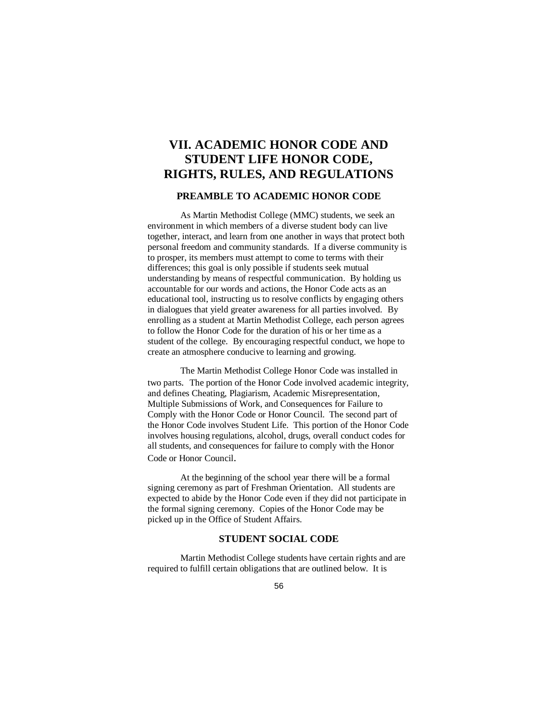# **VII. ACADEMIC HONOR CODE AND STUDENT LIFE HONOR CODE, RIGHTS, RULES, AND REGULATIONS**

#### **PREAMBLE TO ACADEMIC HONOR CODE**

As Martin Methodist College (MMC) students, we seek an environment in which members of a diverse student body can live together, interact, and learn from one another in ways that protect both personal freedom and community standards. If a diverse community is to prosper, its members must attempt to come to terms with their differences; this goal is only possible if students seek mutual understanding by means of respectful communication. By holding us accountable for our words and actions, the Honor Code acts as an educational tool, instructing us to resolve conflicts by engaging others in dialogues that yield greater awareness for all parties involved. By enrolling as a student at Martin Methodist College, each person agrees to follow the Honor Code for the duration of his or her time as a student of the college. By encouraging respectful conduct, we hope to create an atmosphere conducive to learning and growing.

The Martin Methodist College Honor Code was installed in two parts. The portion of the Honor Code involved academic integrity, and defines Cheating, Plagiarism, Academic Misrepresentation, Multiple Submissions of Work, and Consequences for Failure to Comply with the Honor Code or Honor Council. The second part of the Honor Code involves Student Life. This portion of the Honor Code involves housing regulations, alcohol, drugs, overall conduct codes for all students, and consequences for failure to comply with the Honor Code or Honor Council.

At the beginning of the school year there will be a formal signing ceremony as part of Freshman Orientation. All students are expected to abide by the Honor Code even if they did not participate in the formal signing ceremony. Copies of the Honor Code may be picked up in the Office of Student Affairs.

#### **STUDENT SOCIAL CODE**

Martin Methodist College students have certain rights and are required to fulfill certain obligations that are outlined below. It is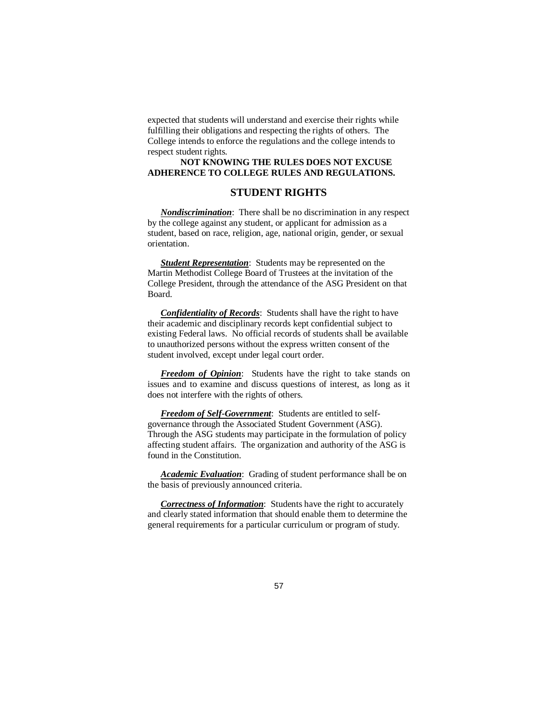expected that students will understand and exercise their rights while fulfilling their obligations and respecting the rights of others. The College intends to enforce the regulations and the college intends to respect student rights.

#### **NOT KNOWING THE RULES DOES NOT EXCUSE ADHERENCE TO COLLEGE RULES AND REGULATIONS.**

#### **STUDENT RIGHTS**

*Nondiscrimination*: There shall be no discrimination in any respect by the college against any student, or applicant for admission as a student, based on race, religion, age, national origin, gender, or sexual orientation.

*Student Representation*: Students may be represented on the Martin Methodist College Board of Trustees at the invitation of the College President, through the attendance of the ASG President on that Board.

*Confidentiality of Records*: Students shall have the right to have their academic and disciplinary records kept confidential subject to existing Federal laws. No official records of students shall be available to unauthorized persons without the express written consent of the student involved, except under legal court order.

*Freedom of Opinion*: Students have the right to take stands on issues and to examine and discuss questions of interest, as long as it does not interfere with the rights of others.

*Freedom of Self-Government*: Students are entitled to selfgovernance through the Associated Student Government (ASG). Through the ASG students may participate in the formulation of policy affecting student affairs. The organization and authority of the ASG is found in the Constitution.

*Academic Evaluation*: Grading of student performance shall be on the basis of previously announced criteria.

*Correctness of Information*: Students have the right to accurately and clearly stated information that should enable them to determine the general requirements for a particular curriculum or program of study.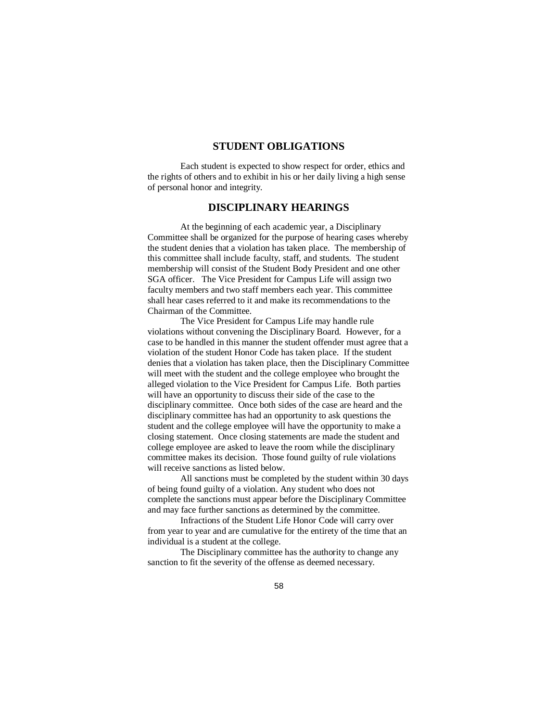## **STUDENT OBLIGATIONS**

Each student is expected to show respect for order, ethics and the rights of others and to exhibit in his or her daily living a high sense of personal honor and integrity.

### **DISCIPLINARY HEARINGS**

At the beginning of each academic year, a Disciplinary Committee shall be organized for the purpose of hearing cases whereby the student denies that a violation has taken place. The membership of this committee shall include faculty, staff, and students. The student membership will consist of the Student Body President and one other SGA officer. The Vice President for Campus Life will assign two faculty members and two staff members each year. This committee shall hear cases referred to it and make its recommendations to the Chairman of the Committee.

The Vice President for Campus Life may handle rule violations without convening the Disciplinary Board. However, for a case to be handled in this manner the student offender must agree that a violation of the student Honor Code has taken place. If the student denies that a violation has taken place, then the Disciplinary Committee will meet with the student and the college employee who brought the alleged violation to the Vice President for Campus Life. Both parties will have an opportunity to discuss their side of the case to the disciplinary committee. Once both sides of the case are heard and the disciplinary committee has had an opportunity to ask questions the student and the college employee will have the opportunity to make a closing statement. Once closing statements are made the student and college employee are asked to leave the room while the disciplinary committee makes its decision. Those found guilty of rule violations will receive sanctions as listed below.

All sanctions must be completed by the student within 30 days of being found guilty of a violation. Any student who does not complete the sanctions must appear before the Disciplinary Committee and may face further sanctions as determined by the committee.

Infractions of the Student Life Honor Code will carry over from year to year and are cumulative for the entirety of the time that an individual is a student at the college.

The Disciplinary committee has the authority to change any sanction to fit the severity of the offense as deemed necessary.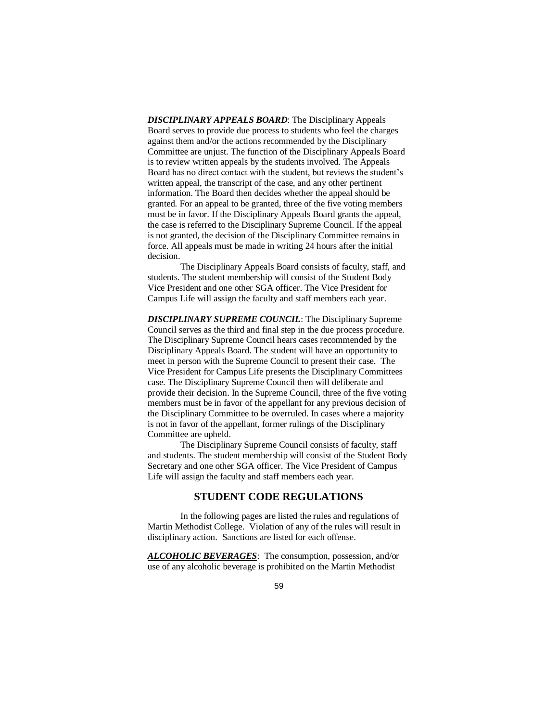*DISCIPLINARY APPEALS BOARD*: The Disciplinary Appeals Board serves to provide due process to students who feel the charges against them and/or the actions recommended by the Disciplinary Committee are unjust. The function of the Disciplinary Appeals Board is to review written appeals by the students involved. The Appeals Board has no direct contact with the student, but reviews the student's written appeal, the transcript of the case, and any other pertinent information. The Board then decides whether the appeal should be granted. For an appeal to be granted, three of the five voting members must be in favor. If the Disciplinary Appeals Board grants the appeal, the case is referred to the Disciplinary Supreme Council. If the appeal is not granted, the decision of the Disciplinary Committee remains in force. All appeals must be made in writing 24 hours after the initial decision.

The Disciplinary Appeals Board consists of faculty, staff, and students. The student membership will consist of the Student Body Vice President and one other SGA officer. The Vice President for Campus Life will assign the faculty and staff members each year.

*DISCIPLINARY SUPREME COUNCIL*: The Disciplinary Supreme Council serves as the third and final step in the due process procedure. The Disciplinary Supreme Council hears cases recommended by the Disciplinary Appeals Board. The student will have an opportunity to meet in person with the Supreme Council to present their case. The Vice President for Campus Life presents the Disciplinary Committees case. The Disciplinary Supreme Council then will deliberate and provide their decision. In the Supreme Council, three of the five voting members must be in favor of the appellant for any previous decision of the Disciplinary Committee to be overruled. In cases where a majority is not in favor of the appellant, former rulings of the Disciplinary Committee are upheld.

The Disciplinary Supreme Council consists of faculty, staff and students. The student membership will consist of the Student Body Secretary and one other SGA officer. The Vice President of Campus Life will assign the faculty and staff members each year.

#### **STUDENT CODE REGULATIONS**

In the following pages are listed the rules and regulations of Martin Methodist College. Violation of any of the rules will result in disciplinary action. Sanctions are listed for each offense.

*ALCOHOLIC BEVERAGES*: The consumption, possession, and/or use of any alcoholic beverage is prohibited on the Martin Methodist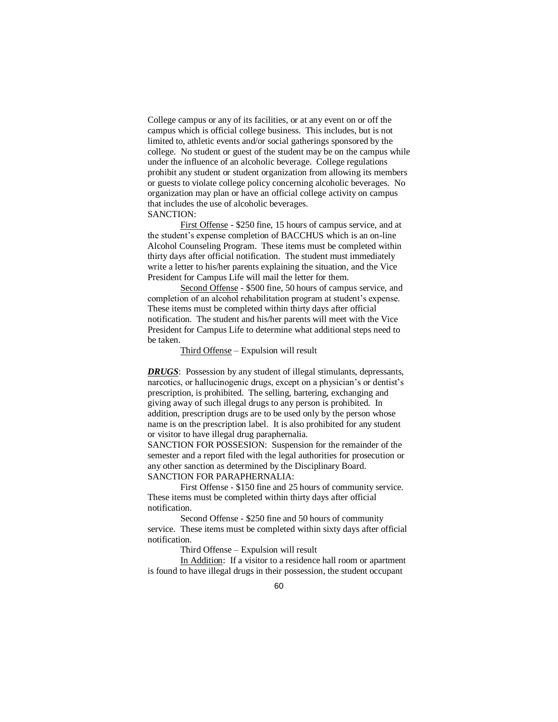College campus or any of its facilities, or at any event on or off the campus which is official college business. This includes, but is not limited to, athletic events and/or social gatherings sponsored by the college. No student or guest of the student may be on the campus while under the influence of an alcoholic beverage. College regulations prohibit any student or student organization from allowing its members or guests to violate college policy concerning alcoholic beverages. No organization may plan or have an official college activity on campus that includes the use of alcoholic beverages. SANCTION:

First Offense - \$250 fine, 15 hours of campus service, and at the student's expense completion of BACCHUS which is an on-line Alcohol Counseling Program. These items must be completed within thirty days after official notification. The student must immediately write a letter to his/her parents explaining the situation, and the Vice President for Campus Life will mail the letter for them.

Second Offense - \$500 fine, 50 hours of campus service, and completion of an alcohol rehabilitation program at student's expense. These items must be completed within thirty days after official notification. The student and his/her parents will meet with the Vice President for Campus Life to determine what additional steps need to be taken.

#### Third Offense – Expulsion will result

**DRUGS**: Possession by any student of illegal stimulants, depressants, narcotics, or hallucinogenic drugs, except on a physician's or dentist's prescription, is prohibited. The selling, bartering, exchanging and giving away of such illegal drugs to any person is prohibited. In addition, prescription drugs are to be used only by the person whose name is on the prescription label. It is also prohibited for any student or visitor to have illegal drug paraphernalia.

SANCTION FOR POSSESION: Suspension for the remainder of the semester and a report filed with the legal authorities for prosecution or any other sanction as determined by the Disciplinary Board. SANCTION FOR PARAPHERNALIA:

First Offense - \$150 fine and 25 hours of community service. These items must be completed within thirty days after official notification.

Second Offense - \$250 fine and 50 hours of community service. These items must be completed within sixty days after official notification.

Third Offense – Expulsion will result

In Addition: If a visitor to a residence hall room or apartment is found to have illegal drugs in their possession, the student occupant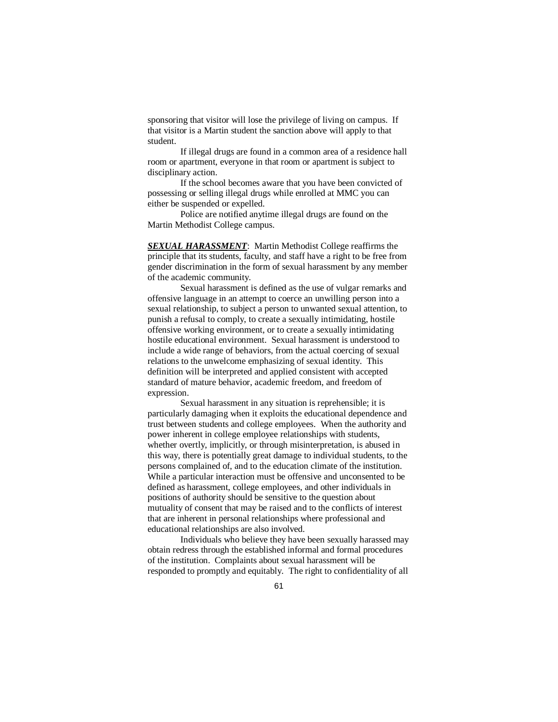sponsoring that visitor will lose the privilege of living on campus. If that visitor is a Martin student the sanction above will apply to that student.

If illegal drugs are found in a common area of a residence hall room or apartment, everyone in that room or apartment is subject to disciplinary action.

If the school becomes aware that you have been convicted of possessing or selling illegal drugs while enrolled at MMC you can either be suspended or expelled.

Police are notified anytime illegal drugs are found on the Martin Methodist College campus.

*SEXUAL HARASSMENT*: Martin Methodist College reaffirms the principle that its students, faculty, and staff have a right to be free from gender discrimination in the form of sexual harassment by any member of the academic community.

Sexual harassment is defined as the use of vulgar remarks and offensive language in an attempt to coerce an unwilling person into a sexual relationship, to subject a person to unwanted sexual attention, to punish a refusal to comply, to create a sexually intimidating, hostile offensive working environment, or to create a sexually intimidating hostile educational environment. Sexual harassment is understood to include a wide range of behaviors, from the actual coercing of sexual relations to the unwelcome emphasizing of sexual identity. This definition will be interpreted and applied consistent with accepted standard of mature behavior, academic freedom, and freedom of expression.

Sexual harassment in any situation is reprehensible; it is particularly damaging when it exploits the educational dependence and trust between students and college employees. When the authority and power inherent in college employee relationships with students, whether overtly, implicitly, or through misinterpretation, is abused in this way, there is potentially great damage to individual students, to the persons complained of, and to the education climate of the institution. While a particular interaction must be offensive and unconsented to be defined as harassment, college employees, and other individuals in positions of authority should be sensitive to the question about mutuality of consent that may be raised and to the conflicts of interest that are inherent in personal relationships where professional and educational relationships are also involved.

Individuals who believe they have been sexually harassed may obtain redress through the established informal and formal procedures of the institution. Complaints about sexual harassment will be responded to promptly and equitably. The right to confidentiality of all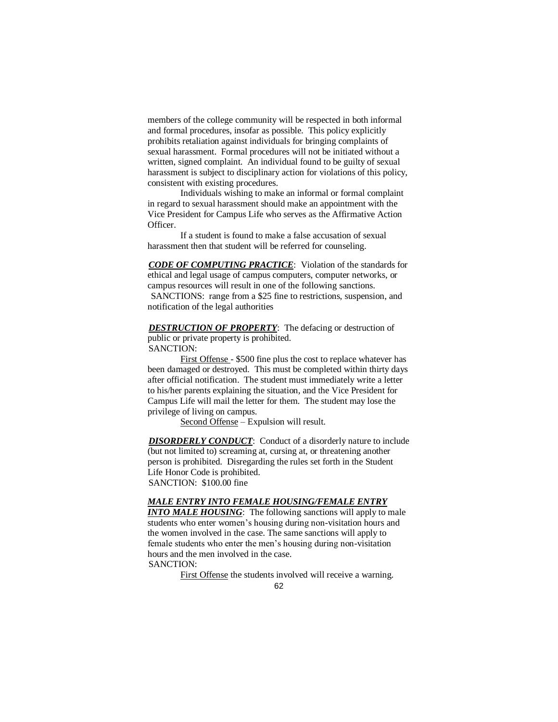members of the college community will be respected in both informal and formal procedures, insofar as possible. This policy explicitly prohibits retaliation against individuals for bringing complaints of sexual harassment. Formal procedures will not be initiated without a written, signed complaint. An individual found to be guilty of sexual harassment is subject to disciplinary action for violations of this policy, consistent with existing procedures.

Individuals wishing to make an informal or formal complaint in regard to sexual harassment should make an appointment with the Vice President for Campus Life who serves as the Affirmative Action Officer.

If a student is found to make a false accusation of sexual harassment then that student will be referred for counseling.

*CODE OF COMPUTING PRACTICE*: Violation of the standards for ethical and legal usage of campus computers, computer networks, or campus resources will result in one of the following sanctions. SANCTIONS: range from a \$25 fine to restrictions, suspension, and notification of the legal authorities

**DESTRUCTION OF PROPERTY**: The defacing or destruction of public or private property is prohibited. SANCTION:

First Offense - \$500 fine plus the cost to replace whatever has been damaged or destroyed. This must be completed within thirty days after official notification. The student must immediately write a letter to his/her parents explaining the situation, and the Vice President for Campus Life will mail the letter for them. The student may lose the privilege of living on campus.

Second Offense – Expulsion will result.

**DISORDERLY CONDUCT:** Conduct of a disorderly nature to include (but not limited to) screaming at, cursing at, or threatening another person is prohibited. Disregarding the rules set forth in the Student Life Honor Code is prohibited. SANCTION: \$100.00 fine

#### *MALE ENTRY INTO FEMALE HOUSING/FEMALE ENTRY*

*INTO MALE HOUSING:* The following sanctions will apply to male students who enter women's housing during non-visitation hours and the women involved in the case. The same sanctions will apply to female students who enter the men's housing during non-visitation hours and the men involved in the case. SANCTION:

First Offense the students involved will receive a warning.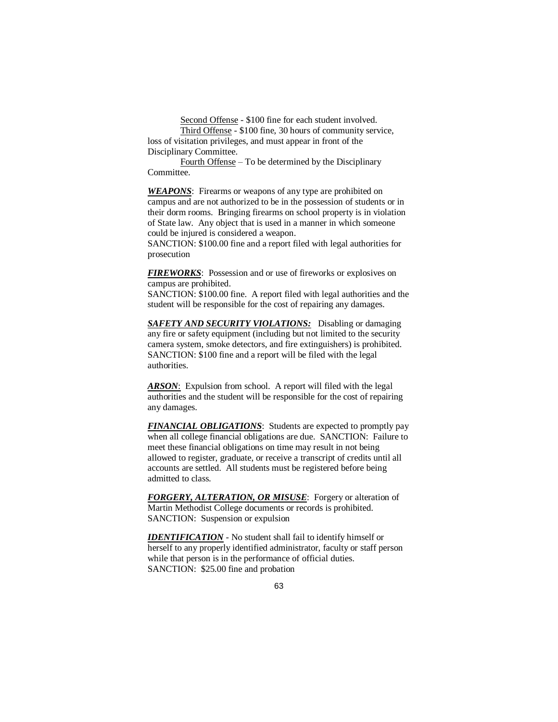Second Offense - \$100 fine for each student involved.

Third Offense - \$100 fine, 30 hours of community service, loss of visitation privileges, and must appear in front of the Disciplinary Committee.

Fourth Offense – To be determined by the Disciplinary Committee.

**WEAPONS**: Firearms or weapons of any type are prohibited on campus and are not authorized to be in the possession of students or in their dorm rooms. Bringing firearms on school property is in violation of State law. Any object that is used in a manner in which someone could be injured is considered a weapon.

SANCTION: \$100.00 fine and a report filed with legal authorities for prosecution

*FIREWORKS*: Possession and or use of fireworks or explosives on campus are prohibited.

SANCTION: \$100.00 fine. A report filed with legal authorities and the student will be responsible for the cost of repairing any damages.

*SAFETY AND SECURITY VIOLATIONS:* Disabling or damaging any fire or safety equipment (including but not limited to the security camera system, smoke detectors, and fire extinguishers) is prohibited. SANCTION: \$100 fine and a report will be filed with the legal authorities.

*ARSON*: Expulsion from school. A report will filed with the legal authorities and the student will be responsible for the cost of repairing any damages.

*FINANCIAL OBLIGATIONS*: Students are expected to promptly pay when all college financial obligations are due. SANCTION: Failure to meet these financial obligations on time may result in not being allowed to register, graduate, or receive a transcript of credits until all accounts are settled. All students must be registered before being admitted to class.

*FORGERY, ALTERATION, OR MISUSE*: Forgery or alteration of Martin Methodist College documents or records is prohibited. SANCTION: Suspension or expulsion

*IDENTIFICATION* - No student shall fail to identify himself or herself to any properly identified administrator, faculty or staff person while that person is in the performance of official duties. SANCTION: \$25.00 fine and probation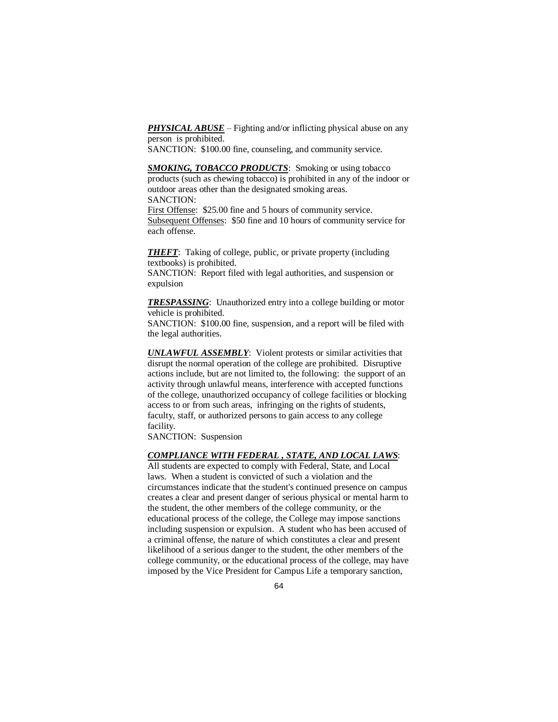**PHYSICAL ABUSE** – Fighting and/or inflicting physical abuse on any person is prohibited.

SANCTION: \$100.00 fine, counseling, and community service.

*SMOKING, TOBACCO PRODUCTS*: Smoking or using tobacco products (such as chewing tobacco) is prohibited in any of the indoor or outdoor areas other than the designated smoking areas. SANCTION:

First Offense: \$25.00 fine and 5 hours of community service. Subsequent Offenses: \$50 fine and 10 hours of community service for each offense.

*THEFT*: Taking of college, public, or private property (including textbooks) is prohibited.

SANCTION: Report filed with legal authorities, and suspension or expulsion

*TRESPASSING*: Unauthorized entry into a college building or motor vehicle is prohibited.

SANCTION: \$100.00 fine, suspension, and a report will be filed with the legal authorities.

*UNLAWFUL ASSEMBLY*: Violent protests or similar activities that disrupt the normal operation of the college are prohibited. Disruptive actions include, but are not limited to, the following: the support of an activity through unlawful means, interference with accepted functions of the college, unauthorized occupancy of college facilities or blocking access to or from such areas, infringing on the rights of students, faculty, staff, or authorized persons to gain access to any college facility.

SANCTION: Suspension

#### *COMPLIANCE WITH FEDERAL , STATE, AND LOCAL LAWS*:

All students are expected to comply with Federal, State, and Local laws. When a student is convicted of such a violation and the circumstances indicate that the student's continued presence on campus creates a clear and present danger of serious physical or mental harm to the student, the other members of the college community, or the educational process of the college, the College may impose sanctions including suspension or expulsion. A student who has been accused of a criminal offense, the nature of which constitutes a clear and present likelihood of a serious danger to the student, the other members of the college community, or the educational process of the college, may have imposed by the Vice President for Campus Life a temporary sanction,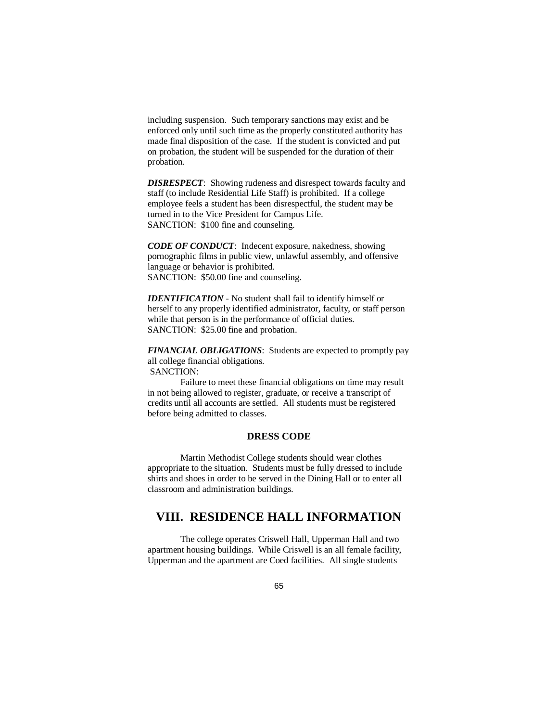including suspension. Such temporary sanctions may exist and be enforced only until such time as the properly constituted authority has made final disposition of the case. If the student is convicted and put on probation, the student will be suspended for the duration of their probation.

*DISRESPECT*: Showing rudeness and disrespect towards faculty and staff (to include Residential Life Staff) is prohibited. If a college employee feels a student has been disrespectful, the student may be turned in to the Vice President for Campus Life. SANCTION: \$100 fine and counseling.

*CODE OF CONDUCT*: Indecent exposure, nakedness, showing pornographic films in public view, unlawful assembly, and offensive language or behavior is prohibited. SANCTION: \$50.00 fine and counseling.

*IDENTIFICATION* - No student shall fail to identify himself or herself to any properly identified administrator, faculty, or staff person while that person is in the performance of official duties. SANCTION: \$25.00 fine and probation.

*FINANCIAL OBLIGATIONS*: Students are expected to promptly pay all college financial obligations. SANCTION:

Failure to meet these financial obligations on time may result in not being allowed to register, graduate, or receive a transcript of credits until all accounts are settled. All students must be registered before being admitted to classes.

### **DRESS CODE**

Martin Methodist College students should wear clothes appropriate to the situation. Students must be fully dressed to include shirts and shoes in order to be served in the Dining Hall or to enter all classroom and administration buildings.

# **VIII. RESIDENCE HALL INFORMATION**

The college operates Criswell Hall, Upperman Hall and two apartment housing buildings. While Criswell is an all female facility, Upperman and the apartment are Coed facilities. All single students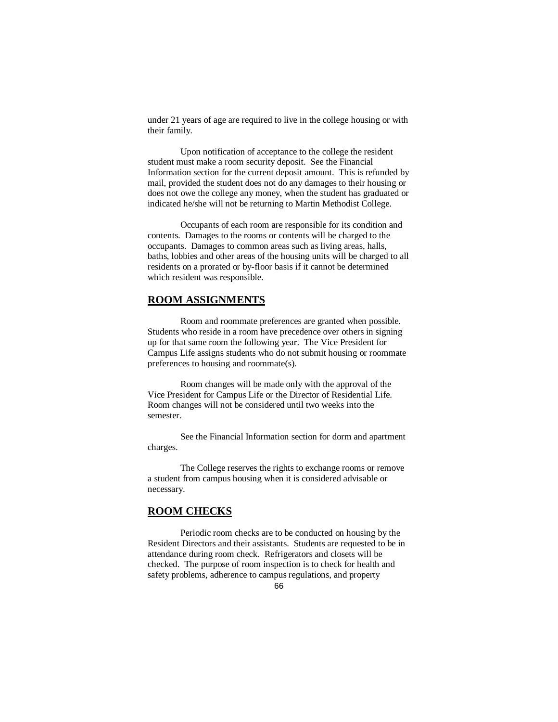under 21 years of age are required to live in the college housing or with their family.

Upon notification of acceptance to the college the resident student must make a room security deposit. See the Financial Information section for the current deposit amount. This is refunded by mail, provided the student does not do any damages to their housing or does not owe the college any money, when the student has graduated or indicated he/she will not be returning to Martin Methodist College.

Occupants of each room are responsible for its condition and contents. Damages to the rooms or contents will be charged to the occupants. Damages to common areas such as living areas, halls, baths, lobbies and other areas of the housing units will be charged to all residents on a prorated or by-floor basis if it cannot be determined which resident was responsible.

#### **ROOM ASSIGNMENTS**

Room and roommate preferences are granted when possible. Students who reside in a room have precedence over others in signing up for that same room the following year. The Vice President for Campus Life assigns students who do not submit housing or roommate preferences to housing and roommate(s).

Room changes will be made only with the approval of the Vice President for Campus Life or the Director of Residential Life. Room changes will not be considered until two weeks into the semester.

See the Financial Information section for dorm and apartment charges.

The College reserves the rights to exchange rooms or remove a student from campus housing when it is considered advisable or necessary.

### **ROOM CHECKS**

Periodic room checks are to be conducted on housing by the Resident Directors and their assistants. Students are requested to be in attendance during room check. Refrigerators and closets will be checked. The purpose of room inspection is to check for health and safety problems, adherence to campus regulations, and property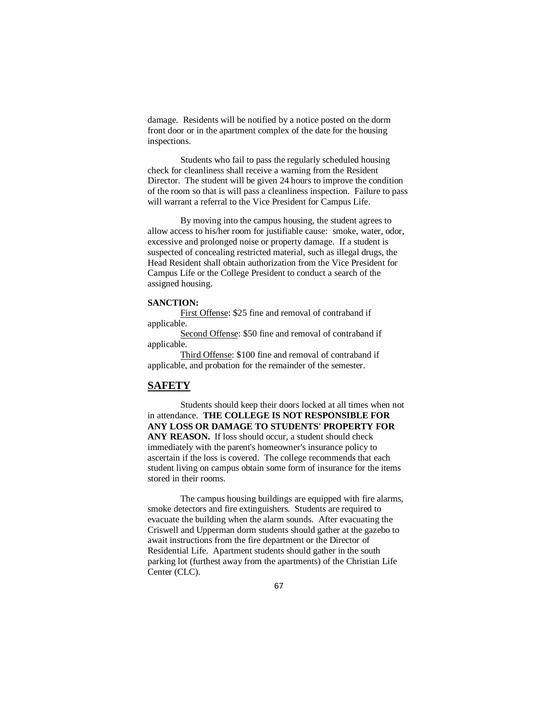damage. Residents will be notified by a notice posted on the dorm front door or in the apartment complex of the date for the housing inspections.

Students who fail to pass the regularly scheduled housing check for cleanliness shall receive a warning from the Resident Director. The student will be given 24 hours to improve the condition of the room so that is will pass a cleanliness inspection. Failure to pass will warrant a referral to the Vice President for Campus Life.

By moving into the campus housing, the student agrees to allow access to his/her room for justifiable cause: smoke, water, odor, excessive and prolonged noise or property damage. If a student is suspected of concealing restricted material, such as illegal drugs, the Head Resident shall obtain authorization from the Vice President for Campus Life or the College President to conduct a search of the assigned housing.

#### **SANCTION:**

First Offense: \$25 fine and removal of contraband if applicable.

Second Offense: \$50 fine and removal of contraband if applicable.

Third Offense: \$100 fine and removal of contraband if applicable, and probation for the remainder of the semester.

### **SAFETY**

Students should keep their doors locked at all times when not in attendance. **THE COLLEGE IS NOT RESPONSIBLE FOR ANY LOSS OR DAMAGE TO STUDENTS' PROPERTY FOR**  ANY REASON. If loss should occur, a student should check immediately with the parent's homeowner's insurance policy to ascertain if the loss is covered. The college recommends that each student living on campus obtain some form of insurance for the items stored in their rooms.

The campus housing buildings are equipped with fire alarms, smoke detectors and fire extinguishers. Students are required to evacuate the building when the alarm sounds. After evacuating the Criswell and Upperman dorm students should gather at the gazebo to await instructions from the fire department or the Director of Residential Life. Apartment students should gather in the south parking lot (furthest away from the apartments) of the Christian Life Center (CLC).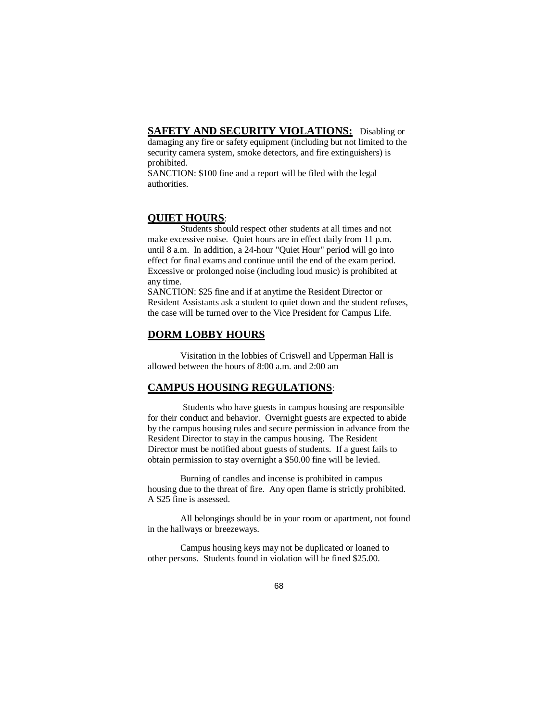## **SAFETY AND SECURITY VIOLATIONS:** Disabling or

damaging any fire or safety equipment (including but not limited to the security camera system, smoke detectors, and fire extinguishers) is prohibited.

SANCTION: \$100 fine and a report will be filed with the legal authorities.

#### **QUIET HOURS**:

Students should respect other students at all times and not make excessive noise. Quiet hours are in effect daily from 11 p.m. until 8 a.m. In addition, a 24-hour "Quiet Hour" period will go into effect for final exams and continue until the end of the exam period. Excessive or prolonged noise (including loud music) is prohibited at any time.

SANCTION: \$25 fine and if at anytime the Resident Director or Resident Assistants ask a student to quiet down and the student refuses, the case will be turned over to the Vice President for Campus Life.

#### **DORM LOBBY HOURS**

Visitation in the lobbies of Criswell and Upperman Hall is allowed between the hours of 8:00 a.m. and 2:00 am

#### **CAMPUS HOUSING REGULATIONS**:

Students who have guests in campus housing are responsible for their conduct and behavior. Overnight guests are expected to abide by the campus housing rules and secure permission in advance from the Resident Director to stay in the campus housing. The Resident Director must be notified about guests of students. If a guest fails to obtain permission to stay overnight a \$50.00 fine will be levied.

Burning of candles and incense is prohibited in campus housing due to the threat of fire. Any open flame is strictly prohibited. A \$25 fine is assessed.

All belongings should be in your room or apartment, not found in the hallways or breezeways.

Campus housing keys may not be duplicated or loaned to other persons. Students found in violation will be fined \$25.00.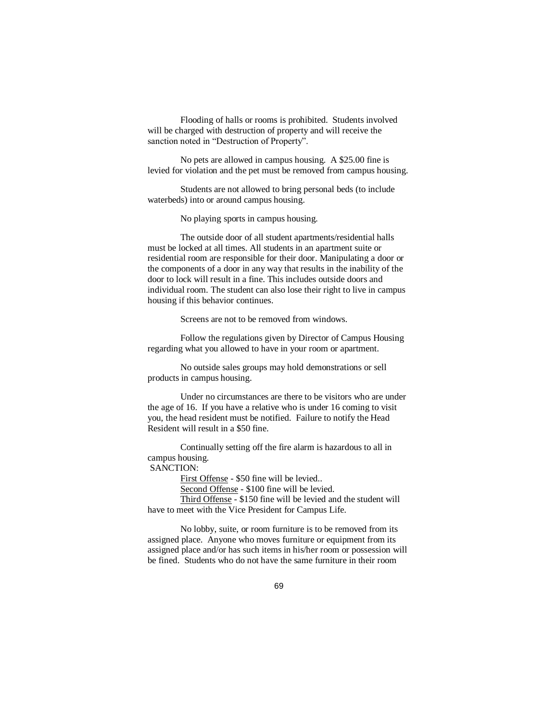Flooding of halls or rooms is prohibited. Students involved will be charged with destruction of property and will receive the sanction noted in "Destruction of Property".

No pets are allowed in campus housing. A \$25.00 fine is levied for violation and the pet must be removed from campus housing.

Students are not allowed to bring personal beds (to include waterbeds) into or around campus housing.

No playing sports in campus housing.

The outside door of all student apartments/residential halls must be locked at all times. All students in an apartment suite or residential room are responsible for their door. Manipulating a door or the components of a door in any way that results in the inability of the door to lock will result in a fine. This includes outside doors and individual room. The student can also lose their right to live in campus housing if this behavior continues.

Screens are not to be removed from windows.

Follow the regulations given by Director of Campus Housing regarding what you allowed to have in your room or apartment.

No outside sales groups may hold demonstrations or sell products in campus housing.

Under no circumstances are there to be visitors who are under the age of 16. If you have a relative who is under 16 coming to visit you, the head resident must be notified. Failure to notify the Head Resident will result in a \$50 fine.

Continually setting off the fire alarm is hazardous to all in campus housing.

# SANCTION:

First Offense - \$50 fine will be levied..

Second Offense - \$100 fine will be levied.

Third Offense - \$150 fine will be levied and the student will have to meet with the Vice President for Campus Life.

No lobby, suite, or room furniture is to be removed from its assigned place. Anyone who moves furniture or equipment from its assigned place and/or has such items in his/her room or possession will be fined. Students who do not have the same furniture in their room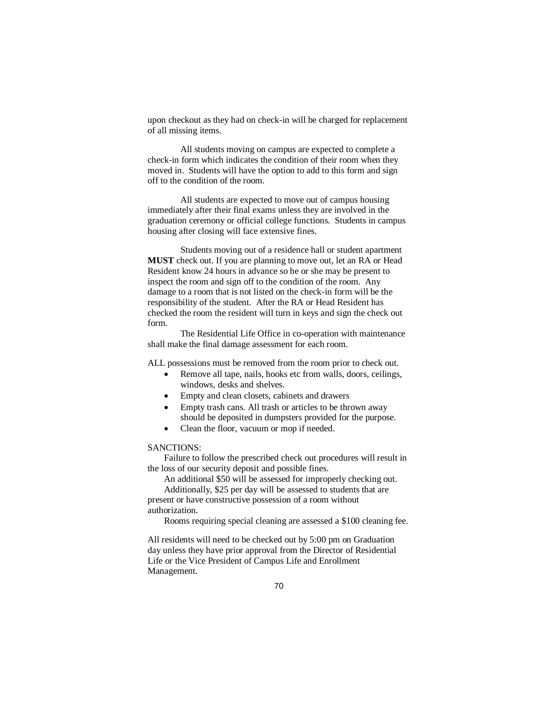upon checkout as they had on check-in will be charged for replacement of all missing items.

All students moving on campus are expected to complete a check-in form which indicates the condition of their room when they moved in. Students will have the option to add to this form and sign off to the condition of the room.

All students are expected to move out of campus housing immediately after their final exams unless they are involved in the graduation ceremony or official college functions. Students in campus housing after closing will face extensive fines.

Students moving out of a residence hall or student apartment **MUST** check out. If you are planning to move out, let an RA or Head Resident know 24 hours in advance so he or she may be present to inspect the room and sign off to the condition of the room. Any damage to a room that is not listed on the check-in form will be the responsibility of the student. After the RA or Head Resident has checked the room the resident will turn in keys and sign the check out form.

The Residential Life Office in co-operation with maintenance shall make the final damage assessment for each room.

ALL possessions must be removed from the room prior to check out.

- Remove all tape, nails, hooks etc from walls, doors, ceilings, windows, desks and shelves.
	- Empty and clean closets, cabinets and drawers
	- Empty trash cans. All trash or articles to be thrown away should be deposited in dumpsters provided for the purpose.
- Clean the floor, vacuum or mop if needed.

#### SANCTIONS:

Failure to follow the prescribed check out procedures will result in the loss of our security deposit and possible fines.

An additional \$50 will be assessed for improperly checking out. Additionally, \$25 per day will be assessed to students that are

present or have constructive possession of a room without authorization.

Rooms requiring special cleaning are assessed a \$100 cleaning fee.

All residents will need to be checked out by 5:00 pm on Graduation day unless they have prior approval from the Director of Residential Life or the Vice President of Campus Life and Enrollment Management.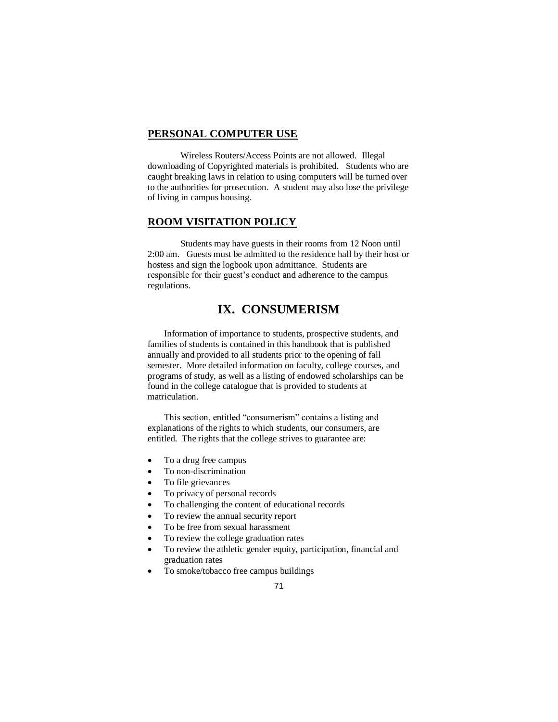#### **PERSONAL COMPUTER USE**

Wireless Routers/Access Points are not allowed. Illegal downloading of Copyrighted materials is prohibited. Students who are caught breaking laws in relation to using computers will be turned over to the authorities for prosecution. A student may also lose the privilege of living in campus housing.

### **ROOM VISITATION POLICY**

Students may have guests in their rooms from 12 Noon until 2:00 am. Guests must be admitted to the residence hall by their host or hostess and sign the logbook upon admittance. Students are responsible for their guest's conduct and adherence to the campus regulations.

# **IX. CONSUMERISM**

Information of importance to students, prospective students, and families of students is contained in this handbook that is published annually and provided to all students prior to the opening of fall semester. More detailed information on faculty, college courses, and programs of study, as well as a listing of endowed scholarships can be found in the college catalogue that is provided to students at matriculation.

This section, entitled "consumerism" contains a listing and explanations of the rights to which students, our consumers, are entitled. The rights that the college strives to guarantee are:

- To a drug free campus
- To non-discrimination
- To file grievances
- To privacy of personal records
- To challenging the content of educational records
- To review the annual security report
- To be free from sexual harassment
- To review the college graduation rates
- To review the athletic gender equity, participation, financial and graduation rates
- To smoke/tobacco free campus buildings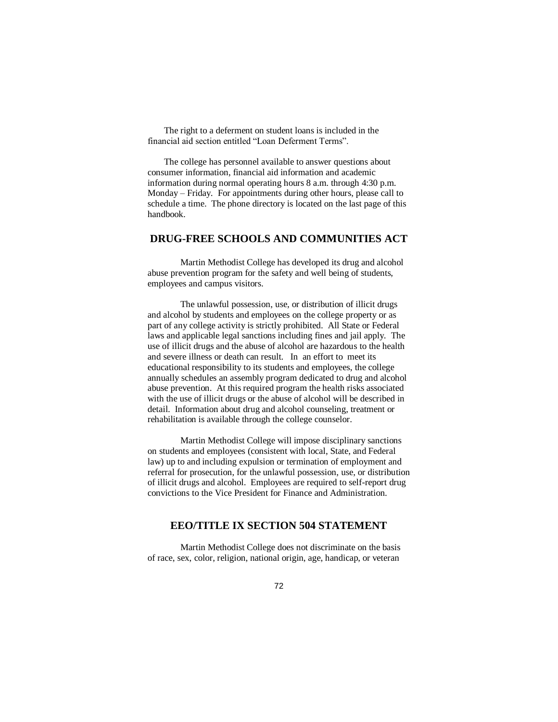The right to a deferment on student loans is included in the financial aid section entitled "Loan Deferment Terms".

The college has personnel available to answer questions about consumer information, financial aid information and academic information during normal operating hours 8 a.m. through 4:30 p.m. Monday – Friday. For appointments during other hours, please call to schedule a time. The phone directory is located on the last page of this handbook.

## **DRUG-FREE SCHOOLS AND COMMUNITIES ACT**

Martin Methodist College has developed its drug and alcohol abuse prevention program for the safety and well being of students, employees and campus visitors.

The unlawful possession, use, or distribution of illicit drugs and alcohol by students and employees on the college property or as part of any college activity is strictly prohibited. All State or Federal laws and applicable legal sanctions including fines and jail apply. The use of illicit drugs and the abuse of alcohol are hazardous to the health and severe illness or death can result. In an effort to meet its educational responsibility to its students and employees, the college annually schedules an assembly program dedicated to drug and alcohol abuse prevention. At this required program the health risks associated with the use of illicit drugs or the abuse of alcohol will be described in detail. Information about drug and alcohol counseling, treatment or rehabilitation is available through the college counselor.

Martin Methodist College will impose disciplinary sanctions on students and employees (consistent with local, State, and Federal law) up to and including expulsion or termination of employment and referral for prosecution, for the unlawful possession, use, or distribution of illicit drugs and alcohol. Employees are required to self-report drug convictions to the Vice President for Finance and Administration.

# **EEO/TITLE IX SECTION 504 STATEMENT**

Martin Methodist College does not discriminate on the basis of race, sex, color, religion, national origin, age, handicap, or veteran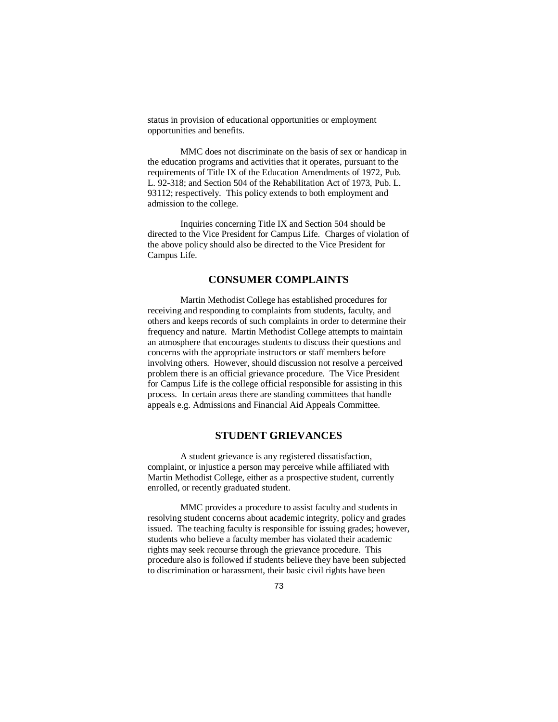status in provision of educational opportunities or employment opportunities and benefits.

MMC does not discriminate on the basis of sex or handicap in the education programs and activities that it operates, pursuant to the requirements of Title IX of the Education Amendments of 1972, Pub. L. 92-318; and Section 504 of the Rehabilitation Act of 1973, Pub. L. 93112; respectively. This policy extends to both employment and admission to the college.

Inquiries concerning Title IX and Section 504 should be directed to the Vice President for Campus Life. Charges of violation of the above policy should also be directed to the Vice President for Campus Life.

#### **CONSUMER COMPLAINTS**

Martin Methodist College has established procedures for receiving and responding to complaints from students, faculty, and others and keeps records of such complaints in order to determine their frequency and nature. Martin Methodist College attempts to maintain an atmosphere that encourages students to discuss their questions and concerns with the appropriate instructors or staff members before involving others. However, should discussion not resolve a perceived problem there is an official grievance procedure. The Vice President for Campus Life is the college official responsible for assisting in this process. In certain areas there are standing committees that handle appeals e.g. Admissions and Financial Aid Appeals Committee.

## **STUDENT GRIEVANCES**

A student grievance is any registered dissatisfaction, complaint, or injustice a person may perceive while affiliated with Martin Methodist College, either as a prospective student, currently enrolled, or recently graduated student.

MMC provides a procedure to assist faculty and students in resolving student concerns about academic integrity, policy and grades issued. The teaching faculty is responsible for issuing grades; however, students who believe a faculty member has violated their academic rights may seek recourse through the grievance procedure. This procedure also is followed if students believe they have been subjected to discrimination or harassment, their basic civil rights have been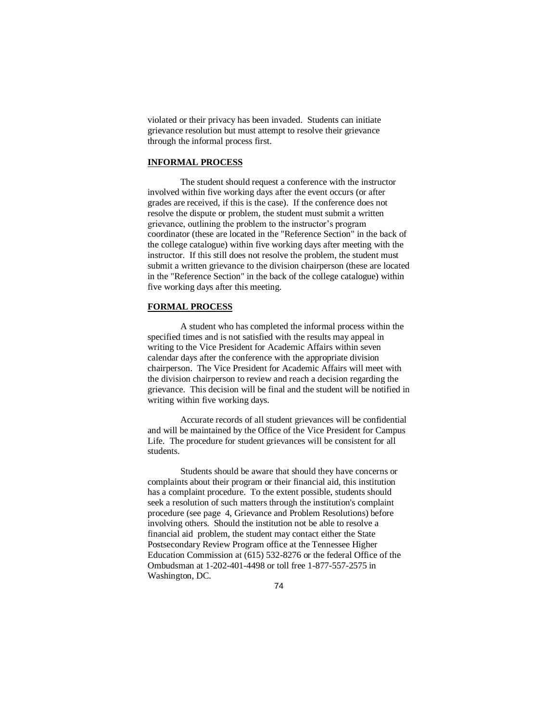violated or their privacy has been invaded. Students can initiate grievance resolution but must attempt to resolve their grievance through the informal process first.

#### **INFORMAL PROCESS**

The student should request a conference with the instructor involved within five working days after the event occurs (or after grades are received, if this is the case). If the conference does not resolve the dispute or problem, the student must submit a written grievance, outlining the problem to the instructor's program coordinator (these are located in the "Reference Section" in the back of the college catalogue) within five working days after meeting with the instructor. If this still does not resolve the problem, the student must submit a written grievance to the division chairperson (these are located in the "Reference Section" in the back of the college catalogue) within five working days after this meeting.

#### **FORMAL PROCESS**

A student who has completed the informal process within the specified times and is not satisfied with the results may appeal in writing to the Vice President for Academic Affairs within seven calendar days after the conference with the appropriate division chairperson. The Vice President for Academic Affairs will meet with the division chairperson to review and reach a decision regarding the grievance. This decision will be final and the student will be notified in writing within five working days.

Accurate records of all student grievances will be confidential and will be maintained by the Office of the Vice President for Campus Life. The procedure for student grievances will be consistent for all students.

Students should be aware that should they have concerns or complaints about their program or their financial aid, this institution has a complaint procedure. To the extent possible, students should seek a resolution of such matters through the institution's complaint procedure (see page 4, Grievance and Problem Resolutions) before involving others. Should the institution not be able to resolve a financial aid problem, the student may contact either the State Postsecondary Review Program office at the Tennessee Higher Education Commission at (615) 532-8276 or the federal Office of the Ombudsman at 1-202-401-4498 or toll free 1-877-557-2575 in Washington, DC.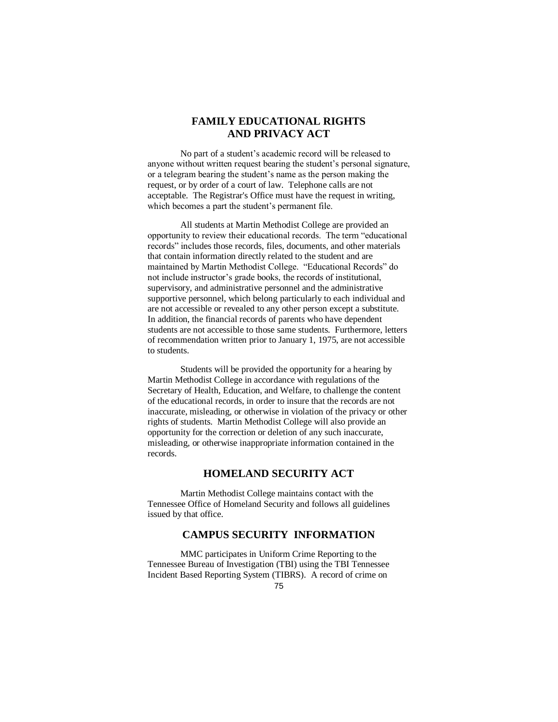# **FAMILY EDUCATIONAL RIGHTS AND PRIVACY ACT**

No part of a student's academic record will be released to anyone without written request bearing the student's personal signature, or a telegram bearing the student's name as the person making the request, or by order of a court of law. Telephone calls are not acceptable. The Registrar's Office must have the request in writing, which becomes a part the student's permanent file.

All students at Martin Methodist College are provided an opportunity to review their educational records. The term "educational records" includes those records, files, documents, and other materials that contain information directly related to the student and are maintained by Martin Methodist College. "Educational Records" do not include instructor's grade books, the records of institutional, supervisory, and administrative personnel and the administrative supportive personnel, which belong particularly to each individual and are not accessible or revealed to any other person except a substitute. In addition, the financial records of parents who have dependent students are not accessible to those same students. Furthermore, letters of recommendation written prior to January 1, 1975, are not accessible to students.

Students will be provided the opportunity for a hearing by Martin Methodist College in accordance with regulations of the Secretary of Health, Education, and Welfare, to challenge the content of the educational records, in order to insure that the records are not inaccurate, misleading, or otherwise in violation of the privacy or other rights of students. Martin Methodist College will also provide an opportunity for the correction or deletion of any such inaccurate, misleading, or otherwise inappropriate information contained in the records.

# **HOMELAND SECURITY ACT**

Martin Methodist College maintains contact with the Tennessee Office of Homeland Security and follows all guidelines issued by that office.

# **CAMPUS SECURITY INFORMATION**

MMC participates in Uniform Crime Reporting to the Tennessee Bureau of Investigation (TBI) using the TBI Tennessee Incident Based Reporting System (TIBRS). A record of crime on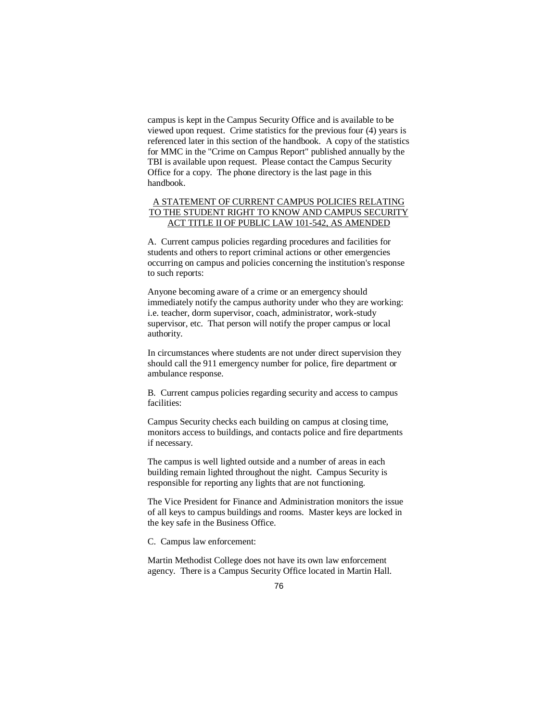campus is kept in the Campus Security Office and is available to be viewed upon request. Crime statistics for the previous four (4) years is referenced later in this section of the handbook. A copy of the statistics for MMC in the "Crime on Campus Report" published annually by the TBI is available upon request. Please contact the Campus Security Office for a copy. The phone directory is the last page in this handbook.

#### A STATEMENT OF CURRENT CAMPUS POLICIES RELATING TO THE STUDENT RIGHT TO KNOW AND CAMPUS SECURITY ACT TITLE II OF PUBLIC LAW 101-542, AS AMENDED

A. Current campus policies regarding procedures and facilities for students and others to report criminal actions or other emergencies occurring on campus and policies concerning the institution's response to such reports:

Anyone becoming aware of a crime or an emergency should immediately notify the campus authority under who they are working: i.e. teacher, dorm supervisor, coach, administrator, work-study supervisor, etc. That person will notify the proper campus or local authority.

In circumstances where students are not under direct supervision they should call the 911 emergency number for police, fire department or ambulance response.

B. Current campus policies regarding security and access to campus facilities:

Campus Security checks each building on campus at closing time, monitors access to buildings, and contacts police and fire departments if necessary.

The campus is well lighted outside and a number of areas in each building remain lighted throughout the night. Campus Security is responsible for reporting any lights that are not functioning.

The Vice President for Finance and Administration monitors the issue of all keys to campus buildings and rooms. Master keys are locked in the key safe in the Business Office.

C. Campus law enforcement:

Martin Methodist College does not have its own law enforcement agency. There is a Campus Security Office located in Martin Hall.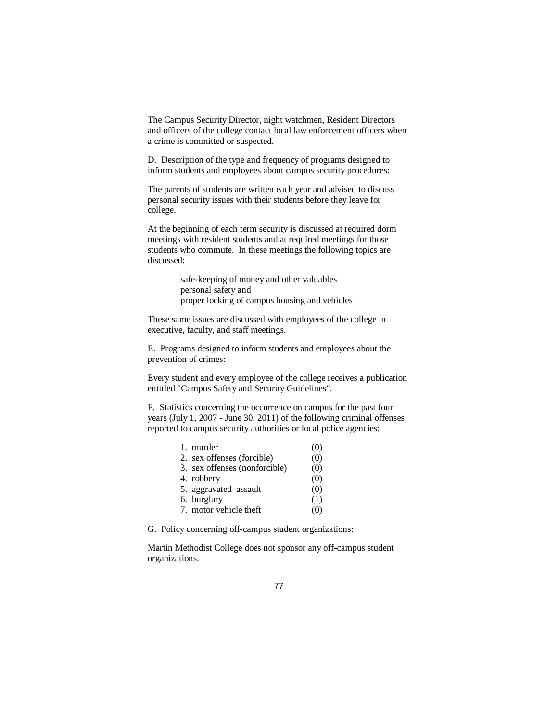The Campus Security Director, night watchmen, Resident Directors and officers of the college contact local law enforcement officers when a crime is committed or suspected.

D. Description of the type and frequency of programs designed to inform students and employees about campus security procedures:

The parents of students are written each year and advised to discuss personal security issues with their students before they leave for college.

At the beginning of each term security is discussed at required dorm meetings with resident students and at required meetings for those students who commute. In these meetings the following topics are discussed:

> safe-keeping of money and other valuables personal safety and proper locking of campus housing and vehicles

These same issues are discussed with employees of the college in executive, faculty, and staff meetings.

E. Programs designed to inform students and employees about the prevention of crimes:

Every student and every employee of the college receives a publication entitled "Campus Safety and Security Guidelines".

F. Statistics concerning the occurrence on campus for the past four years (July 1, 2007 - June 30, 2011) of the following criminal offenses reported to campus security authorities or local police agencies:

| 1. murder                     | (0) |
|-------------------------------|-----|
| 2. sex offenses (forcible)    | (0) |
| 3. sex offenses (nonforcible) | (0) |
| 4. robbery                    | (0) |
| 5. aggravated assault         | (0) |
| 6. burglary                   | (1) |
| 7. motor vehicle theft        | O.  |

G. Policy concerning off-campus student organizations:

Martin Methodist College does not sponsor any off-campus student organizations.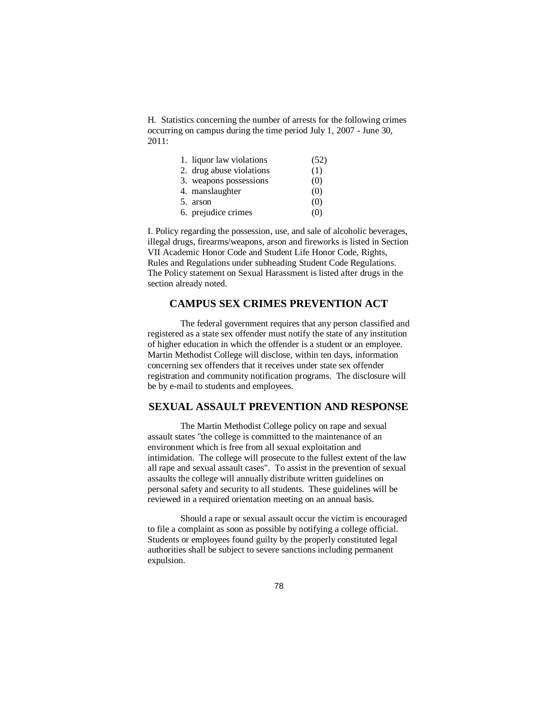H. Statistics concerning the number of arrests for the following crimes occurring on campus during the time period July 1, 2007 - June 30, 2011:

| 1. liquor law violations | (52) |
|--------------------------|------|
| 2. drug abuse violations | (1)  |
| 3. weapons possessions   | (0)  |
| 4. manslaughter          | (0)  |
| 5. arson                 | (0)  |
| 6. prejudice crimes      | (0)  |

I. Policy regarding the possession, use, and sale of alcoholic beverages, illegal drugs, firearms/weapons, arson and fireworks is listed in Section VII Academic Honor Code and Student Life Honor Code, Rights, Rules and Regulations under subheading Student Code Regulations. The Policy statement on Sexual Harassment is listed after drugs in the section already noted.

## **CAMPUS SEX CRIMES PREVENTION ACT**

The federal government requires that any person classified and registered as a state sex offender must notify the state of any institution of higher education in which the offender is a student or an employee. Martin Methodist College will disclose, within ten days, information concerning sex offenders that it receives under state sex offender registration and community notification programs. The disclosure will be by e-mail to students and employees.

## **SEXUAL ASSAULT PREVENTION AND RESPONSE**

The Martin Methodist College policy on rape and sexual assault states "the college is committed to the maintenance of an environment which is free from all sexual exploitation and intimidation. The college will prosecute to the fullest extent of the law all rape and sexual assault cases". To assist in the prevention of sexual assaults the college will annually distribute written guidelines on personal safety and security to all students. These guidelines will be reviewed in a required orientation meeting on an annual basis.

Should a rape or sexual assault occur the victim is encouraged to file a complaint as soon as possible by notifying a college official. Students or employees found guilty by the properly constituted legal authorities shall be subject to severe sanctions including permanent expulsion.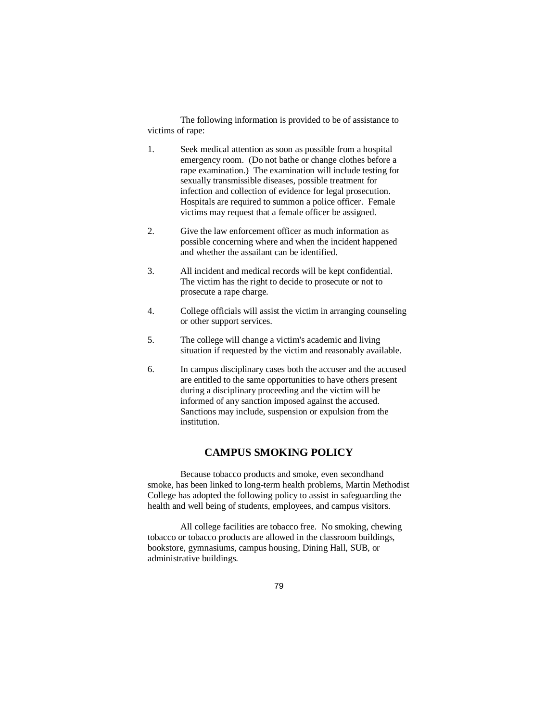The following information is provided to be of assistance to victims of rape:

- 1. Seek medical attention as soon as possible from a hospital emergency room. (Do not bathe or change clothes before a rape examination.) The examination will include testing for sexually transmissible diseases, possible treatment for infection and collection of evidence for legal prosecution. Hospitals are required to summon a police officer. Female victims may request that a female officer be assigned.
- 2. Give the law enforcement officer as much information as possible concerning where and when the incident happened and whether the assailant can be identified.
- 3. All incident and medical records will be kept confidential. The victim has the right to decide to prosecute or not to prosecute a rape charge.
- 4. College officials will assist the victim in arranging counseling or other support services.
- 5. The college will change a victim's academic and living situation if requested by the victim and reasonably available.
- 6. In campus disciplinary cases both the accuser and the accused are entitled to the same opportunities to have others present during a disciplinary proceeding and the victim will be informed of any sanction imposed against the accused. Sanctions may include, suspension or expulsion from the institution.

# **CAMPUS SMOKING POLICY**

Because tobacco products and smoke, even secondhand smoke, has been linked to long-term health problems, Martin Methodist College has adopted the following policy to assist in safeguarding the health and well being of students, employees, and campus visitors.

All college facilities are tobacco free. No smoking, chewing tobacco or tobacco products are allowed in the classroom buildings, bookstore, gymnasiums, campus housing, Dining Hall, SUB, or administrative buildings.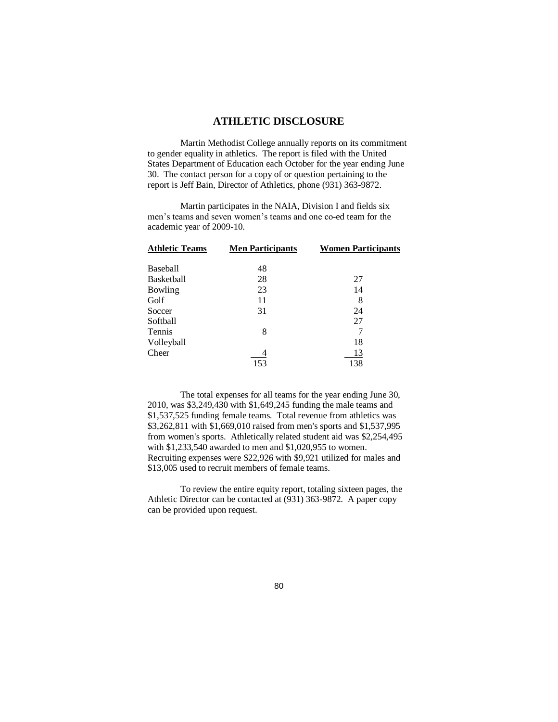## **ATHLETIC DISCLOSURE**

Martin Methodist College annually reports on its commitment to gender equality in athletics. The report is filed with the United States Department of Education each October for the year ending June 30. The contact person for a copy of or question pertaining to the report is Jeff Bain, Director of Athletics, phone (931) 363-9872.

Martin participates in the NAIA, Division I and fields six men's teams and seven women's teams and one co-ed team for the academic year of 2009-10.

| <b>Athletic Teams</b> | <b>Men Participants</b> | <b>Women Participants</b> |
|-----------------------|-------------------------|---------------------------|
| Baseball              | 48                      |                           |
| Basketball            | 28                      | 27                        |
| Bowling               | 23                      | 14                        |
| Golf                  | 11                      | 8                         |
| Soccer                | 31                      | 24                        |
| Softball              |                         | 27                        |
| Tennis                | 8                       |                           |
| Volleyball            |                         | 18                        |
| Cheer                 | 153                     | 13<br>138                 |

The total expenses for all teams for the year ending June 30, 2010, was \$3,249,430 with \$1,649,245 funding the male teams and \$1,537,525 funding female teams. Total revenue from athletics was \$3,262,811 with \$1,669,010 raised from men's sports and \$1,537,995 from women's sports. Athletically related student aid was \$2,254,495 with \$1,233,540 awarded to men and \$1,020,955 to women. Recruiting expenses were \$22,926 with \$9,921 utilized for males and \$13,005 used to recruit members of female teams.

To review the entire equity report, totaling sixteen pages, the Athletic Director can be contacted at (931) 363-9872. A paper copy can be provided upon request.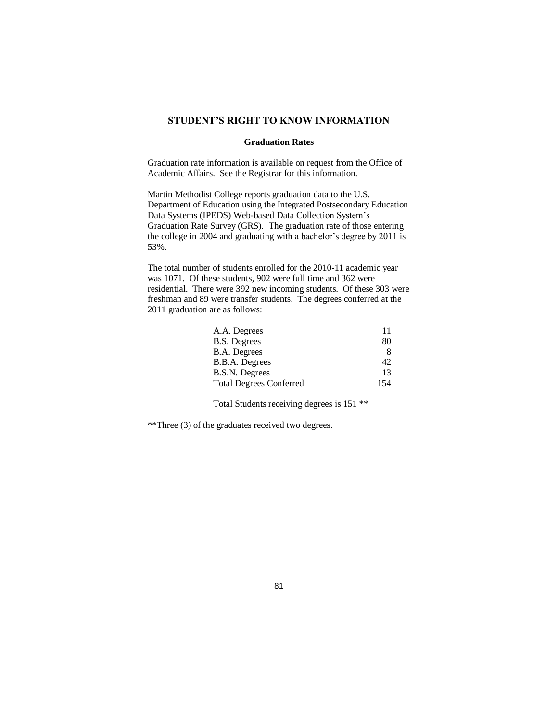### **STUDENT'S RIGHT TO KNOW INFORMATION**

#### **Graduation Rates**

Graduation rate information is available on request from the Office of Academic Affairs. See the Registrar for this information.

Martin Methodist College reports graduation data to the U.S. Department of Education using the Integrated Postsecondary Education Data Systems (IPEDS) Web-based Data Collection System's Graduation Rate Survey (GRS). The graduation rate of those entering the college in 2004 and graduating with a bachelor's degree by 2011 is 53%.

The total number of students enrolled for the 2010-11 academic year was 1071. Of these students, 902 were full time and 362 were residential. There were 392 new incoming students. Of these 303 were freshman and 89 were transfer students. The degrees conferred at the 2011 graduation are as follows:

| 11        |
|-----------|
| 80        |
| 8         |
| 42        |
| <u>13</u> |
| 154       |
|           |

Total Students receiving degrees is 151 \*\*

\*\*Three (3) of the graduates received two degrees.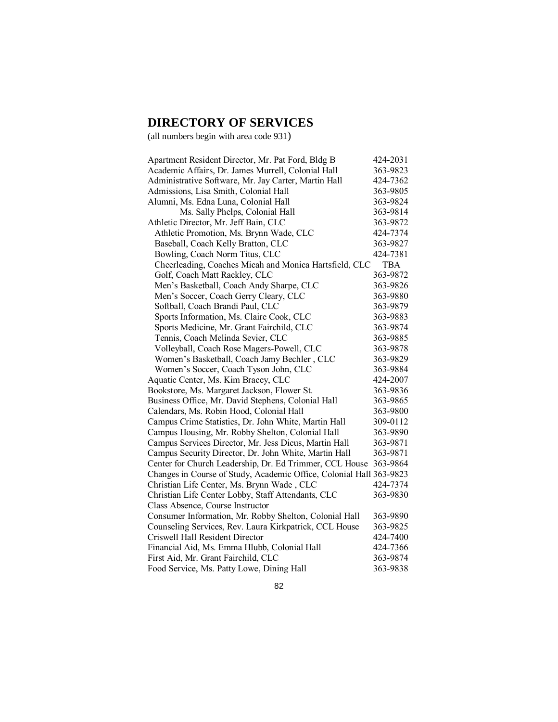# **DIRECTORY OF SERVICES**

(all numbers begin with area code 931)

| Apartment Resident Director, Mr. Pat Ford, Bldg B                   | 424-2031   |
|---------------------------------------------------------------------|------------|
| Academic Affairs, Dr. James Murrell, Colonial Hall                  | 363-9823   |
| Administrative Software, Mr. Jay Carter, Martin Hall                | 424-7362   |
| Admissions, Lisa Smith, Colonial Hall                               | 363-9805   |
| Alumni, Ms. Edna Luna, Colonial Hall                                | 363-9824   |
| Ms. Sally Phelps, Colonial Hall                                     | 363-9814   |
| Athletic Director, Mr. Jeff Bain, CLC                               | 363-9872   |
| Athletic Promotion, Ms. Brynn Wade, CLC                             | 424-7374   |
| Baseball, Coach Kelly Bratton, CLC                                  | 363-9827   |
| Bowling, Coach Norm Titus, CLC                                      | 424-7381   |
| Cheerleading, Coaches Micah and Monica Hartsfield, CLC              | <b>TBA</b> |
| Golf, Coach Matt Rackley, CLC                                       | 363-9872   |
| Men's Basketball, Coach Andy Sharpe, CLC                            | 363-9826   |
| Men's Soccer, Coach Gerry Cleary, CLC                               | 363-9880   |
| Softball, Coach Brandi Paul, CLC                                    | 363-9879   |
| Sports Information, Ms. Claire Cook, CLC                            | 363-9883   |
| Sports Medicine, Mr. Grant Fairchild, CLC                           | 363-9874   |
| Tennis, Coach Melinda Sevier, CLC                                   | 363-9885   |
| Volleyball, Coach Rose Magers-Powell, CLC                           | 363-9878   |
| Women's Basketball, Coach Jamy Bechler, CLC                         | 363-9829   |
| Women's Soccer, Coach Tyson John, CLC                               | 363-9884   |
| Aquatic Center, Ms. Kim Bracey, CLC                                 | 424-2007   |
| Bookstore, Ms. Margaret Jackson, Flower St.                         | 363-9836   |
| Business Office, Mr. David Stephens, Colonial Hall                  | 363-9865   |
| Calendars, Ms. Robin Hood, Colonial Hall                            | 363-9800   |
| Campus Crime Statistics, Dr. John White, Martin Hall                | 309-0112   |
| Campus Housing, Mr. Robby Shelton, Colonial Hall                    | 363-9890   |
| Campus Services Director, Mr. Jess Dicus, Martin Hall               | 363-9871   |
| Campus Security Director, Dr. John White, Martin Hall               | 363-9871   |
| Center for Church Leadership, Dr. Ed Trimmer, CCL House             | 363-9864   |
| Changes in Course of Study, Academic Office, Colonial Hall 363-9823 |            |
| Christian Life Center, Ms. Brynn Wade, CLC                          | 424-7374   |
| Christian Life Center Lobby, Staff Attendants, CLC                  | 363-9830   |
| Class Absence, Course Instructor                                    |            |
| Consumer Information, Mr. Robby Shelton, Colonial Hall              | 363-9890   |
| Counseling Services, Rev. Laura Kirkpatrick, CCL House              | 363-9825   |
| Criswell Hall Resident Director                                     | 424-7400   |
| Financial Aid, Ms. Emma Hlubb, Colonial Hall                        | 424-7366   |
| First Aid, Mr. Grant Fairchild, CLC                                 | 363-9874   |
| Food Service, Ms. Patty Lowe, Dining Hall                           | 363-9838   |
|                                                                     |            |